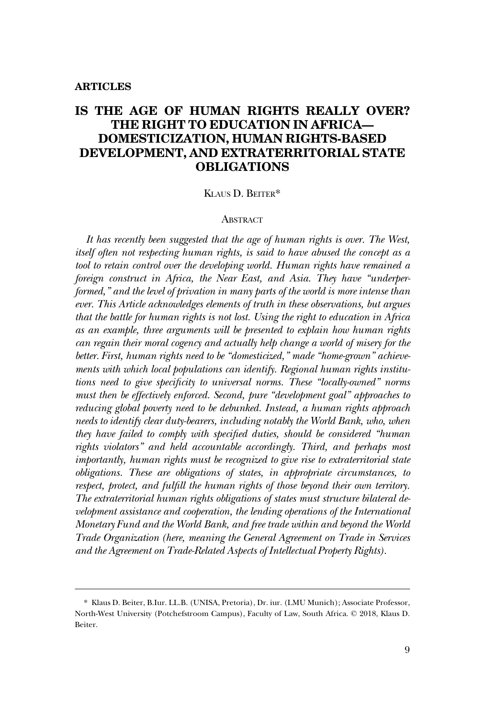# **IS THE AGE OF HUMAN RIGHTS REALLY OVER? THE RIGHT TO EDUCATION IN AFRICA— DOMESTICIZATION, HUMAN RIGHTS-BASED DEVELOPMENT, AND EXTRATERRITORIAL STATE OBLIGATIONS**

## KLAUS D. BEITER\*

#### **ABSTRACT**

*It has recently been suggested that the age of human rights is over. The West, itself often not respecting human rights, is said to have abused the concept as a tool to retain control over the developing world. Human rights have remained a foreign construct in Africa, the Near East, and Asia. They have "underperformed," and the level of privation in many parts of the world is more intense than ever. This Article acknowledges elements of truth in these observations, but argues that the battle for human rights is not lost. Using the right to education in Africa as an example, three arguments will be presented to explain how human rights can regain their moral cogency and actually help change a world of misery for the better. First, human rights need to be "domesticized," made "home-grown" achievements with which local populations can identify. Regional human rights institutions need to give specificity to universal norms. These "locally-owned" norms must then be effectively enforced. Second, pure "development goal" approaches to reducing global poverty need to be debunked. Instead, a human rights approach needs to identify clear duty-bearers, including notably the World Bank, who, when they have failed to comply with specified duties, should be considered "human*  rights violators" and held accountable accordingly. Third, and perhaps most *importantly, human rights must be recognized to give rise to extraterritorial state obligations. These are obligations of states, in appropriate circumstances, to respect, protect, and fulfill the human rights of those beyond their own territory. The extraterritorial human rights obligations of states must structure bilateral de*velopment assistance and cooperation, the lending operations of the International *Monetary Fund and the World Bank, and free trade within and beyond the World Trade Organization (here, meaning the General Agreement on Trade in Services and the Agreement on Trade-Related Aspects of Intellectual Property Rights).* 

<sup>\*</sup> Klaus D. Beiter, B.Iur. LL.B. (UNISA, Pretoria), Dr. iur. (LMU Munich); Associate Professor, North-West University (Potchefstroom Campus), Faculty of Law, South Africa. © 2018, Klaus D. Beiter.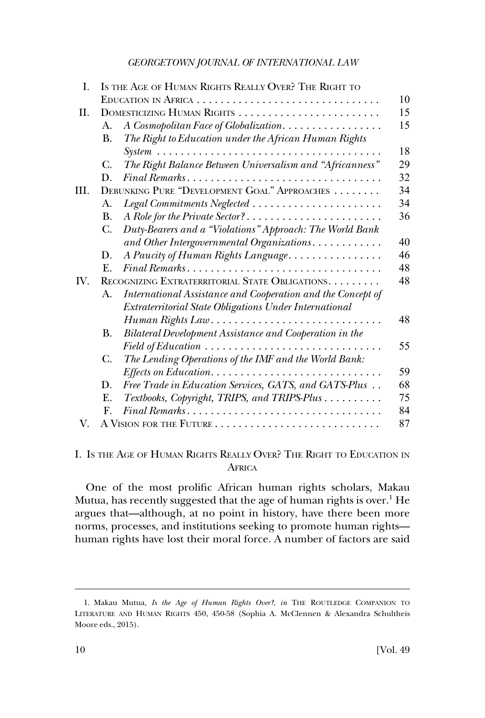| Ι.                                                                                                                                                                                                                                                                       |                                                 | IS THE AGE OF HUMAN RIGHTS REALLY OVER? THE RIGHT TO        |    |
|--------------------------------------------------------------------------------------------------------------------------------------------------------------------------------------------------------------------------------------------------------------------------|-------------------------------------------------|-------------------------------------------------------------|----|
|                                                                                                                                                                                                                                                                          |                                                 |                                                             | 10 |
| H.<br>А.<br><b>B.</b><br>$\mathit{System}\dots\dots\dots\dots\dots\dots\dots\dots\dots\dots\dots\dots\dots\dots\dots$<br>C.<br>Final Remarks<br>D.<br>DEBUNKING PURE "DEVELOPMENT GOAL" APPROACHES<br>III.<br>Legal Commitments Neglected<br>А.<br><b>B.</b><br>C.<br>D. | DOMESTICIZING HUMAN RIGHTS                      | 15                                                          |    |
|                                                                                                                                                                                                                                                                          |                                                 | A Cosmopolitan Face of Globalization                        | 15 |
|                                                                                                                                                                                                                                                                          |                                                 | The Right to Education under the African Human Rights       | 18 |
|                                                                                                                                                                                                                                                                          |                                                 | The Right Balance Between Universalism and "Africanness"    | 29 |
|                                                                                                                                                                                                                                                                          |                                                 |                                                             | 32 |
|                                                                                                                                                                                                                                                                          |                                                 |                                                             | 34 |
|                                                                                                                                                                                                                                                                          |                                                 |                                                             | 34 |
|                                                                                                                                                                                                                                                                          |                                                 | A Role for the Private Sector?                              | 36 |
|                                                                                                                                                                                                                                                                          |                                                 | Duty-Bearers and a "Violations" Approach: The World Bank    |    |
|                                                                                                                                                                                                                                                                          |                                                 | and Other Intergovernmental Organizations.                  | 40 |
|                                                                                                                                                                                                                                                                          |                                                 | A Paucity of Human Rights Language                          | 46 |
|                                                                                                                                                                                                                                                                          | $F_{\cdot}$                                     | Final Remarks                                               | 48 |
| IV.                                                                                                                                                                                                                                                                      | RECOGNIZING EXTRATERRITORIAL STATE OBLIGATIONS. |                                                             | 48 |
|                                                                                                                                                                                                                                                                          | A.                                              | International Assistance and Cooperation and the Concept of |    |
|                                                                                                                                                                                                                                                                          |                                                 | Extraterritorial State Obligations Under International      |    |
|                                                                                                                                                                                                                                                                          |                                                 | $Human$ Rights Law                                          | 48 |
|                                                                                                                                                                                                                                                                          | В.                                              | Bilateral Development Assistance and Cooperation in the     |    |
|                                                                                                                                                                                                                                                                          |                                                 | Field of Education                                          | 55 |
|                                                                                                                                                                                                                                                                          | C.                                              | The Lending Operations of the IMF and the World Bank:       |    |
|                                                                                                                                                                                                                                                                          |                                                 |                                                             | 59 |
|                                                                                                                                                                                                                                                                          | D.                                              | Free Trade in Education Services, GATS, and GATS-Plus       | 68 |
|                                                                                                                                                                                                                                                                          | E.                                              | Textbooks, Copyright, TRIPS, and TRIPS-Plus                 | 75 |
|                                                                                                                                                                                                                                                                          | $\mathbf{F}$ .                                  | $Final$ Remarks                                             | 84 |
| V.                                                                                                                                                                                                                                                                       |                                                 |                                                             | 87 |

## I. IS THE AGE OF HUMAN RIGHTS REALLY OVER? THE RIGHT TO EDUCATION IN **AFRICA**

One of the most prolific African human rights scholars, Makau Mutua, has recently suggested that the age of human rights is over. $<sup>1</sup>$  He</sup> argues that—although, at no point in history, have there been more norms, processes, and institutions seeking to promote human rights human rights have lost their moral force. A number of factors are said

<sup>1.</sup> Makau Mutua, *Is the Age of Human Rights Over?*, *in* THE ROUTLEDGE COMPANION TO LITERATURE AND HUMAN RIGHTS 450, 450-58 (Sophia A. McClennen & Alexandra Schultheis Moore eds., 2015).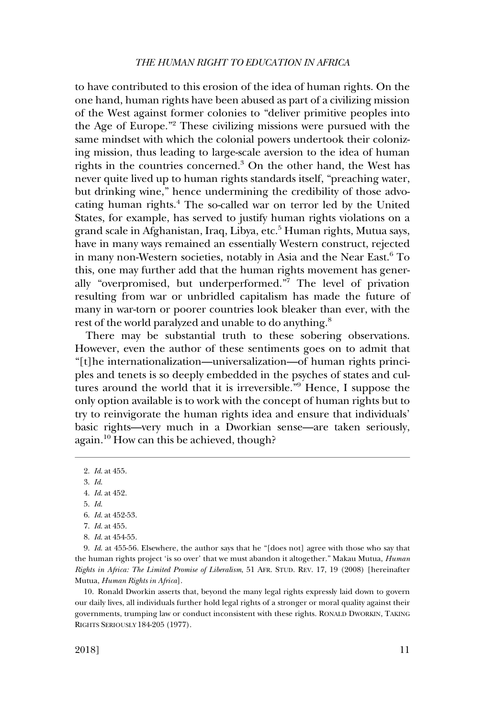to have contributed to this erosion of the idea of human rights. On the one hand, human rights have been abused as part of a civilizing mission of the West against former colonies to "deliver primitive peoples into the Age of Europe."2 These civilizing missions were pursued with the same mindset with which the colonial powers undertook their colonizing mission, thus leading to large-scale aversion to the idea of human rights in the countries concerned.<sup>3</sup> On the other hand, the West has never quite lived up to human rights standards itself, "preaching water, but drinking wine," hence undermining the credibility of those advocating human rights.4 The so-called war on terror led by the United States, for example, has served to justify human rights violations on a grand scale in Afghanistan, Iraq, Libya, etc.<sup>5</sup> Human rights, Mutua says, have in many ways remained an essentially Western construct, rejected in many non-Western societies, notably in Asia and the Near East.<sup>6</sup> To this, one may further add that the human rights movement has generally "overpromised, but underperformed."7 The level of privation resulting from war or unbridled capitalism has made the future of many in war-torn or poorer countries look bleaker than ever, with the rest of the world paralyzed and unable to do anything.<sup>8</sup>

There may be substantial truth to these sobering observations. However, even the author of these sentiments goes on to admit that "[t]he internationalization—universalization—of human rights principles and tenets is so deeply embedded in the psyches of states and cultures around the world that it is irreversible."9 Hence, I suppose the only option available is to work with the concept of human rights but to try to reinvigorate the human rights idea and ensure that individuals' basic rights—very much in a Dworkian sense—are taken seriously, again.10 How can this be achieved, though?

3. *Id*.

6. *Id*. at 452-53.

10. Ronald Dworkin asserts that, beyond the many legal rights expressly laid down to govern our daily lives, all individuals further hold legal rights of a stronger or moral quality against their governments, trumping law or conduct inconsistent with these rights. RONALD DWORKIN, TAKING RIGHTS SERIOUSLY 184-205 (1977).

<sup>2.</sup> *Id*. at 455.

<sup>4.</sup> *Id*. at 452.

<sup>5.</sup> *Id*.

<sup>7.</sup> *Id*. at 455.

<sup>8.</sup> *Id*. at 454-55.

<sup>9.</sup> *Id*. at 455-56. Elsewhere, the author says that he "[does not] agree with those who say that the human rights project 'is so over' that we must abandon it altogether." Makau Mutua, *Human Rights in Africa: The Limited Promise of Liberalism*, 51 AFR. STUD. REV. 17, 19 (2008) [hereinafter Mutua, *Human Rights in Africa*].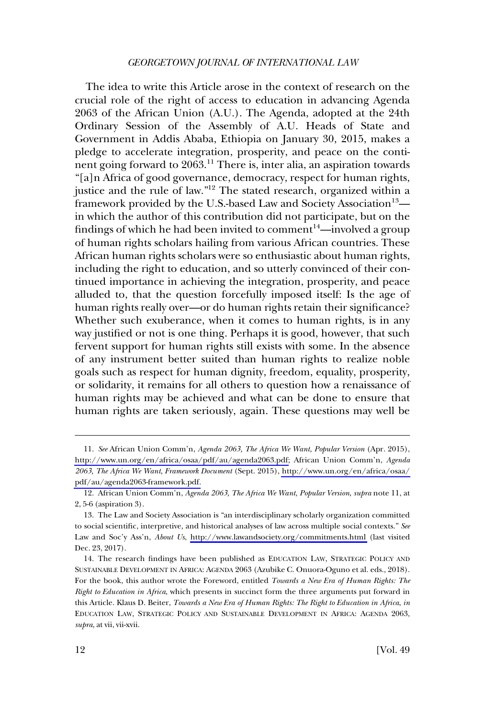The idea to write this Article arose in the context of research on the crucial role of the right of access to education in advancing Agenda 2063 of the African Union (A.U.). The Agenda, adopted at the 24th Ordinary Session of the Assembly of A.U. Heads of State and Government in Addis Ababa, Ethiopia on January 30, 2015, makes a pledge to accelerate integration, prosperity, and peace on the continent going forward to 2063.<sup>11</sup> There is, inter alia, an aspiration towards "[a]n Africa of good governance, democracy, respect for human rights, justice and the rule of law."12 The stated research, organized within a framework provided by the U.S.-based Law and Society Association $^{13}$  in which the author of this contribution did not participate, but on the findings of which he had been invited to comment<sup>14</sup>—involved a group of human rights scholars hailing from various African countries. These African human rights scholars were so enthusiastic about human rights, including the right to education, and so utterly convinced of their continued importance in achieving the integration, prosperity, and peace alluded to, that the question forcefully imposed itself: Is the age of human rights really over—or do human rights retain their significance? Whether such exuberance, when it comes to human rights, is in any way justified or not is one thing. Perhaps it is good, however, that such fervent support for human rights still exists with some. In the absence of any instrument better suited than human rights to realize noble goals such as respect for human dignity, freedom, equality, prosperity, or solidarity, it remains for all others to question how a renaissance of human rights may be achieved and what can be done to ensure that human rights are taken seriously, again. These questions may well be

*See* African Union Comm'n, *Agenda 2063, The Africa We Want, Popular Version* (Apr. 2015), 11. [http://www.un.org/en/africa/osaa/pdf/au/agenda2063.pdf;](http://www.un.org/en/africa/osaa/pdf/au/agenda2063.pdf) African Union Comm'n, *Agenda 2063, The Africa We Want, Framework Document* (Sept. 2015), [http://www.un.org/en/africa/osaa/](http://www.un.org/en/africa/osaa/pdf/au/agenda2063-framework.pdf) [pdf/au/agenda2063-framework.pdf.](http://www.un.org/en/africa/osaa/pdf/au/agenda2063-framework.pdf)

<sup>12.</sup> African Union Comm'n, *Agenda 2063, The Africa We Want, Popular Version*, *supra* note 11, at 2, 5-6 (aspiration 3).

The Law and Society Association is "an interdisciplinary scholarly organization committed 13. to social scientific, interpretive, and historical analyses of law across multiple social contexts." *See*  Law and Soc'y Ass'n, *About Us*, <http://www.lawandsociety.org/commitments.html>(last visited Dec. 23, 2017).

<sup>14.</sup> The research findings have been published as EDUCATION LAW, STRATEGIC POLICY AND SUSTAINABLE DEVELOPMENT IN AFRICA: AGENDA 2063 (Azubike C. Onuora-Oguno et al. eds., 2018). For the book, this author wrote the Foreword, entitled *Towards a New Era of Human Rights: The Right to Education in Africa*, which presents in succinct form the three arguments put forward in this Article. Klaus D. Beiter, *Towards a New Era of Human Rights: The Right to Education in Africa*, *in*  EDUCATION LAW, STRATEGIC POLICY AND SUSTAINABLE DEVELOPMENT IN AFRICA: AGENDA 2063, *supra*, at vii, vii-xvii.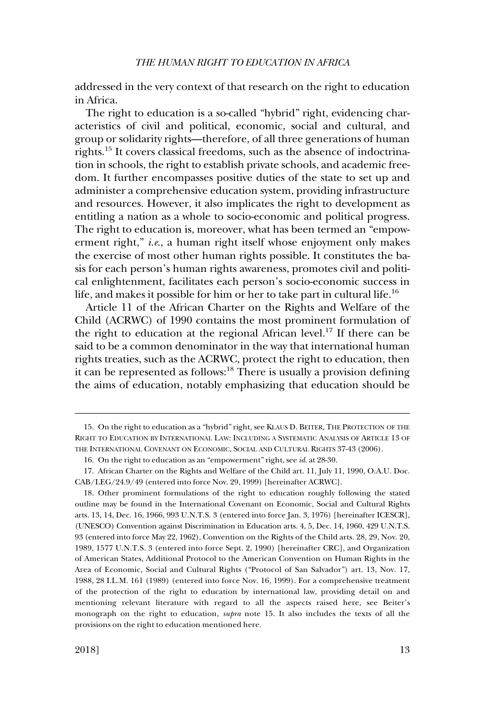addressed in the very context of that research on the right to education in Africa.

The right to education is a so-called "hybrid" right, evidencing characteristics of civil and political, economic, social and cultural, and group or solidarity rights—therefore, of all three generations of human rights.15 It covers classical freedoms, such as the absence of indoctrination in schools, the right to establish private schools, and academic freedom. It further encompasses positive duties of the state to set up and administer a comprehensive education system, providing infrastructure and resources. However, it also implicates the right to development as entitling a nation as a whole to socio-economic and political progress. The right to education is, moreover, what has been termed an "empowerment right," *i.e*., a human right itself whose enjoyment only makes the exercise of most other human rights possible. It constitutes the basis for each person's human rights awareness, promotes civil and political enlightenment, facilitates each person's socio-economic success in life, and makes it possible for him or her to take part in cultural life.<sup>16</sup>

Article 11 of the African Charter on the Rights and Welfare of the Child (ACRWC) of 1990 contains the most prominent formulation of the right to education at the regional African level.<sup>17</sup> If there can be said to be a common denominator in the way that international human rights treaties, such as the ACRWC, protect the right to education, then it can be represented as follows: $^{18}$  There is usually a provision defining the aims of education, notably emphasizing that education should be

<sup>15.</sup> On the right to education as a "hybrid" right, see KLAUS D. BEITER, THE PROTECTION OF THE RIGHT TO EDUCATION BY INTERNATIONAL LAW: INCLUDING A SYSTEMATIC ANALYSIS OF ARTICLE 13 OF THE INTERNATIONAL COVENANT ON ECONOMIC, SOCIAL AND CULTURAL RIGHTS 37-43 (2006).

<sup>16.</sup> On the right to education as an "empowerment" right, see *id*. at 28-30.

<sup>17.</sup> African Charter on the Rights and Welfare of the Child art. 11, July 11, 1990, O.A.U. Doc. CAB/LEG/24.9/49 (entered into force Nov. 29, 1999) [hereinafter ACRWC].

<sup>18.</sup> Other prominent formulations of the right to education roughly following the stated outline may be found in the International Covenant on Economic, Social and Cultural Rights arts. 13, 14, Dec. 16, 1966, 993 U.N.T.S. 3 (entered into force Jan. 3, 1976) [hereinafter ICESCR], (UNESCO) Convention against Discrimination in Education arts. 4, 5, Dec. 14, 1960, 429 U.N.T.S. 93 (entered into force May 22, 1962), Convention on the Rights of the Child arts. 28, 29, Nov. 20, 1989, 1577 U.N.T.S. 3 (entered into force Sept. 2, 1990) [hereinafter CRC], and Organization of American States, Additional Protocol to the American Convention on Human Rights in the Area of Economic, Social and Cultural Rights ("Protocol of San Salvador") art. 13, Nov. 17, 1988, 28 I.L.M. 161 (1989) (entered into force Nov. 16, 1999). For a comprehensive treatment of the protection of the right to education by international law, providing detail on and mentioning relevant literature with regard to all the aspects raised here, see Beiter's monograph on the right to education, *supra* note 15. It also includes the texts of all the provisions on the right to education mentioned here.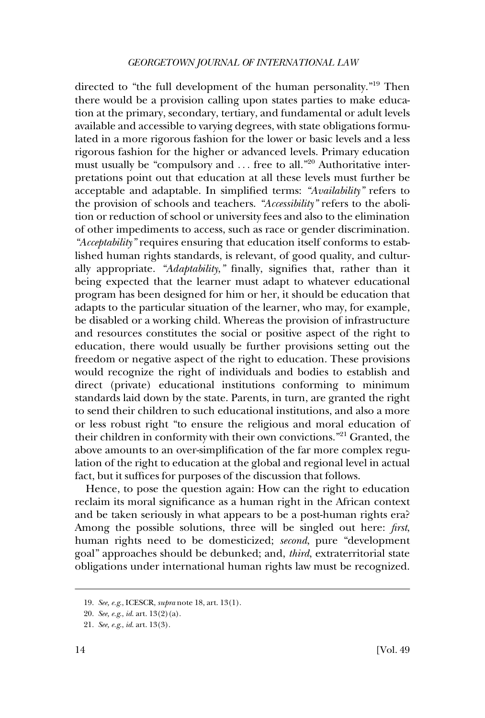directed to "the full development of the human personality."19 Then there would be a provision calling upon states parties to make education at the primary, secondary, tertiary, and fundamental or adult levels available and accessible to varying degrees, with state obligations formulated in a more rigorous fashion for the lower or basic levels and a less rigorous fashion for the higher or advanced levels. Primary education must usually be "compulsory and  $\dots$  free to all."<sup>20</sup> Authoritative interpretations point out that education at all these levels must further be acceptable and adaptable. In simplified terms: *"Availability"* refers to the provision of schools and teachers. *"Accessibility"* refers to the abolition or reduction of school or university fees and also to the elimination of other impediments to access, such as race or gender discrimination. *"Acceptability"* requires ensuring that education itself conforms to established human rights standards, is relevant, of good quality, and culturally appropriate. *"Adaptability*,*"* finally, signifies that, rather than it being expected that the learner must adapt to whatever educational program has been designed for him or her, it should be education that adapts to the particular situation of the learner, who may, for example, be disabled or a working child. Whereas the provision of infrastructure and resources constitutes the social or positive aspect of the right to education, there would usually be further provisions setting out the freedom or negative aspect of the right to education. These provisions would recognize the right of individuals and bodies to establish and direct (private) educational institutions conforming to minimum standards laid down by the state. Parents, in turn, are granted the right to send their children to such educational institutions, and also a more or less robust right "to ensure the religious and moral education of their children in conformity with their own convictions."<sup>21</sup> Granted, the above amounts to an over-simplification of the far more complex regulation of the right to education at the global and regional level in actual fact, but it suffices for purposes of the discussion that follows.

Hence, to pose the question again: How can the right to education reclaim its moral significance as a human right in the African context and be taken seriously in what appears to be a post-human rights era? Among the possible solutions, three will be singled out here: *first*, human rights need to be domesticized; *second*, pure "development goal" approaches should be debunked; and, *third*, extraterritorial state obligations under international human rights law must be recognized.

<sup>19.</sup> *See, e.g*., ICESCR, *supra* note 18, art. 13(1).

<sup>20.</sup> *See, e.g*., *id*. art. 13(2)(a).

<sup>21.</sup> *See, e.g*., *id*. art. 13(3).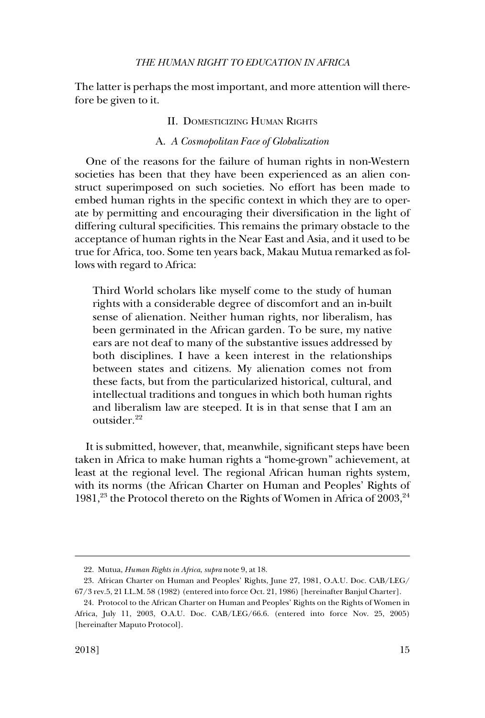<span id="page-6-0"></span>The latter is perhaps the most important, and more attention will therefore be given to it.

## II. DOMESTICIZING HUMAN RIGHTS

#### A. *A Cosmopolitan Face of Globalization*

One of the reasons for the failure of human rights in non-Western societies has been that they have been experienced as an alien construct superimposed on such societies. No effort has been made to embed human rights in the specific context in which they are to operate by permitting and encouraging their diversification in the light of differing cultural specificities. This remains the primary obstacle to the acceptance of human rights in the Near East and Asia, and it used to be true for Africa, too. Some ten years back, Makau Mutua remarked as follows with regard to Africa:

Third World scholars like myself come to the study of human rights with a considerable degree of discomfort and an in-built sense of alienation. Neither human rights, nor liberalism, has been germinated in the African garden. To be sure, my native ears are not deaf to many of the substantive issues addressed by both disciplines. I have a keen interest in the relationships between states and citizens. My alienation comes not from these facts, but from the particularized historical, cultural, and intellectual traditions and tongues in which both human rights and liberalism law are steeped. It is in that sense that I am an outsider.<sup>22</sup>

It is submitted, however, that, meanwhile, significant steps have been taken in Africa to make human rights a "home-grown" achievement, at least at the regional level. The regional African human rights system, with its norms (the African Charter on Human and Peoples' Rights of 1981,<sup>23</sup> the Protocol thereto on the Rights of Women in Africa of  $2003$ ,<sup>24</sup>

<sup>22.</sup> Mutua, *Human Rights in Africa*, *supra* note 9, at 18.

<sup>23.</sup> African Charter on Human and Peoples' Rights, June 27, 1981, O.A.U. Doc. CAB/LEG/ 67/3 rev.5, 21 I.L.M. 58 (1982) (entered into force Oct. 21, 1986) [hereinafter Banjul Charter].

<sup>24.</sup> Protocol to the African Charter on Human and Peoples' Rights on the Rights of Women in Africa, July 11, 2003, O.A.U. Doc. CAB/LEG/66.6. (entered into force Nov. 25, 2005) [hereinafter Maputo Protocol].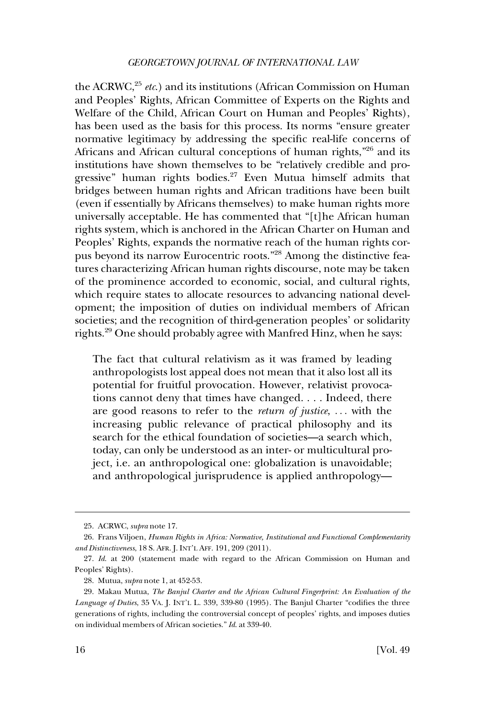the ACRWC,<sup>25</sup> *etc.*) and its institutions (African Commission on Human and Peoples' Rights, African Committee of Experts on the Rights and Welfare of the Child, African Court on Human and Peoples' Rights), has been used as the basis for this process. Its norms "ensure greater normative legitimacy by addressing the specific real-life concerns of Africans and African cultural conceptions of human rights,"26 and its institutions have shown themselves to be "relatively credible and progressive" human rights bodies.<sup>27</sup> Even Mutua himself admits that bridges between human rights and African traditions have been built (even if essentially by Africans themselves) to make human rights more universally acceptable. He has commented that "[t]he African human rights system, which is anchored in the African Charter on Human and Peoples' Rights, expands the normative reach of the human rights corpus beyond its narrow Eurocentric roots."28 Among the distinctive features characterizing African human rights discourse, note may be taken of the prominence accorded to economic, social, and cultural rights, which require states to allocate resources to advancing national development; the imposition of duties on individual members of African societies; and the recognition of third-generation peoples' or solidarity rights.29 One should probably agree with Manfred Hinz, when he says:

The fact that cultural relativism as it was framed by leading anthropologists lost appeal does not mean that it also lost all its potential for fruitful provocation. However, relativist provocations cannot deny that times have changed. . . . Indeed, there are good reasons to refer to the *return of justice*, . . . with the increasing public relevance of practical philosophy and its search for the ethical foundation of societies—a search which, today, can only be understood as an inter- or multicultural project, i.e. an anthropological one: globalization is unavoidable; and anthropological jurisprudence is applied anthropology—

<sup>25.</sup> ACRWC, *supra* note 17.

<sup>26.</sup> Frans Viljoen, *Human Rights in Africa: Normative, Institutional and Functional Complementarity and Distinctiveness*, 18 S. AFR. J. INT'L AFF. 191, 209 (2011).

<sup>27.</sup> *Id*. at 200 (statement made with regard to the African Commission on Human and Peoples' Rights).

<sup>28.</sup> Mutua, *supra* note 1, at 452-53.

<sup>29.</sup> Makau Mutua, *The Banjul Charter and the African Cultural Fingerprint: An Evaluation of the Language of Duties*, 35 VA. J. INT'L L. 339, 339-80 (1995). The Banjul Charter "codifies the three generations of rights, including the controversial concept of peoples' rights, and imposes duties on individual members of African societies." *Id*. at 339-40.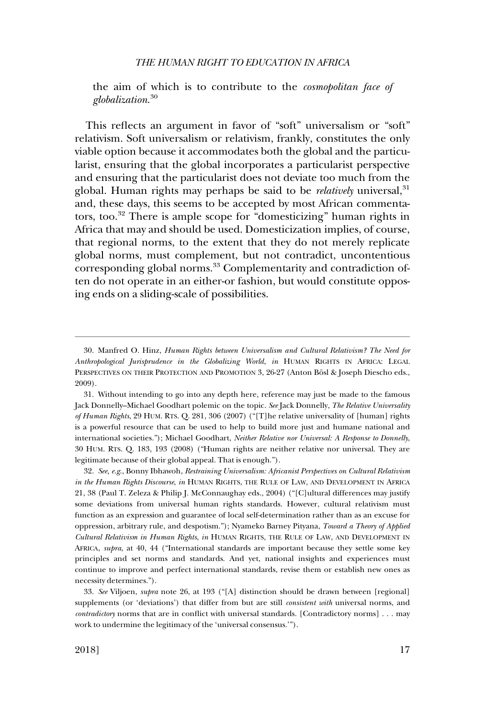the aim of which is to contribute to the *cosmopolitan face of globalization*. 30

This reflects an argument in favor of "soft" universalism or "soft" relativism. Soft universalism or relativism, frankly, constitutes the only viable option because it accommodates both the global and the particularist, ensuring that the global incorporates a particularist perspective and ensuring that the particularist does not deviate too much from the global. Human rights may perhaps be said to be *relatively* universal,<sup>31</sup> and, these days, this seems to be accepted by most African commentators, too.32 There is ample scope for "domesticizing" human rights in Africa that may and should be used. Domesticization implies, of course, that regional norms, to the extent that they do not merely replicate global norms, must complement, but not contradict, uncontentious corresponding global norms.<sup>33</sup> Complementarity and contradiction often do not operate in an either-or fashion, but would constitute opposing ends on a sliding-scale of possibilities.

32. *See, e.g*., Bonny Ibhawoh, *Restraining Universalism: Africanist Perspectives on Cultural Relativism in the Human Rights Discourse*, *in* HUMAN RIGHTS, THE RULE OF LAW, AND DEVELOPMENT IN AFRICA 21, 38 (Paul T. Zeleza & Philip J. McConnaughay eds., 2004) ("[C]ultural differences may justify some deviations from universal human rights standards. However, cultural relativism must function as an expression and guarantee of local self-determination rather than as an excuse for oppression, arbitrary rule, and despotism."); Nyameko Barney Pityana, *Toward a Theory of Applied Cultural Relativism in Human Rights*, *in* HUMAN RIGHTS, THE RULE OF LAW, AND DEVELOPMENT IN AFRICA, *supra*, at 40, 44 ("International standards are important because they settle some key principles and set norms and standards. And yet, national insights and experiences must continue to improve and perfect international standards, revise them or establish new ones as necessity determines.").

33. *See* Viljoen, *supra* note 26, at 193 ("[A] distinction should be drawn between [regional] supplements (or 'deviations') that differ from but are still *consistent with* universal norms, and *contradictory* norms that are in conflict with universal standards. [Contradictory norms] . . . may work to undermine the legitimacy of the 'universal consensus.'").

<sup>30.</sup> Manfred O. Hinz, *Human Rights between Universalism and Cultural Relativism? The Need for Anthropological Jurisprudence in the Globalizing World*, *in* HUMAN RIGHTS IN AFRICA: LEGAL PERSPECTIVES ON THEIR PROTECTION AND PROMOTION 3, 26-27 (Anton Bösl & Joseph Diescho eds., 2009).

<sup>31.</sup> Without intending to go into any depth here, reference may just be made to the famous Jack Donnelly–Michael Goodhart polemic on the topic. *See* Jack Donnelly, *The Relative Universality of Human Rights*, 29 HUM. RTS. Q. 281, 306 (2007) ("[T]he relative universality of [human] rights is a powerful resource that can be used to help to build more just and humane national and international societies."); Michael Goodhart, *Neither Relative nor Universal: A Response to Donnelly*, 30 HUM. RTS. Q. 183, 193 (2008) ("Human rights are neither relative nor universal. They are legitimate because of their global appeal. That is enough.").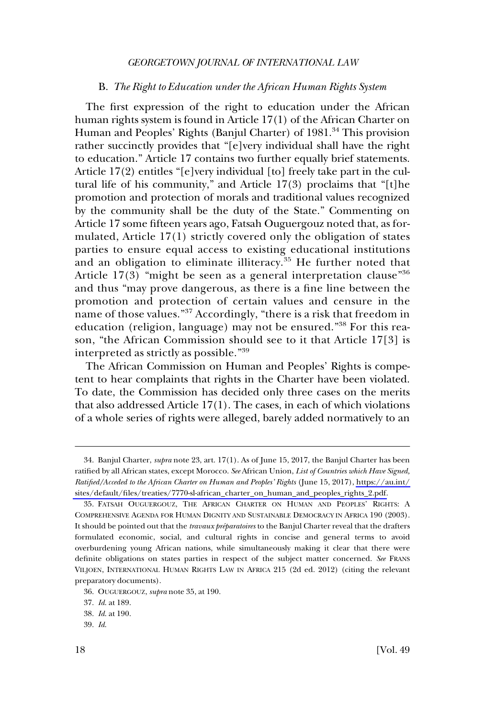#### B. *The Right to Education under the African Human Rights System*

<span id="page-9-0"></span>The first expression of the right to education under the African human rights system is found in Article 17(1) of the African Charter on Human and Peoples' Rights (Banjul Charter) of 1981.<sup>34</sup> This provision rather succinctly provides that "[e]very individual shall have the right to education." Article 17 contains two further equally brief statements. Article 17(2) entitles "[e]very individual [to] freely take part in the cultural life of his community," and Article  $17(3)$  proclaims that "[t]he promotion and protection of morals and traditional values recognized by the community shall be the duty of the State." Commenting on Article 17 some fifteen years ago, Fatsah Ouguergouz noted that, as formulated, Article 17(1) strictly covered only the obligation of states parties to ensure equal access to existing educational institutions and an obligation to eliminate illiteracy.<sup>35</sup> He further noted that Article  $17(3)$  "might be seen as a general interpretation clause"<sup>36</sup> and thus "may prove dangerous, as there is a fine line between the promotion and protection of certain values and censure in the name of those values."37 Accordingly, "there is a risk that freedom in education (religion, language) may not be ensured."38 For this reason, "the African Commission should see to it that Article 17[3] is interpreted as strictly as possible."<sup>39</sup>

The African Commission on Human and Peoples' Rights is competent to hear complaints that rights in the Charter have been violated. To date, the Commission has decided only three cases on the merits that also addressed Article 17(1). The cases, in each of which violations of a whole series of rights were alleged, barely added normatively to an

Banjul Charter, *supra* note 23, art. 17(1). As of June 15, 2017, the Banjul Charter has been 34. ratified by all African states, except Morocco. *See* African Union, *List of Countries which Have Signed, Ratified/Acceded to the African Charter on Human and Peoples' Rights* (June 15, 2017), [https://au.int/](https://au.int/sites/default/files/treaties/7770-sl-african_charter_on_human_and_peoples_rights_2.pdf)  [sites/default/files/treaties/7770-sl-african\\_charter\\_on\\_human\\_and\\_peoples\\_rights\\_2.pdf.](https://au.int/sites/default/files/treaties/7770-sl-african_charter_on_human_and_peoples_rights_2.pdf)

FATSAH OUGUERGOUZ, THE AFRICAN CHARTER ON HUMAN AND PEOPLES' RIGHTS: A 35. COMPREHENSIVE AGENDA FOR HUMAN DIGNITY AND SUSTAINABLE DEMOCRACY IN AFRICA 190 (2003). It should be pointed out that the *travaux préparatoires* to the Banjul Charter reveal that the drafters formulated economic, social, and cultural rights in concise and general terms to avoid overburdening young African nations, while simultaneously making it clear that there were definite obligations on states parties in respect of the subject matter concerned. *See* FRANS VILJOEN, INTERNATIONAL HUMAN RIGHTS LAW IN AFRICA 215 (2d ed. 2012) (citing the relevant preparatory documents).

<sup>36.</sup> OUGUERGOUZ, *supra* note 35, at 190.

<sup>37.</sup> *Id*. at 189.

<sup>38.</sup> *Id*. at 190.

<sup>39.</sup> *Id*.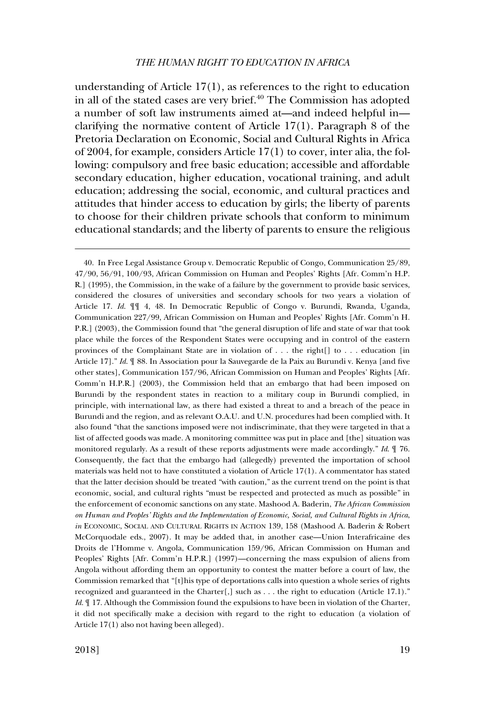understanding of Article 17(1), as references to the right to education in all of the stated cases are very brief. $40$  The Commission has adopted a number of soft law instruments aimed at—and indeed helpful in clarifying the normative content of Article 17(1). Paragraph 8 of the Pretoria Declaration on Economic, Social and Cultural Rights in Africa of 2004, for example, considers Article 17(1) to cover, inter alia, the following: compulsory and free basic education; accessible and affordable secondary education, higher education, vocational training, and adult education; addressing the social, economic, and cultural practices and attitudes that hinder access to education by girls; the liberty of parents to choose for their children private schools that conform to minimum educational standards; and the liberty of parents to ensure the religious

<sup>40.</sup> In Free Legal Assistance Group v. Democratic Republic of Congo, Communication 25/89, 47/90, 56/91, 100/93, African Commission on Human and Peoples' Rights [Afr. Comm'n H.P. R.] (1995), the Commission, in the wake of a failure by the government to provide basic services, considered the closures of universities and secondary schools for two years a violation of Article 17. *Id*. ¶¶ 4, 48. In Democratic Republic of Congo v. Burundi, Rwanda, Uganda, Communication 227/99, African Commission on Human and Peoples' Rights [Afr. Comm'n H. P.R.] (2003), the Commission found that "the general disruption of life and state of war that took place while the forces of the Respondent States were occupying and in control of the eastern provinces of the Complainant State are in violation of . . . the right[] to . . . education [in Article 17]." *Id*. ¶ 88. In Association pour la Sauvegarde de la Paix au Burundi v. Kenya [and five other states], Communication 157/96, African Commission on Human and Peoples' Rights [Afr. Comm'n H.P.R.] (2003), the Commission held that an embargo that had been imposed on Burundi by the respondent states in reaction to a military coup in Burundi complied, in principle, with international law, as there had existed a threat to and a breach of the peace in Burundi and the region, and as relevant O.A.U. and U.N. procedures had been complied with. It also found "that the sanctions imposed were not indiscriminate, that they were targeted in that a list of affected goods was made. A monitoring committee was put in place and [the] situation was monitored regularly. As a result of these reports adjustments were made accordingly." *Id*. ¶ 76. Consequently, the fact that the embargo had (allegedly) prevented the importation of school materials was held not to have constituted a violation of Article 17(1). A commentator has stated that the latter decision should be treated "with caution," as the current trend on the point is that economic, social, and cultural rights "must be respected and protected as much as possible" in the enforcement of economic sanctions on any state. Mashood A. Baderin, *The African Commission on Human and Peoples' Rights and the Implementation of Economic, Social, and Cultural Rights in Africa*, *in* ECONOMIC, SOCIAL AND CULTURAL RIGHTS IN ACTION 139, 158 (Mashood A. Baderin & Robert McCorquodale eds., 2007). It may be added that, in another case—Union Interafricaine des Droits de l'Homme v. Angola, Communication 159/96, African Commission on Human and Peoples' Rights [Afr. Comm'n H.P.R.] (1997)—concerning the mass expulsion of aliens from Angola without affording them an opportunity to contest the matter before a court of law, the Commission remarked that "[t]his type of deportations calls into question a whole series of rights recognized and guaranteed in the Charter[,] such as . . . the right to education (Article 17.1)." *Id.*  $\parallel$  17. Although the Commission found the expulsions to have been in violation of the Charter, it did not specifically make a decision with regard to the right to education (a violation of Article 17(1) also not having been alleged).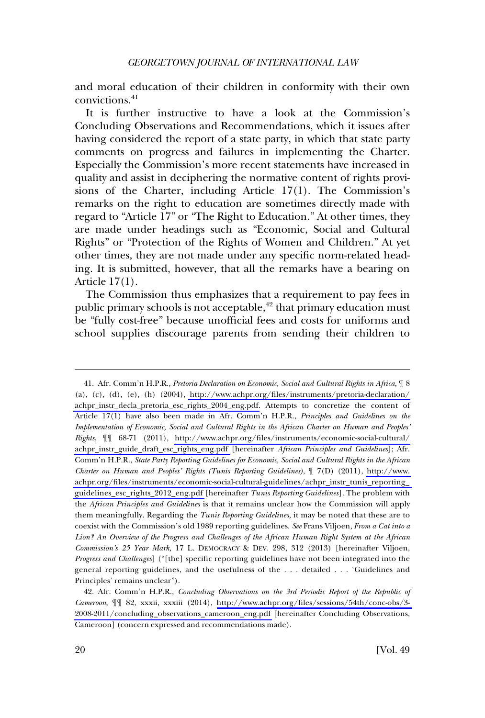and moral education of their children in conformity with their own convictions.<sup>41</sup>

It is further instructive to have a look at the Commission's Concluding Observations and Recommendations, which it issues after having considered the report of a state party, in which that state party comments on progress and failures in implementing the Charter. Especially the Commission's more recent statements have increased in quality and assist in deciphering the normative content of rights provisions of the Charter, including Article 17(1). The Commission's remarks on the right to education are sometimes directly made with regard to "Article 17" or "The Right to Education." At other times, they are made under headings such as "Economic, Social and Cultural Rights" or "Protection of the Rights of Women and Children." At yet other times, they are not made under any specific norm-related heading. It is submitted, however, that all the remarks have a bearing on Article 17(1).

The Commission thus emphasizes that a requirement to pay fees in public primary schools is not acceptable,<sup>42</sup> that primary education must be "fully cost-free" because unofficial fees and costs for uniforms and school supplies discourage parents from sending their children to

Afr. Comm'n H.P.R., *Pretoria Declaration on Economic, Social and Cultural Rights in Africa*, ¶ 8 41. (a), (c), (d), (e), (h) (2004), http://www.achpr.org/files/instruments/pretoria-declaration/ [achpr\\_instr\\_decla\\_pretoria\\_esc\\_rights\\_2004\\_eng.pdf.](http://www.achpr.org/files/instruments/pretoria-declaration/achpr_instr_decla_pretoria_esc_rights_2004_eng.pdf) Attempts to concretize the content of Article 17(1) have also been made in Afr. Comm'n H.P.R., *Principles and Guidelines on the Implementation of Economic, Social and Cultural Rights in the African Charter on Human and Peoples' Rights*, ¶¶ 68-71 (2011), [http://www.achpr.org/files/instruments/economic-social-cultural/](http://www.achpr.org/files/instruments/economic-social-cultural/achpr_instr_guide_draft_esc_rights_eng.pdf)  [achpr\\_instr\\_guide\\_draft\\_esc\\_rights\\_eng.pdf](http://www.achpr.org/files/instruments/economic-social-cultural/achpr_instr_guide_draft_esc_rights_eng.pdf) [hereinafter *African Principles and Guidelines*]; Afr. Comm'n H.P.R., *State Party Reporting Guidelines for Economic, Social and Cultural Rights in the African Charter on Human and Peoples' Rights (Tunis Reporting Guidelines)*, ¶ 7(D) (2011), [http://www.](http://www.achpr.org/files/instruments/economic-social-cultural-guidelines/achpr_instr_tunis_reporting_guidelines_esc_rights_2012_eng.pdf)  [achpr.org/files/instruments/economic-social-cultural-guidelines/achpr\\_instr\\_tunis\\_reporting\\_](http://www.achpr.org/files/instruments/economic-social-cultural-guidelines/achpr_instr_tunis_reporting_guidelines_esc_rights_2012_eng.pdf)  [guidelines\\_esc\\_rights\\_2012\\_eng.pdf](http://www.achpr.org/files/instruments/economic-social-cultural-guidelines/achpr_instr_tunis_reporting_guidelines_esc_rights_2012_eng.pdf) [hereinafter *Tunis Reporting Guidelines*]. The problem with the *African Principles and Guidelines* is that it remains unclear how the Commission will apply them meaningfully. Regarding the *Tunis Reporting Guidelines*, it may be noted that these are to coexist with the Commission's old 1989 reporting guidelines. *See* Frans Viljoen, *From a Cat into a Lion? An Overview of the Progress and Challenges of the African Human Right System at the African Commission's 25 Year Mark*, 17 L. DEMOCRACY & DEV. 298, 312 (2013) [hereinafter Viljoen, *Progress and Challenges*] ("[the] specific reporting guidelines have not been integrated into the general reporting guidelines, and the usefulness of the . . . detailed . . . 'Guidelines and Principles' remains unclear").

Afr. Comm'n H.P.R., *Concluding Observations on the 3rd Periodic Report of the Republic of*  42. *Cameroon*, ¶¶ 82, xxxii, xxxiii (2014), [http://www.achpr.org/files/sessions/54th/conc-obs/3-](http://www.achpr.org/files/sessions/54th/conc-obs/3-2008-2011/concluding_observations_cameroon_eng.pdf)  [2008-2011/concluding\\_observations\\_cameroon\\_eng.pdf](http://www.achpr.org/files/sessions/54th/conc-obs/3-2008-2011/concluding_observations_cameroon_eng.pdf) [hereinafter Concluding Observations, Cameroon] (concern expressed and recommendations made).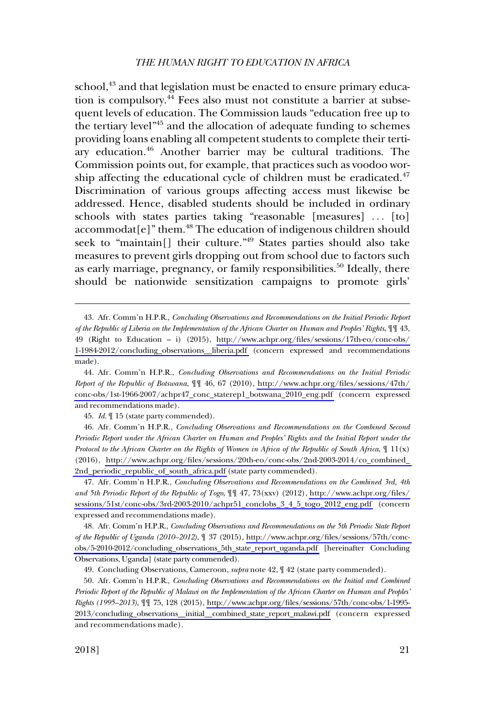school,<sup>43</sup> and that legislation must be enacted to ensure primary education is compulsory. $^{44}$  Fees also must not constitute a barrier at subsequent levels of education. The Commission lauds "education free up to the tertiary level"45 and the allocation of adequate funding to schemes providing loans enabling all competent students to complete their tertiary education.<sup>46</sup> Another barrier may be cultural traditions. The Commission points out, for example, that practices such as voodoo worship affecting the educational cycle of children must be eradicated. $47$ Discrimination of various groups affecting access must likewise be addressed. Hence, disabled students should be included in ordinary schools with states parties taking "reasonable [measures] ... [to] accommodat[e]" them.<sup>48</sup> The education of indigenous children should seek to "maintain[] their culture."49 States parties should also take measures to prevent girls dropping out from school due to factors such as early marriage, pregnancy, or family responsibilities.<sup>50</sup> Ideally, there should be nationwide sensitization campaigns to promote girls'

45. *Id*. ¶ 15 (state party commended).

Afr. Comm'n H.P.R., *Concluding Observations and Recommendations on the Combined Second*  46. *Periodic Report under the African Charter on Human and Peoples' Rights and the Initial Report under the Protocol to the African Charter on the Rights of Women in Africa of the Republic of South Africa*, ¶ 11(x) (2016), [http://www.achpr.org/files/sessions/20th-eo/conc-obs/2nd-2003-2014/co\\_combined\\_](http://www.achpr.org/files/sessions/20th-eo/conc-obs/2nd-2003-2014/co_combined_2nd_periodic_republic_of_south_africa.pdf)  [2nd\\_periodic\\_republic\\_of\\_south\\_africa.pdf](http://www.achpr.org/files/sessions/20th-eo/conc-obs/2nd-2003-2014/co_combined_2nd_periodic_republic_of_south_africa.pdf) (state party commended).

Afr. Comm'n H.P.R., *Concluding Observations and Recommendations on the Combined 3rd, 4th*  47. *and 5th Periodic Report of the Republic of Togo*, ¶¶ 47, 73(xxv) (2012), [http://www.achpr.org/files/](http://www.achpr.org/files/sessions/51st/conc-obs/3rd-2003-2010/achpr51_conclobs_3_4_5_togo_2012_eng.pdf) [sessions/51st/conc-obs/3rd-2003-2010/achpr51\\_conclobs\\_3\\_4\\_5\\_togo\\_2012\\_eng.pdf](http://www.achpr.org/files/sessions/51st/conc-obs/3rd-2003-2010/achpr51_conclobs_3_4_5_togo_2012_eng.pdf) (concern expressed and recommendations made).

Afr. Comm'n H.P.R., *Concluding Observations and Recommendations on the 5th Periodic State Report*  48. *of the Republic of Uganda (2010–2012)*, ¶ 37 (2015), [http://www.achpr.org/files/sessions/57th/conc](http://www.achpr.org/files/sessions/57th/conc-obs/5-2010-2012/concluding_observations_5th_state_report_uganda.pdf)[obs/5-2010-2012/concluding\\_observations\\_5th\\_state\\_report\\_uganda.pdf](http://www.achpr.org/files/sessions/57th/conc-obs/5-2010-2012/concluding_observations_5th_state_report_uganda.pdf) [hereinafter Concluding Observations, Uganda] (state party commended).

49. Concluding Observations, Cameroon, *supra* note 42, ¶ 42 (state party commended).

Afr. Comm'n H.P.R., *Concluding Observations and Recommendations on the Initial and Combined*  50. *Periodic Report of the Republic of Malawi on the Implementation of the African Charter on Human and Peoples' Rights (1995–2013)*, ¶¶ 75, 128 (2015), [http://www.achpr.org/files/sessions/57th/conc-obs/1-1995-](http://www.achpr.org/files/sessions/57th/conc-obs/1-1995-2013/concluding_observations__initial__combined_state_report_malawi.pdf)  [2013/concluding\\_observations\\_\\_initial\\_\\_combined\\_state\\_report\\_malawi.pdf](http://www.achpr.org/files/sessions/57th/conc-obs/1-1995-2013/concluding_observations__initial__combined_state_report_malawi.pdf) (concern expressed and recommendations made).

Afr. Comm'n H.P.R., *Concluding Observations and Recommendations on the Initial Periodic Report*  43. *of the Republic of Liberia on the Implementation of the African Charter on Human and Peoples' Rights*, ¶¶ 43, 49 (Right to Education – i) (2015), [http://www.achpr.org/files/sessions/17th-eo/conc-obs/](http://www.achpr.org/files/sessions/17th-eo/conc-obs/1-1984-2012/concluding_observations__liberia.pdf)  [1-1984-2012/concluding\\_observations\\_\\_liberia.pdf](http://www.achpr.org/files/sessions/17th-eo/conc-obs/1-1984-2012/concluding_observations__liberia.pdf) (concern expressed and recommendations made).

Afr. Comm'n H.P.R., *Concluding Observations and Recommendations on the Initial Periodic*  44. *Report of the Republic of Botswana*, ¶¶ 46, 67 (2010), [http://www.achpr.org/files/sessions/47th/](http://www.achpr.org/files/sessions/47th/conc-obs/1st-1966-2007/achpr47_conc_staterep1_botswana_2010_eng.pdf)  [conc-obs/1st-1966-2007/achpr47\\_conc\\_staterep1\\_botswana\\_2010\\_eng.pdf](http://www.achpr.org/files/sessions/47th/conc-obs/1st-1966-2007/achpr47_conc_staterep1_botswana_2010_eng.pdf) (concern expressed and recommendations made).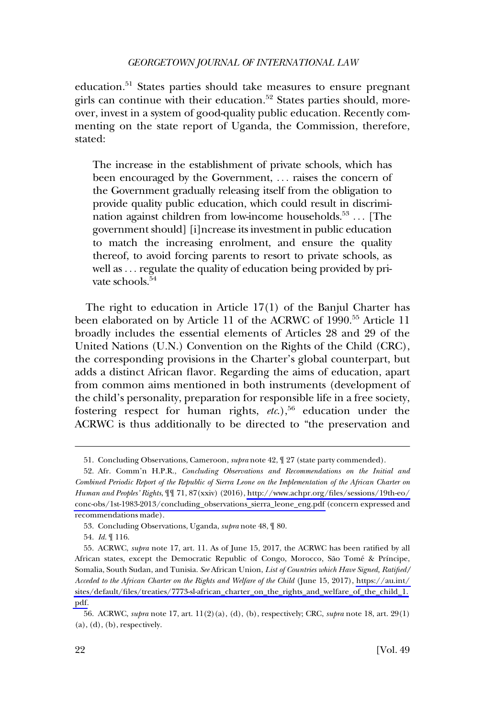education.<sup>51</sup> States parties should take measures to ensure pregnant girls can continue with their education.<sup>52</sup> States parties should, moreover, invest in a system of good-quality public education. Recently commenting on the state report of Uganda, the Commission, therefore, stated:

The increase in the establishment of private schools, which has been encouraged by the Government, ... raises the concern of the Government gradually releasing itself from the obligation to provide quality public education, which could result in discrimination against children from low-income households.<sup>53</sup>  $\dots$  [The government should] [i]ncrease its investment in public education to match the increasing enrolment, and ensure the quality thereof, to avoid forcing parents to resort to private schools, as well as . . . regulate the quality of education being provided by private schools.<sup>54</sup>

The right to education in Article 17(1) of the Banjul Charter has been elaborated on by Article 11 of the ACRWC of 1990.<sup>55</sup> Article 11 broadly includes the essential elements of Articles 28 and 29 of the United Nations (U.N.) Convention on the Rights of the Child (CRC), the corresponding provisions in the Charter's global counterpart, but adds a distinct African flavor. Regarding the aims of education, apart from common aims mentioned in both instruments (development of the child's personality, preparation for responsible life in a free society, fostering respect for human rights, *etc.*),<sup>56</sup> education under the ACRWC is thus additionally to be directed to "the preservation and

<sup>51.</sup> Concluding Observations, Cameroon, *supra* note 42, ¶ 27 (state party commended).

Afr. Comm'n H.P.R., *Concluding Observations and Recommendations on the Initial and*  52. *Combined Periodic Report of the Republic of Sierra Leone on the Implementation of the African Charter on Human and Peoples' Rights*, ¶¶ 71, 87(xxiv) (2016), [http://www.achpr.org/files/sessions/19th-eo/](http://www.achpr.org/files/sessions/19th-eo/conc-obs/1st-1983-2013/concluding_observations_sierra_leone_eng.pdf)  [conc-obs/1st-1983-2013/concluding\\_observations\\_sierra\\_leone\\_eng.pdf](http://www.achpr.org/files/sessions/19th-eo/conc-obs/1st-1983-2013/concluding_observations_sierra_leone_eng.pdf) (concern expressed and recommendations made).

<sup>53.</sup> Concluding Observations, Uganda, *supra* note 48, ¶ 80.

<sup>54.</sup> *Id*. ¶ 116.

<sup>55.</sup> ACRWC, *supra* note 17, art. 11. As of June 15, 2017, the ACRWC has been ratified by all African states, except the Democratic Republic of Congo, Morocco, São Tomé & Príncipe, Somalia, South Sudan, and Tunisia. *See* African Union, *List of Countries which Have Signed, Ratified/ Acceded to the African Charter on the Rights and Welfare of the Child* (June 15, 2017), [https://au.int/](https://au.int/sites/default/files/treaties/7773-sl-african_charter_on_the_rights_and_welfare_of_the_child_1.pdf)  [sites/default/files/treaties/7773-sl-african\\_charter\\_on\\_the\\_rights\\_and\\_welfare\\_of\\_the\\_child\\_1.](https://au.int/sites/default/files/treaties/7773-sl-african_charter_on_the_rights_and_welfare_of_the_child_1.pdf)  [pdf.](https://au.int/sites/default/files/treaties/7773-sl-african_charter_on_the_rights_and_welfare_of_the_child_1.pdf)

<sup>56.</sup> ACRWC, *supra* note 17, art. 11(2)(a), (d), (b), respectively; CRC, *supra* note 18, art. 29(1)  $(a)$ ,  $(d)$ ,  $(b)$ , respectively.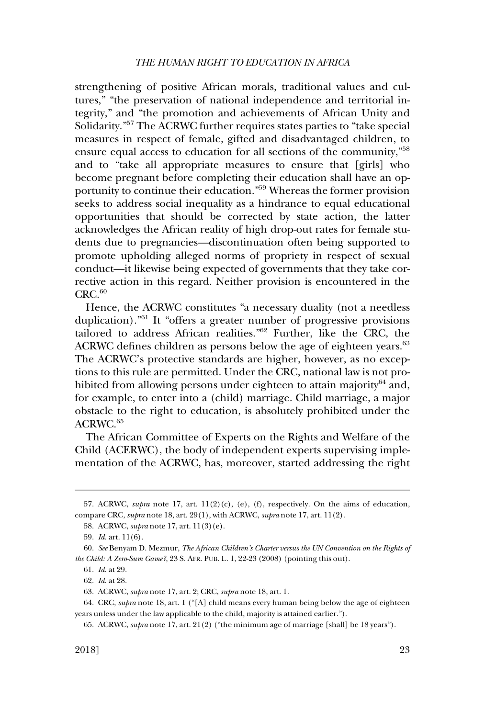strengthening of positive African morals, traditional values and cultures," "the preservation of national independence and territorial integrity," and "the promotion and achievements of African Unity and Solidarity."57 The ACRWC further requires states parties to "take special measures in respect of female, gifted and disadvantaged children, to ensure equal access to education for all sections of the community,"58 and to "take all appropriate measures to ensure that [girls] who become pregnant before completing their education shall have an opportunity to continue their education."59 Whereas the former provision seeks to address social inequality as a hindrance to equal educational opportunities that should be corrected by state action, the latter acknowledges the African reality of high drop-out rates for female students due to pregnancies—discontinuation often being supported to promote upholding alleged norms of propriety in respect of sexual conduct—it likewise being expected of governments that they take corrective action in this regard. Neither provision is encountered in the  $CRC<sub>.60</sub>$ 

Hence, the ACRWC constitutes "a necessary duality (not a needless duplication)."61 It "offers a greater number of progressive provisions tailored to address African realities."62 Further, like the CRC, the ACRWC defines children as persons below the age of eighteen years.<sup>63</sup> The ACRWC's protective standards are higher, however, as no exceptions to this rule are permitted. Under the CRC, national law is not prohibited from allowing persons under eighteen to attain majority $64$  and, for example, to enter into a (child) marriage. Child marriage, a major obstacle to the right to education, is absolutely prohibited under the ACRWC.<sup>65</sup>

The African Committee of Experts on the Rights and Welfare of the Child (ACERWC), the body of independent experts supervising implementation of the ACRWC, has, moreover, started addressing the right

<sup>57.</sup> ACRWC, *supra* note 17, art.  $11(2)(c)$ , (e), (f), respectively. On the aims of education, compare CRC, *supra* note 18, art. 29(1), with ACRWC, *supra* note 17, art. 11(2).

<sup>58.</sup> ACRWC, *supra* note 17, art. 11(3)(e).

<sup>59.</sup> *Id*. art. 11(6).

<sup>60.</sup> *See* Benyam D. Mezmur, *The African Children's Charter versus the UN Convention on the Rights of the Child: A Zero-Sum Game?*, 23 S. AFR. PUB. L. 1, 22-23 (2008) (pointing this out).

<sup>61.</sup> *Id*. at 29.

<sup>62.</sup> *Id*. at 28.

<sup>63.</sup> ACRWC, *supra* note 17, art. 2; CRC, *supra* note 18, art. 1.

<sup>64.</sup> CRC, *supra* note 18, art. 1 ("[A] child means every human being below the age of eighteen years unless under the law applicable to the child, majority is attained earlier.").

<sup>65.</sup> ACRWC, *supra* note 17, art. 21(2) ("the minimum age of marriage [shall] be 18 years").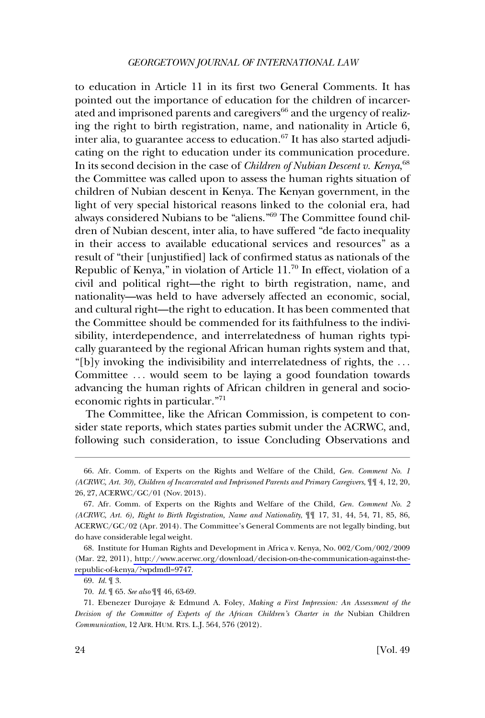to education in Article 11 in its first two General Comments. It has pointed out the importance of education for the children of incarcerated and imprisoned parents and caregivers<sup>66</sup> and the urgency of realizing the right to birth registration, name, and nationality in Article 6, inter alia, to guarantee access to education.<sup>67</sup> It has also started adjudicating on the right to education under its communication procedure. In its second decision in the case of *Children of Nubian Descent v. Kenya*, 68 the Committee was called upon to assess the human rights situation of children of Nubian descent in Kenya. The Kenyan government, in the light of very special historical reasons linked to the colonial era, had always considered Nubians to be "aliens."69 The Committee found children of Nubian descent, inter alia, to have suffered "de facto inequality in their access to available educational services and resources" as a result of "their [unjustified] lack of confirmed status as nationals of the Republic of Kenya," in violation of Article  $11$ .<sup>70</sup> In effect, violation of a civil and political right—the right to birth registration, name, and nationality—was held to have adversely affected an economic, social, and cultural right—the right to education. It has been commented that the Committee should be commended for its faithfulness to the indivisibility, interdependence, and interrelatedness of human rights typically guaranteed by the regional African human rights system and that, "[b]y invoking the indivisibility and interrelatedness of rights, the . . . Committee ... would seem to be laying a good foundation towards advancing the human rights of African children in general and socioeconomic rights in particular."<sup>71</sup>

The Committee, like the African Commission, is competent to consider state reports, which states parties submit under the ACRWC, and, following such consideration, to issue Concluding Observations and

<sup>66.</sup> Afr. Comm. of Experts on the Rights and Welfare of the Child, *Gen. Comment No. 1 (ACRWC, Art. 30), Children of Incarcerated and Imprisoned Parents and Primary Caregivers*, ¶¶ 4, 12, 20, 26, 27, ACERWC/GC/01 (Nov. 2013).

<sup>67.</sup> Afr. Comm. of Experts on the Rights and Welfare of the Child, *Gen. Comment No. 2 (ACRWC, Art. 6), Right to Birth Registration, Name and Nationality*, ¶¶ 17, 31, 44, 54, 71, 85, 86, ACERWC/GC/02 (Apr. 2014). The Committee's General Comments are not legally binding, but do have considerable legal weight.

<sup>68.</sup> Institute for Human Rights and Development in Africa v. Kenya, No. 002/Com/002/2009 (Mar. 22, 2011), [http://www.acerwc.org/download/decision-on-the-communication-against-the](http://www.acerwc.org/download/decision-on-the-communication-against-the-republic-of-kenya/?wpdmdl=9747)[republic-of-kenya/?wpdmdl=9747.](http://www.acerwc.org/download/decision-on-the-communication-against-the-republic-of-kenya/?wpdmdl=9747)

<sup>69.</sup> *Id*. ¶ 3.

<sup>70.</sup> *Id*. ¶ 65. *See also* ¶¶ 46, 63-69.

<sup>71.</sup> Ebenezer Durojaye & Edmund A. Foley, *Making a First Impression: An Assessment of the Decision of the Committee of Experts of the African Children's Charter in the* Nubian Children *Communication*, 12 AFR. HUM. RTS. L.J. 564, 576 (2012).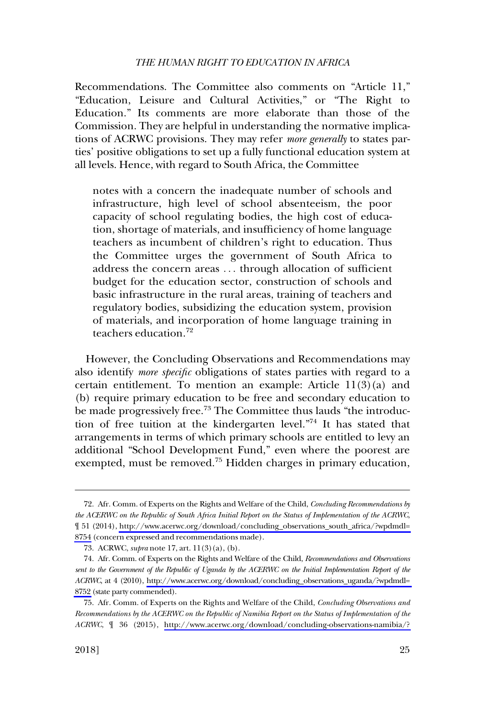Recommendations. The Committee also comments on "Article 11," "Education, Leisure and Cultural Activities," or "The Right to Education." Its comments are more elaborate than those of the Commission. They are helpful in understanding the normative implications of ACRWC provisions. They may refer *more generally* to states parties' positive obligations to set up a fully functional education system at all levels. Hence, with regard to South Africa, the Committee

notes with a concern the inadequate number of schools and infrastructure, high level of school absenteeism, the poor capacity of school regulating bodies, the high cost of education, shortage of materials, and insufficiency of home language teachers as incumbent of children's right to education. Thus the Committee urges the government of South Africa to address the concern areas . . . through allocation of sufficient budget for the education sector, construction of schools and basic infrastructure in the rural areas, training of teachers and regulatory bodies, subsidizing the education system, provision of materials, and incorporation of home language training in teachers education.<sup>72</sup>

However, the Concluding Observations and Recommendations may also identify *more specific* obligations of states parties with regard to a certain entitlement. To mention an example: Article 11(3)(a) and (b) require primary education to be free and secondary education to be made progressively free.<sup>73</sup> The Committee thus lauds "the introduction of free tuition at the kindergarten level."74 It has stated that arrangements in terms of which primary schools are entitled to levy an additional "School Development Fund," even where the poorest are exempted, must be removed.<sup>75</sup> Hidden charges in primary education,

Afr. Comm. of Experts on the Rights and Welfare of the Child, *Concluding Recommendations by*  72. *the ACERWC on the Republic of South Africa Initial Report on the Status of Implementation of the ACRWC*, ¶ 51 (2014), [http://www.acerwc.org/download/concluding\\_observations\\_south\\_africa/?wpdmdl=](http://www.acerwc.org/download/concluding_observations_south_africa/?wpdmdl=8754)  [8754](http://www.acerwc.org/download/concluding_observations_south_africa/?wpdmdl=8754) (concern expressed and recommendations made).

<sup>73.</sup> ACRWC, *supra* note 17, art. 11(3)(a), (b).

Afr. Comm. of Experts on the Rights and Welfare of the Child, *Recommendations and Observations*  74. *sent to the Government of the Republic of Uganda by the ACERWC on the Initial Implementation Report of the ACRWC*, at 4 (2010), [http://www.acerwc.org/download/concluding\\_observations\\_uganda/?wpdmdl=](http://www.acerwc.org/download/concluding_observations_uganda/?wpdmdl=8752)  [8752](http://www.acerwc.org/download/concluding_observations_uganda/?wpdmdl=8752) (state party commended).

<sup>75.</sup> Afr. Comm. of Experts on the Rights and Welfare of the Child, *Concluding Observations and Recommendations by the ACERWC on the Republic of Namibia Report on the Status of Implementation of the ACRWC*, ¶ 36 (2015), [http://www.acerwc.org/download/concluding-observations-namibia/?](http://www.acerwc.org/download/concluding-observations-namibia/?wpdmdl=10072)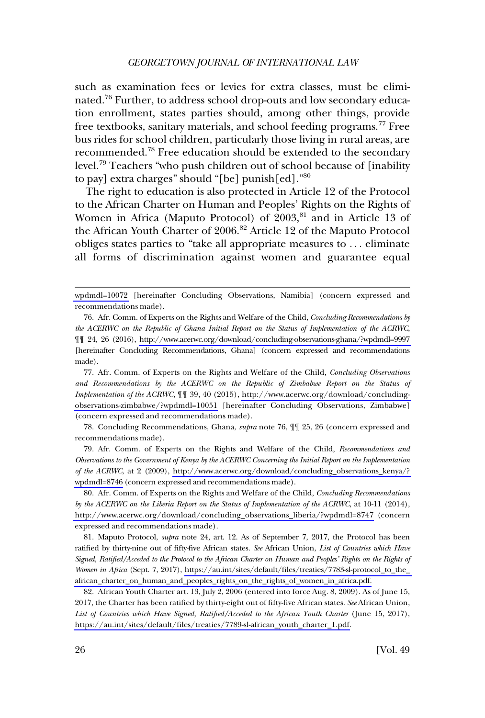such as examination fees or levies for extra classes, must be eliminated.76 Further, to address school drop-outs and low secondary education enrollment, states parties should, among other things, provide free textbooks, sanitary materials, and school feeding programs.<sup>77</sup> Free bus rides for school children, particularly those living in rural areas, are recommended.78 Free education should be extended to the secondary level.79 Teachers "who push children out of school because of [inability to pay] extra charges" should "[be] punish[ed]."<sup>80</sup>

The right to education is also protected in Article 12 of the Protocol to the African Charter on Human and Peoples' Rights on the Rights of Women in Africa (Maputo Protocol) of 2003,<sup>81</sup> and in Article 13 of the African Youth Charter of 2006.<sup>82</sup> Article 12 of the Maputo Protocol obliges states parties to "take all appropriate measures to . . . eliminate all forms of discrimination against women and guarantee equal

Afr. Comm. of Experts on the Rights and Welfare of the Child, *Concluding Observations*  77. *and Recommendations by the ACERWC on the Republic of Zimbabwe Report on the Status of Implementation of the ACRWC*, ¶¶ 39, 40 (2015), [http://www.acerwc.org/download/concluding](http://www.acerwc.org/download/concluding-observations-zimbabwe/?wpdmdl=10051)[observations-zimbabwe/?wpdmdl=10051](http://www.acerwc.org/download/concluding-observations-zimbabwe/?wpdmdl=10051) [hereinafter Concluding Observations, Zimbabwe] (concern expressed and recommendations made).

78. Concluding Recommendations, Ghana, *supra* note 76, ¶¶ 25, 26 (concern expressed and recommendations made).

Afr. Comm. of Experts on the Rights and Welfare of the Child, *Recommendations and*  79. *Observations to the Government of Kenya by the ACERWC Concerning the Initial Report on the Implementation of the ACRWC*, at 2 (2009), [http://www.acerwc.org/download/concluding\\_observations\\_kenya/?](http://www.acerwc.org/download/concluding_observations_kenya/?wpdmdl=8746)  [wpdmdl=8746](http://www.acerwc.org/download/concluding_observations_kenya/?wpdmdl=8746) (concern expressed and recommendations made).

Afr. Comm. of Experts on the Rights and Welfare of the Child, *Concluding Recommendations*  80. *by the ACERWC on the Liberia Report on the Status of Implementation of the ACRWC*, at 10-11 (2014), [http://www.acerwc.org/download/concluding\\_observations\\_liberia/?wpdmdl=8747](http://www.acerwc.org/download/concluding_observations_liberia/?wpdmdl=8747) (concern expressed and recommendations made).

81. Maputo Protocol, *supra* note 24, art. 12. As of September 7, 2017, the Protocol has been ratified by thirty-nine out of fifty-five African states. *See* African Union, *List of Countries which Have Signed, Ratified/Acceded to the Protocol to the African Charter on Human and Peoples' Rights on the Rights of Women in Africa* (Sept. 7, 2017), [https://au.int/sites/default/files/treaties/7783-sl-protocol\\_to\\_the\\_](https://au.int/sites/default/files/treaties/7783-sl-protocol_to_the_african_charter_on_human_and_peoples_rights_on_the_rights_of_women_in_africa.pdf)  [african\\_charter\\_on\\_human\\_and\\_peoples\\_rights\\_on\\_the\\_rights\\_of\\_women\\_in\\_africa.pdf.](https://au.int/sites/default/files/treaties/7783-sl-protocol_to_the_african_charter_on_human_and_peoples_rights_on_the_rights_of_women_in_africa.pdf)

African Youth Charter art. 13, July 2, 2006 (entered into force Aug. 8, 2009). As of June 15, 82. 2017, the Charter has been ratified by thirty-eight out of fifty-five African states. *See* African Union, List of Countries which Have Signed, Ratified/Acceded to the African Youth Charter (June 15, 2017), [https://au.int/sites/default/files/treaties/7789-sl-african\\_youth\\_charter\\_1.pdf.](https://au.int/sites/default/files/treaties/7789-sl-african_youth_charter_1.pdf)

[wpdmdl=10072](http://www.acerwc.org/download/concluding-observations-namibia/?wpdmdl=10072) [hereinafter Concluding Observations, Namibia] (concern expressed and recommendations made).

<sup>76.</sup>  Afr. Comm. of Experts on the Rights and Welfare of the Child, *Concluding Recommendations by the ACERWC on the Republic of Ghana Initial Report on the Status of Implementation of the ACRWC*, ¶¶ 24, 26 (2016), <http://www.acerwc.org/download/concluding-observations-ghana/?wpdmdl=9997> [hereinafter Concluding Recommendations, Ghana] (concern expressed and recommendations made).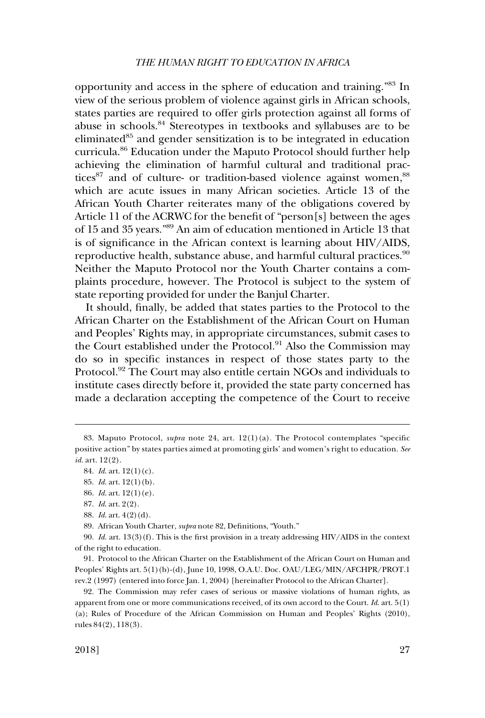opportunity and access in the sphere of education and training."<sup>83</sup> In view of the serious problem of violence against girls in African schools, states parties are required to offer girls protection against all forms of abuse in schools.84 Stereotypes in textbooks and syllabuses are to be eliminated $85$  and gender sensitization is to be integrated in education curricula.86 Education under the Maputo Protocol should further help achieving the elimination of harmful cultural and traditional practices<sup>87</sup> and of culture- or tradition-based violence against women, <sup>88</sup> which are acute issues in many African societies. Article 13 of the African Youth Charter reiterates many of the obligations covered by Article 11 of the ACRWC for the benefit of "person[s] between the ages of 15 and 35 years."89 An aim of education mentioned in Article 13 that is of significance in the African context is learning about HIV/AIDS, reproductive health, substance abuse, and harmful cultural practices.<sup>90</sup> Neither the Maputo Protocol nor the Youth Charter contains a complaints procedure, however. The Protocol is subject to the system of state reporting provided for under the Banjul Charter.

It should, finally, be added that states parties to the Protocol to the African Charter on the Establishment of the African Court on Human and Peoples' Rights may, in appropriate circumstances, submit cases to the Court established under the Protocol.<sup>91</sup> Also the Commission may do so in specific instances in respect of those states party to the Protocol.<sup>92</sup> The Court may also entitle certain NGOs and individuals to institute cases directly before it, provided the state party concerned has made a declaration accepting the competence of the Court to receive

89. African Youth Charter, *supra* note 82, Definitions, "Youth."

90. *Id*. art. 13(3)(f). This is the first provision in a treaty addressing HIV/AIDS in the context of the right to education.

91. Protocol to the African Charter on the Establishment of the African Court on Human and Peoples' Rights art. 5(1)(b)-(d), June 10, 1998, O.A.U. Doc. OAU/LEG/MIN/AFCHPR/PROT.1 rev.2 (1997) (entered into force Jan. 1, 2004) [hereinafter Protocol to the African Charter].

92. The Commission may refer cases of serious or massive violations of human rights, as apparent from one or more communications received, of its own accord to the Court. *Id*. art. 5(1) (a); Rules of Procedure of the African Commission on Human and Peoples' Rights (2010), rules 84(2), 118(3).

<sup>83.</sup> Maputo Protocol, *supra* note 24, art. 12(1)(a). The Protocol contemplates "specific positive action" by states parties aimed at promoting girls' and women's right to education. *See id*. art. 12(2).

<sup>84.</sup> *Id*. art. 12(1)(c).

<sup>85.</sup> *Id*. art. 12(1)(b).

<sup>86.</sup> *Id*. art. 12(1)(e).

<sup>87.</sup> *Id*. art. 2(2).

<sup>88.</sup> *Id*. art. 4(2)(d).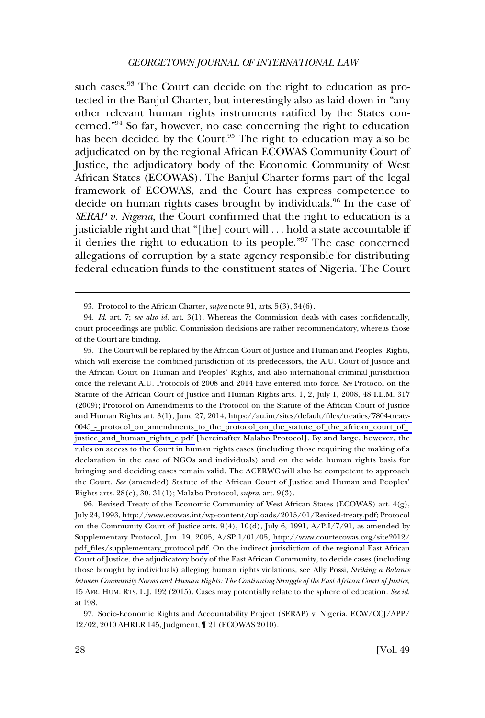such cases.<sup>93</sup> The Court can decide on the right to education as protected in the Banjul Charter, but interestingly also as laid down in "any other relevant human rights instruments ratified by the States concerned."94 So far, however, no case concerning the right to education has been decided by the Court.<sup>95</sup> The right to education may also be adjudicated on by the regional African ECOWAS Community Court of Justice, the adjudicatory body of the Economic Community of West African States (ECOWAS). The Banjul Charter forms part of the legal framework of ECOWAS, and the Court has express competence to decide on human rights cases brought by individuals.<sup>96</sup> In the case of *SERAP v. Nigeria*, the Court confirmed that the right to education is a justiciable right and that "[the] court will . . . hold a state accountable if it denies the right to education to its people."97 The case concerned allegations of corruption by a state agency responsible for distributing federal education funds to the constituent states of Nigeria. The Court

The Court will be replaced by the African Court of Justice and Human and Peoples' Rights, 95. which will exercise the combined jurisdiction of its predecessors, the A.U. Court of Justice and the African Court on Human and Peoples' Rights, and also international criminal jurisdiction once the relevant A.U. Protocols of 2008 and 2014 have entered into force. *See* Protocol on the Statute of the African Court of Justice and Human Rights arts. 1, 2, July 1, 2008, 48 I.L.M. 317 (2009); Protocol on Amendments to the Protocol on the Statute of the African Court of Justice and Human Rights art. 3(1), June 27, 2014, [https://au.int/sites/default/files/treaties/7804-treaty-](https://au.int/sites/default/files/treaties/7804-treaty-0045_-_protocol_on_amendments_to_the_protocol_on_the_statute_of_the_african_court_of_justice_and_human_rights_e.pdf)[0045\\_-\\_protocol\\_on\\_amendments\\_to\\_the\\_protocol\\_on\\_the\\_statute\\_of\\_the\\_african\\_court\\_of\\_](https://au.int/sites/default/files/treaties/7804-treaty-0045_-_protocol_on_amendments_to_the_protocol_on_the_statute_of_the_african_court_of_justice_and_human_rights_e.pdf)  [justice\\_and\\_human\\_rights\\_e.pdf](https://au.int/sites/default/files/treaties/7804-treaty-0045_-_protocol_on_amendments_to_the_protocol_on_the_statute_of_the_african_court_of_justice_and_human_rights_e.pdf) [hereinafter Malabo Protocol]. By and large, however, the rules on access to the Court in human rights cases (including those requiring the making of a declaration in the case of NGOs and individuals) and on the wide human rights basis for bringing and deciding cases remain valid. The ACERWC will also be competent to approach the Court. *See* (amended) Statute of the African Court of Justice and Human and Peoples' Rights arts. 28(c), 30, 31(1); Malabo Protocol, *supra*, art. 9(3).

96. Revised Treaty of the Economic Community of West African States (ECOWAS) art.  $4(g)$ , July 24, 1993, [http://www.ecowas.int/wp-content/uploads/2015/01/Revised-treaty.pdf;](http://www.ecowas.int/wp-content/uploads/2015/01/Revised-treaty.pdf) Protocol on the Community Court of Justice arts.  $9(4)$ ,  $10(d)$ , July 6, 1991,  $A/P.I/7/91$ , as amended by Supplementary Protocol, Jan. 19, 2005, A/SP.1/01/05, [http://www.courtecowas.org/site2012/](http://www.courtecowas.org/site2012/pdf_files/supplementary_protocol.pdf) [pdf\\_files/supplementary\\_protocol.pdf.](http://www.courtecowas.org/site2012/pdf_files/supplementary_protocol.pdf) On the indirect jurisdiction of the regional East African Court of Justice, the adjudicatory body of the East African Community, to decide cases (including those brought by individuals) alleging human rights violations, see Ally Possi, *Striking a Balance between Community Norms and Human Rights: The Continuing Struggle of the East African Court of Justice*, 15 AFR. HUM. RTS. L.J. 192 (2015). Cases may potentially relate to the sphere of education. *See id*. at 198.

97. Socio-Economic Rights and Accountability Project (SERAP) v. Nigeria, ECW/CCJ/APP/ 12/02, 2010 AHRLR 145, Judgment, ¶ 21 (ECOWAS 2010).

<sup>93.</sup> Protocol to the African Charter, *supra* note 91, arts. 5(3), 34(6).

<sup>94.</sup> *Id*. art. 7; *see also id*. art. 3(1). Whereas the Commission deals with cases confidentially, court proceedings are public. Commission decisions are rather recommendatory, whereas those of the Court are binding.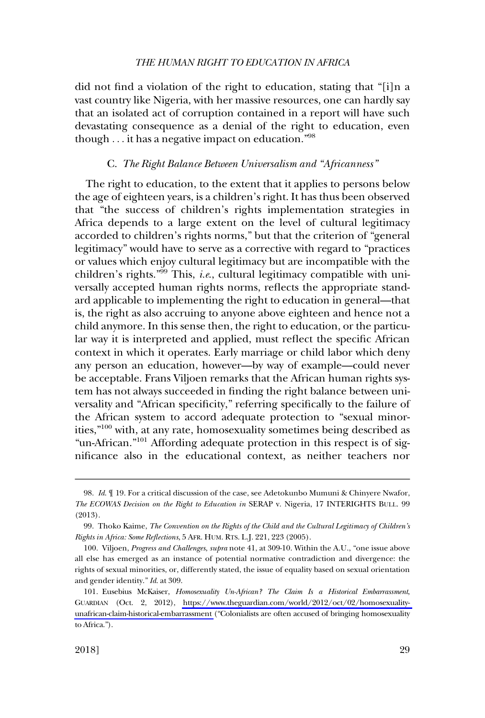<span id="page-20-0"></span>did not find a violation of the right to education, stating that "[i]n a vast country like Nigeria, with her massive resources, one can hardly say that an isolated act of corruption contained in a report will have such devastating consequence as a denial of the right to education, even though  $\ldots$  it has a negative impact on education."<sup>98</sup>

## C. *The Right Balance Between Universalism and "Africanness"*

The right to education, to the extent that it applies to persons below the age of eighteen years, is a children's right. It has thus been observed that "the success of children's rights implementation strategies in Africa depends to a large extent on the level of cultural legitimacy accorded to children's rights norms," but that the criterion of "general legitimacy" would have to serve as a corrective with regard to "practices or values which enjoy cultural legitimacy but are incompatible with the children's rights."99 This, *i.e*., cultural legitimacy compatible with universally accepted human rights norms, reflects the appropriate standard applicable to implementing the right to education in general—that is, the right as also accruing to anyone above eighteen and hence not a child anymore. In this sense then, the right to education, or the particular way it is interpreted and applied, must reflect the specific African context in which it operates. Early marriage or child labor which deny any person an education, however—by way of example—could never be acceptable. Frans Viljoen remarks that the African human rights system has not always succeeded in finding the right balance between universality and "African specificity," referring specifically to the failure of the African system to accord adequate protection to "sexual minorities,"100 with, at any rate, homosexuality sometimes being described as "un-African."<sup>101</sup> Affording adequate protection in this respect is of significance also in the educational context, as neither teachers nor

<sup>98.</sup> *Id*. ¶ 19. For a critical discussion of the case, see Adetokunbo Mumuni & Chinyere Nwafor, *The ECOWAS Decision on the Right to Education in* SERAP v. Nigeria, 17 INTERIGHTS BULL. 99 (2013).

<sup>99.</sup> Thoko Kaime, *The Convention on the Rights of the Child and the Cultural Legitimacy of Children's Rights in Africa: Some Reflections*, 5 AFR. HUM. RTS. L.J. 221, 223 (2005).

<sup>100.</sup> Viljoen, *Progress and Challenges*, *supra* note 41, at 309-10. Within the A.U., "one issue above all else has emerged as an instance of potential normative contradiction and divergence: the rights of sexual minorities, or, differently stated, the issue of equality based on sexual orientation and gender identity." *Id*. at 309.

Eusebius McKaiser, *Homosexuality Un-African? The Claim Is a Historical Embarrassment*, 101. GUARDIAN (Oct. 2, 2012), [https://www.theguardian.com/world/2012/oct/02/homosexuality](https://www.theguardian.com/world/2012/oct/02/homosexuality-unafrican-claim-historical-embarrassment)[unafrican-claim-historical-embarrassment](https://www.theguardian.com/world/2012/oct/02/homosexuality-unafrican-claim-historical-embarrassment) ("Colonialists are often accused of bringing homosexuality to Africa.").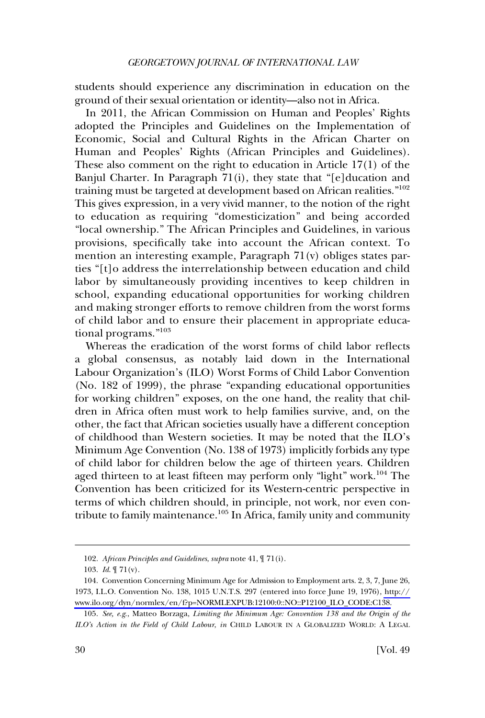students should experience any discrimination in education on the ground of their sexual orientation or identity—also not in Africa.

In 2011, the African Commission on Human and Peoples' Rights adopted the Principles and Guidelines on the Implementation of Economic, Social and Cultural Rights in the African Charter on Human and Peoples' Rights (African Principles and Guidelines). These also comment on the right to education in Article 17(1) of the Banjul Charter. In Paragraph 71(i), they state that "[e]ducation and training must be targeted at development based on African realities."<sup>102</sup> This gives expression, in a very vivid manner, to the notion of the right to education as requiring "domesticization" and being accorded "local ownership." The African Principles and Guidelines, in various provisions, specifically take into account the African context. To mention an interesting example, Paragraph 71(v) obliges states parties "[t]o address the interrelationship between education and child labor by simultaneously providing incentives to keep children in school, expanding educational opportunities for working children and making stronger efforts to remove children from the worst forms of child labor and to ensure their placement in appropriate educational programs."<sup>103</sup>

Whereas the eradication of the worst forms of child labor reflects a global consensus, as notably laid down in the International Labour Organization's (ILO) Worst Forms of Child Labor Convention (No. 182 of 1999), the phrase "expanding educational opportunities for working children" exposes, on the one hand, the reality that children in Africa often must work to help families survive, and, on the other, the fact that African societies usually have a different conception of childhood than Western societies. It may be noted that the ILO's Minimum Age Convention (No. 138 of 1973) implicitly forbids any type of child labor for children below the age of thirteen years. Children aged thirteen to at least fifteen may perform only "light" work.<sup>104</sup> The Convention has been criticized for its Western-centric perspective in terms of which children should, in principle, not work, nor even contribute to family maintenance.105 In Africa, family unity and community

<sup>102.</sup> *African Principles and Guidelines*, *supra* note 41, ¶ 71(i).

<sup>103.</sup> *Id*. ¶ 71(v).

<sup>104.</sup> Convention Concerning Minimum Age for Admission to Employment arts. 2, 3, 7, June 26, 1973, I.L.O. Convention No. 138, 1015 U.N.T.S. 297 (entered into force June 19, 1976), [http://](http://www.ilo.org/dyn/normlex/en/f?p=NORMLEXPUB:12100:0::NO::P12100_ILO_CODE:C138)  [www.ilo.org/dyn/normlex/en/f?p=NORMLEXPUB:12100:0::NO::P12100\\_ILO\\_CODE:C138.](http://www.ilo.org/dyn/normlex/en/f?p=NORMLEXPUB:12100:0::NO::P12100_ILO_CODE:C138)

<sup>105.</sup> *See, e.g*., Matteo Borzaga, *Limiting the Minimum Age: Convention 138 and the Origin of the ILO's Action in the Field of Child Labour*, *in* CHILD LABOUR IN A GLOBALIZED WORLD: A LEGAL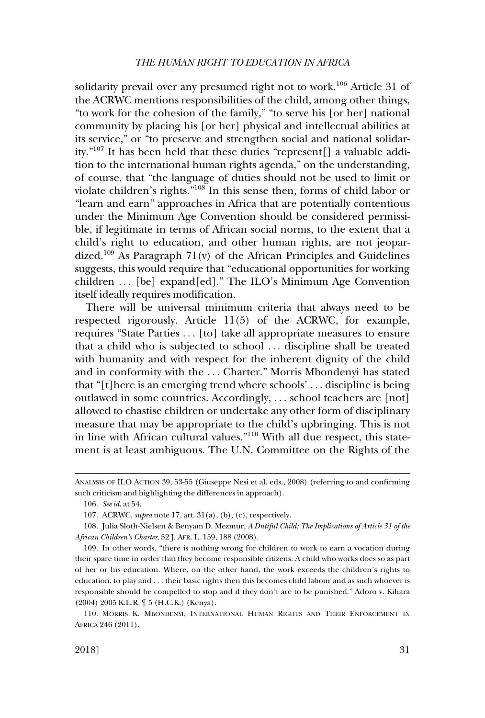solidarity prevail over any presumed right not to work.<sup>106</sup> Article 31 of the ACRWC mentions responsibilities of the child, among other things, "to work for the cohesion of the family," "to serve his [or her] national community by placing his [or her] physical and intellectual abilities at its service," or "to preserve and strengthen social and national solidarity."107 It has been held that these duties "represent[] a valuable addition to the international human rights agenda," on the understanding, of course, that "the language of duties should not be used to limit or violate children's rights."108 In this sense then, forms of child labor or "learn and earn" approaches in Africa that are potentially contentious under the Minimum Age Convention should be considered permissible, if legitimate in terms of African social norms, to the extent that a child's right to education, and other human rights, are not jeopardized.<sup>109</sup> As Paragraph 71(v) of the African Principles and Guidelines suggests, this would require that "educational opportunities for working children . . . [be] expand[ed]." The ILO's Minimum Age Convention itself ideally requires modification.

There will be universal minimum criteria that always need to be respected rigorously. Article 11(5) of the ACRWC, for example, requires "State Parties . . . [to] take all appropriate measures to ensure that a child who is subjected to school . . . discipline shall be treated with humanity and with respect for the inherent dignity of the child and in conformity with the . . . Charter." Morris Mbondenyi has stated that "[t]here is an emerging trend where schools' . . . discipline is being outlawed in some countries. Accordingly, . . . school teachers are [not] allowed to chastise children or undertake any other form of disciplinary measure that may be appropriate to the child's upbringing. This is not in line with African cultural values."110 With all due respect, this statement is at least ambiguous. The U.N. Committee on the Rights of the

ANALYSIS OF ILO ACTION 39, 53-55 (Giuseppe Nesi et al. eds., 2008) (referring to and confirming such criticism and highlighting the differences in approach).

<sup>106.</sup> *See id*. at 54.

<sup>107.</sup> ACRWC, *supra* note 17, art. 31(a), (b), (c), respectively.

<sup>108.</sup> Julia Sloth-Nielsen & Benyam D. Mezmur, *A Dutiful Child: The Implications of Article 31 of the African Children's Charter*, 52 J. AFR. L. 159, 188 (2008).

<sup>109.</sup> In other words, "there is nothing wrong for children to work to earn a vocation during their spare time in order that they become responsible citizens. A child who works does so as part of her or his education. Where, on the other hand, the work exceeds the children's rights to education, to play and . . . their basic rights then this becomes child labour and as such whoever is responsible should be compelled to stop and if they don't are to be punished." Adoro v. Kihara (2004) 2005 K.L.R. ¶ 5 (H.C.K.) (Kenya).

<sup>110.</sup> MORRIS K. MBONDENYI, INTERNATIONAL HUMAN RIGHTS AND THEIR ENFORCEMENT IN AFRICA 246 (2011).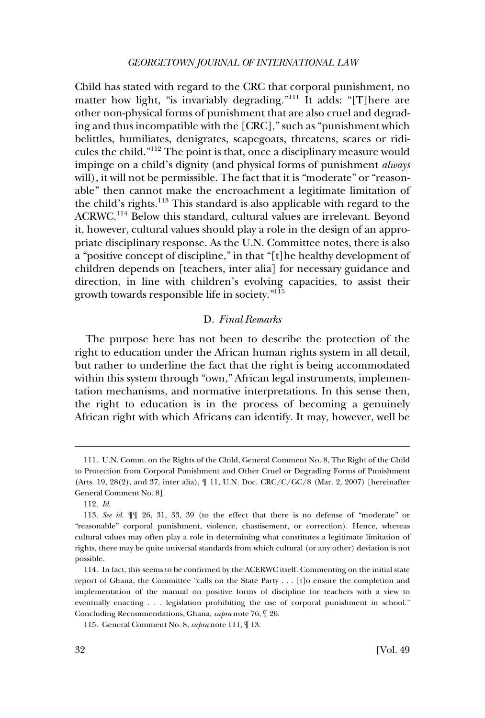<span id="page-23-0"></span>Child has stated with regard to the CRC that corporal punishment, no matter how light, "is invariably degrading."<sup>111</sup> It adds: "[T] here are other non-physical forms of punishment that are also cruel and degrading and thus incompatible with the [CRC]," such as "punishment which belittles, humiliates, denigrates, scapegoats, threatens, scares or ridicules the child."112 The point is that, once a disciplinary measure would impinge on a child's dignity (and physical forms of punishment *always*  will), it will not be permissible. The fact that it is "moderate" or "reasonable" then cannot make the encroachment a legitimate limitation of the child's rights.<sup>113</sup> This standard is also applicable with regard to the ACRWC.114 Below this standard, cultural values are irrelevant. Beyond it, however, cultural values should play a role in the design of an appropriate disciplinary response. As the U.N. Committee notes, there is also a "positive concept of discipline," in that "[t]he healthy development of children depends on [teachers, inter alia] for necessary guidance and direction, in line with children's evolving capacities, to assist their growth towards responsible life in society."115

## D. *Final Remarks*

The purpose here has not been to describe the protection of the right to education under the African human rights system in all detail, but rather to underline the fact that the right is being accommodated within this system through "own," African legal instruments, implementation mechanisms, and normative interpretations. In this sense then, the right to education is in the process of becoming a genuinely African right with which Africans can identify. It may, however, well be

<sup>111.</sup> U.N. Comm. on the Rights of the Child, General Comment No. 8, The Right of the Child to Protection from Corporal Punishment and Other Cruel or Degrading Forms of Punishment (Arts. 19, 28(2), and 37, inter alia), ¶ 11, U.N. Doc. CRC/C/GC/8 (Mar. 2, 2007) [hereinafter General Comment No. 8].

<sup>112.</sup> *Id*.

<sup>113.</sup> *See id*. ¶¶ 26, 31, 33, 39 (to the effect that there is no defense of "moderate" or "reasonable" corporal punishment, violence, chastisement, or correction). Hence, whereas cultural values may often play a role in determining what constitutes a legitimate limitation of rights, there may be quite universal standards from which cultural (or any other) deviation is not possible.

<sup>114.</sup> In fact, this seems to be confirmed by the ACERWC itself. Commenting on the initial state report of Ghana, the Committee "calls on the State Party . . . [t]o ensure the completion and implementation of the manual on positive forms of discipline for teachers with a view to eventually enacting . . . legislation prohibiting the use of corporal punishment in school." Concluding Recommendations, Ghana, *supra* note 76, ¶ 26.

<sup>115.</sup> General Comment No. 8, *supra* note 111, ¶ 13.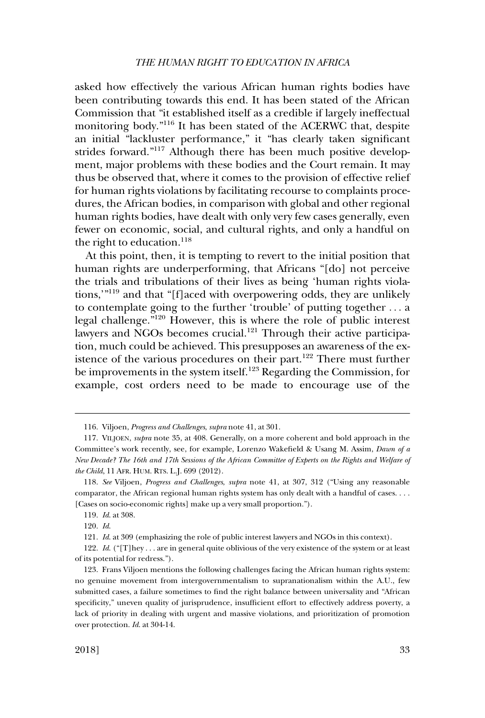asked how effectively the various African human rights bodies have been contributing towards this end. It has been stated of the African Commission that "it established itself as a credible if largely ineffectual monitoring body."116 It has been stated of the ACERWC that, despite an initial "lackluster performance," it "has clearly taken significant strides forward."<sup>117</sup> Although there has been much positive development, major problems with these bodies and the Court remain. It may thus be observed that, where it comes to the provision of effective relief for human rights violations by facilitating recourse to complaints procedures, the African bodies, in comparison with global and other regional human rights bodies, have dealt with only very few cases generally, even fewer on economic, social, and cultural rights, and only a handful on the right to education. $^{118}$ 

At this point, then, it is tempting to revert to the initial position that human rights are underperforming, that Africans "[do] not perceive the trials and tribulations of their lives as being 'human rights violations,'"119 and that "[f]aced with overpowering odds, they are unlikely to contemplate going to the further 'trouble' of putting together . . . a legal challenge."120 However, this is where the role of public interest lawyers and NGOs becomes crucial.<sup>121</sup> Through their active participation, much could be achieved. This presupposes an awareness of the existence of the various procedures on their part.122 There must further be improvements in the system itself.<sup>123</sup> Regarding the Commission, for example, cost orders need to be made to encourage use of the

<sup>116.</sup> Viljoen, *Progress and Challenges*, *supra* note 41, at 301.

<sup>117.</sup> VILJOEN, *supra* note 35, at 408. Generally, on a more coherent and bold approach in the Committee's work recently, see, for example, Lorenzo Wakefield & Usang M. Assim, *Dawn of a New Decade? The 16th and 17th Sessions of the African Committee of Experts on the Rights and Welfare of the Child*, 11 AFR. HUM. RTS. L.J. 699 (2012).

<sup>118.</sup> *See* Viljoen, *Progress and Challenges*, *supra* note 41, at 307, 312 ("Using any reasonable comparator, the African regional human rights system has only dealt with a handful of cases. . . . [Cases on socio-economic rights] make up a very small proportion.").

<sup>119.</sup> *Id*. at 308.

<sup>120.</sup> *Id*.

<sup>121.</sup> *Id*. at 309 (emphasizing the role of public interest lawyers and NGOs in this context).

<sup>122.</sup> *Id*. ("[T]hey . . . are in general quite oblivious of the very existence of the system or at least of its potential for redress.").

<sup>123.</sup> Frans Viljoen mentions the following challenges facing the African human rights system: no genuine movement from intergovernmentalism to supranationalism within the A.U., few submitted cases, a failure sometimes to find the right balance between universality and "African specificity," uneven quality of jurisprudence, insufficient effort to effectively address poverty, a lack of priority in dealing with urgent and massive violations, and prioritization of promotion over protection. *Id*. at 304-14.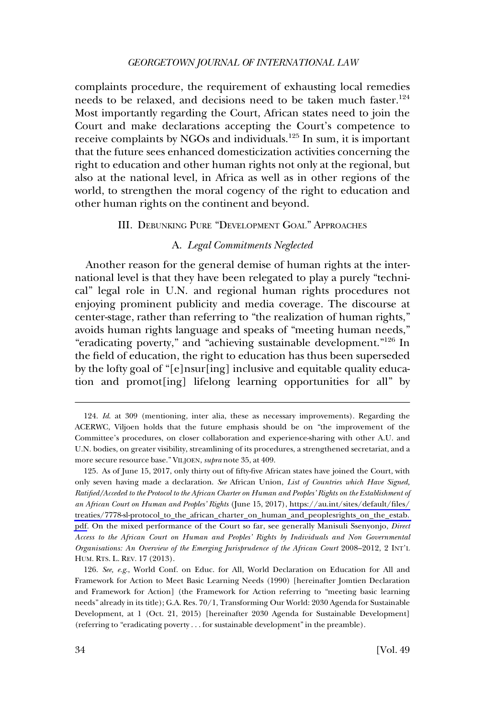<span id="page-25-0"></span>complaints procedure, the requirement of exhausting local remedies needs to be relaxed, and decisions need to be taken much faster.<sup>124</sup> Most importantly regarding the Court, African states need to join the Court and make declarations accepting the Court's competence to receive complaints by NGOs and individuals.<sup>125</sup> In sum, it is important that the future sees enhanced domesticization activities concerning the right to education and other human rights not only at the regional, but also at the national level, in Africa as well as in other regions of the world, to strengthen the moral cogency of the right to education and other human rights on the continent and beyond.

## III. DEBUNKING PURE "DEVELOPMENT GOAL" APPROACHES

## A. *Legal Commitments Neglected*

Another reason for the general demise of human rights at the international level is that they have been relegated to play a purely "technical" legal role in U.N. and regional human rights procedures not enjoying prominent publicity and media coverage. The discourse at center-stage, rather than referring to "the realization of human rights," avoids human rights language and speaks of "meeting human needs," "eradicating poverty," and "achieving sustainable development."126 In the field of education, the right to education has thus been superseded by the lofty goal of "[e]nsur[ing] inclusive and equitable quality education and promot[ing] lifelong learning opportunities for all" by

<sup>124.</sup> *Id*. at 309 (mentioning, inter alia, these as necessary improvements). Regarding the ACERWC, Viljoen holds that the future emphasis should be on "the improvement of the Committee's procedures, on closer collaboration and experience-sharing with other A.U. and U.N. bodies, on greater visibility, streamlining of its procedures, a strengthened secretariat, and a more secure resource base." VILJOEN, *supra* note 35, at 409.

<sup>125.</sup> As of June 15, 2017, only thirty out of fifty-five African states have joined the Court, with only seven having made a declaration. *See* African Union, *List of Countries which Have Signed, Ratified/Acceded to the Protocol to the African Charter on Human and Peoples' Rights on the Establishment of an African Court on Human and Peoples' Rights* (June 15, 2017), [https://au.int/sites/default/files/](https://au.int/sites/default/files/treaties/7778-sl-protocol_to_the_african_charter_on_human_and_peoplesrights_on_the_estab.pdf) [treaties/7778-sl-protocol\\_to\\_the\\_african\\_charter\\_on\\_human\\_and\\_peoplesrights\\_on\\_the\\_estab.](https://au.int/sites/default/files/treaties/7778-sl-protocol_to_the_african_charter_on_human_and_peoplesrights_on_the_estab.pdf)  [pdf](https://au.int/sites/default/files/treaties/7778-sl-protocol_to_the_african_charter_on_human_and_peoplesrights_on_the_estab.pdf). On the mixed performance of the Court so far, see generally Manisuli Ssenyonjo, *Direct Access to the African Court on Human and Peoples' Rights by Individuals and Non Governmental Organisations: An Overview of the Emerging Jurisprudence of the African Court 2008–2012, 2 INT'L* HUM. RTS. L. REV. 17 (2013).

<sup>126.</sup> *See, e.g*., World Conf. on Educ. for All, World Declaration on Education for All and Framework for Action to Meet Basic Learning Needs (1990) [hereinafter Jomtien Declaration and Framework for Action] (the Framework for Action referring to "meeting basic learning needs" already in its title); G.A. Res. 70/1, Transforming Our World: 2030 Agenda for Sustainable Development, at 1 (Oct. 21, 2015) [hereinafter 2030 Agenda for Sustainable Development] (referring to "eradicating poverty . . . for sustainable development" in the preamble).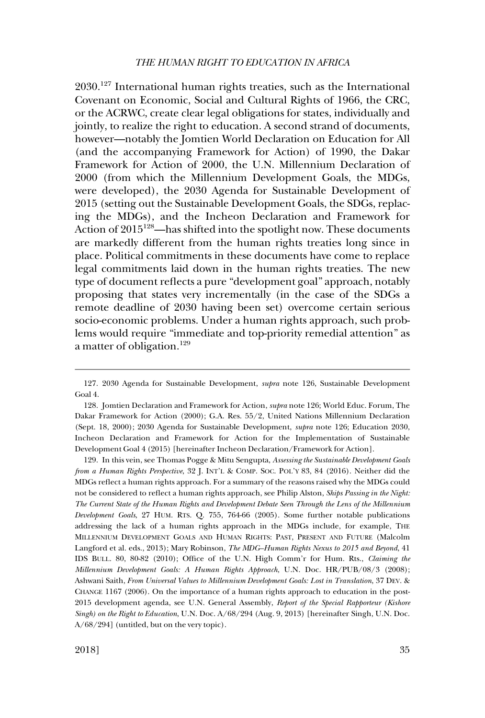2030.127 International human rights treaties, such as the International Covenant on Economic, Social and Cultural Rights of 1966, the CRC, or the ACRWC, create clear legal obligations for states, individually and jointly, to realize the right to education. A second strand of documents, however—notably the Jomtien World Declaration on Education for All (and the accompanying Framework for Action) of 1990, the Dakar Framework for Action of 2000, the U.N. Millennium Declaration of 2000 (from which the Millennium Development Goals, the MDGs, were developed), the 2030 Agenda for Sustainable Development of 2015 (setting out the Sustainable Development Goals, the SDGs, replacing the MDGs), and the Incheon Declaration and Framework for Action of 2015<sup>128</sup>—has shifted into the spotlight now. These documents are markedly different from the human rights treaties long since in place. Political commitments in these documents have come to replace legal commitments laid down in the human rights treaties. The new type of document reflects a pure "development goal" approach, notably proposing that states very incrementally (in the case of the SDGs a remote deadline of 2030 having been set) overcome certain serious socio-economic problems. Under a human rights approach, such problems would require "immediate and top-priority remedial attention" as a matter of obligation.129

129. In this vein, see Thomas Pogge & Mitu Sengupta, *Assessing the Sustainable Development Goals from a Human Rights Perspective*, 32 J. INT'L & COMP. SOC. POL'Y 83, 84 (2016). Neither did the MDGs reflect a human rights approach. For a summary of the reasons raised why the MDGs could not be considered to reflect a human rights approach, see Philip Alston, *Ships Passing in the Night: The Current State of the Human Rights and Development Debate Seen Through the Lens of the Millennium Development Goals*, 27 HUM. RTS. Q. 755, 764-66 (2005). Some further notable publications addressing the lack of a human rights approach in the MDGs include, for example, THE MILLENNIUM DEVELOPMENT GOALS AND HUMAN RIGHTS: PAST, PRESENT AND FUTURE (Malcolm Langford et al. eds., 2013); Mary Robinson, *The MDG–Human Rights Nexus to 2015 and Beyond*, 41 IDS BULL. 80, 80-82 (2010); Office of the U.N. High Comm'r for Hum. Rts., *Claiming the Millennium Development Goals: A Human Rights Approach*, U.N. Doc. HR/PUB/08/3 (2008); Ashwani Saith, *From Universal Values to Millennium Development Goals: Lost in Translation*, 37 DEV. & CHANGE 1167 (2006). On the importance of a human rights approach to education in the post-2015 development agenda, see U.N. General Assembly, *Report of the Special Rapporteur (Kishore Singh) on the Right to Education*, U.N. Doc. A/68/294 (Aug. 9, 2013) [hereinafter Singh, U.N. Doc. A/68/294] (untitled, but on the very topic).

<sup>127. 2030</sup> Agenda for Sustainable Development, *supra* note 126, Sustainable Development Goal 4.

<sup>128.</sup> Jomtien Declaration and Framework for Action, *supra* note 126; World Educ. Forum, The Dakar Framework for Action (2000); G.A. Res. 55/2, United Nations Millennium Declaration (Sept. 18, 2000); 2030 Agenda for Sustainable Development, *supra* note 126; Education 2030, Incheon Declaration and Framework for Action for the Implementation of Sustainable Development Goal 4 (2015) [hereinafter Incheon Declaration/Framework for Action].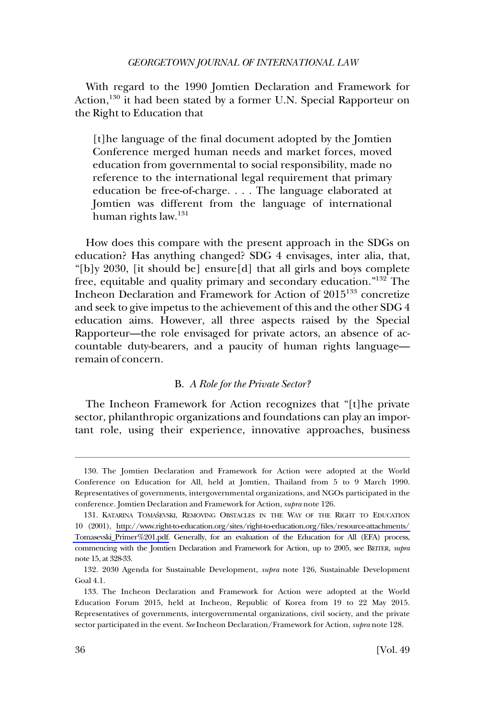<span id="page-27-0"></span>With regard to the 1990 Jomtien Declaration and Framework for Action,<sup>130</sup> it had been stated by a former U.N. Special Rapporteur on the Right to Education that

[t]he language of the final document adopted by the Jomtien Conference merged human needs and market forces, moved education from governmental to social responsibility, made no reference to the international legal requirement that primary education be free-of-charge. . . . The language elaborated at Jomtien was different from the language of international human rights  $law.<sup>131</sup>$ 

How does this compare with the present approach in the SDGs on education? Has anything changed? SDG 4 envisages, inter alia, that, "[b]y 2030, [it should be] ensure[d] that all girls and boys complete free, equitable and quality primary and secondary education."132 The Incheon Declaration and Framework for Action of 2015133 concretize and seek to give impetus to the achievement of this and the other SDG 4 education aims. However, all three aspects raised by the Special Rapporteur—the role envisaged for private actors, an absence of accountable duty-bearers, and a paucity of human rights language remain of concern.

#### B. *A Role for the Private Sector?*

The Incheon Framework for Action recognizes that "[t]he private sector, philanthropic organizations and foundations can play an important role, using their experience, innovative approaches, business

<sup>130.</sup> The Jomtien Declaration and Framework for Action were adopted at the World Conference on Education for All, held at Jomtien, Thailand from 5 to 9 March 1990. Representatives of governments, intergovernmental organizations, and NGOs participated in the conference. Jomtien Declaration and Framework for Action, *supra* note 126.

<sup>131.</sup> KATARINA TOMAŠEVSKI, REMOVING OBSTACLES IN THE WAY OF THE RIGHT TO EDUCATION 10 (2001), [http://www.right-to-education.org/sites/right-to-education.org/files/resource-attachments/](http://www.right-to-education.org/sites/right-to-education.org/files/resource-attachments/Tomasevski_Primer%201.pdf)  [Tomasevski\\_Primer%201.pdf.](http://www.right-to-education.org/sites/right-to-education.org/files/resource-attachments/Tomasevski_Primer%201.pdf) Generally, for an evaluation of the Education for All (EFA) process, commencing with the Jomtien Declaration and Framework for Action, up to 2005, see BEITER, *supra*  note 15, at 328-33.

<sup>132. 2030</sup> Agenda for Sustainable Development, *supra* note 126, Sustainable Development Goal 4.1.

<sup>133.</sup> The Incheon Declaration and Framework for Action were adopted at the World Education Forum 2015, held at Incheon, Republic of Korea from 19 to 22 May 2015. Representatives of governments, intergovernmental organizations, civil society, and the private sector participated in the event. *See* Incheon Declaration/Framework for Action, *supra* note 128.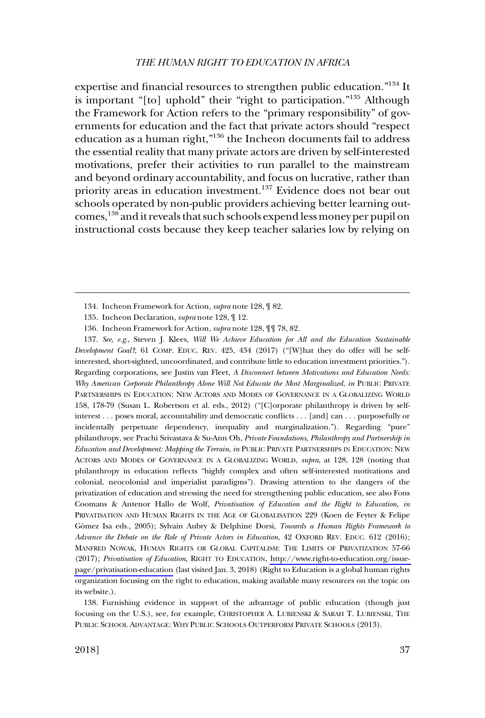expertise and financial resources to strengthen public education."134 It is important "[to] uphold" their "right to participation."135 Although the Framework for Action refers to the "primary responsibility" of governments for education and the fact that private actors should "respect education as a human right,"136 the Incheon documents fail to address the essential reality that many private actors are driven by self-interested motivations, prefer their activities to run parallel to the mainstream and beyond ordinary accountability, and focus on lucrative, rather than priority areas in education investment.<sup>137</sup> Evidence does not bear out schools operated by non-public providers achieving better learning outcomes,138 and it reveals that such schools expend less money per pupil on instructional costs because they keep teacher salaries low by relying on

*See, e.g*., Steven J. Klees, *Will We Achieve Education for All and the Education Sustainable*  137. *Development Goal?*, 61 COMP. EDUC. REV. 425, 434 (2017) ("[W]hat they do offer will be selfinterested, short-sighted, uncoordinated, and contribute little to education investment priorities."). Regarding corporations, see Justin van Fleet, *A Disconnect between Motivations and Education Needs: Why American Corporate Philanthropy Alone Will Not Educate the Most Marginalized*, *in* PUBLIC PRIVATE PARTNERSHIPS IN EDUCATION: NEW ACTORS AND MODES OF GOVERNANCE IN A GLOBALIZING WORLD 158, 178-79 (Susan L. Robertson et al. eds., 2012) ("[C]orporate philanthropy is driven by selfinterest . . . poses moral, accountability and democratic conflicts . . . [and] can . . . purposefully or incidentally perpetuate dependency, inequality and marginalization."). Regarding "pure" philanthropy, see Prachi Srivastava & Su-Ann Oh, *Private Foundations, Philanthropy and Partnership in Education and Development: Mapping the Terrain*, *in* PUBLIC PRIVATE PARTNERSHIPS IN EDUCATION: NEW ACTORS AND MODES OF GOVERNANCE IN A GLOBALIZING WORLD, *supra*, at 128, 128 (noting that philanthropy in education reflects "highly complex and often self-interested motivations and colonial, neocolonial and imperialist paradigms"). Drawing attention to the dangers of the privatization of education and stressing the need for strengthening public education, see also Fons Coomans & Antenor Hallo de Wolf, *Privatisation of Education and the Right to Education*, *in*  PRIVATISATION AND HUMAN RIGHTS IN THE AGE OF GLOBALISATION 229 (Koen de Feyter & Felipe Gómez Isa eds., 2005); Sylvain Aubry & Delphine Dorsi, *Towards a Human Rights Framework to Advance the Debate on the Role of Private Actors in Education*, 42 OXFORD REV. EDUC. 612 (2016); MANFRED NOWAK, HUMAN RIGHTS OR GLOBAL CAPITALISM: THE LIMITS OF PRIVATIZATION 57-66 (2017); *Privatisation of Education*, RIGHT TO EDUCATION, [http://www.right-to-education.org/issue](http://www.right-to-education.org/issue-page/privatisation-education)[page/privatisation-education](http://www.right-to-education.org/issue-page/privatisation-education) (last visited Jan. 3, 2018) (Right to Education is a global human rights organization focusing on the right to education, making available many resources on the topic on its website.).

138. Furnishing evidence in support of the advantage of public education (though just focusing on the U.S.), see, for example, CHRISTOPHER A. LUBIENSKI & SARAH T. LUBIENSKI, THE PUBLIC SCHOOL ADVANTAGE: WHY PUBLIC SCHOOLS OUTPERFORM PRIVATE SCHOOLS (2013).

<sup>134.</sup> Incheon Framework for Action, *supra* note 128, ¶ 82.

<sup>135.</sup> Incheon Declaration, *supra* note 128, ¶ 12.

<sup>136.</sup> Incheon Framework for Action, *supra* note 128, ¶¶ 78, 82.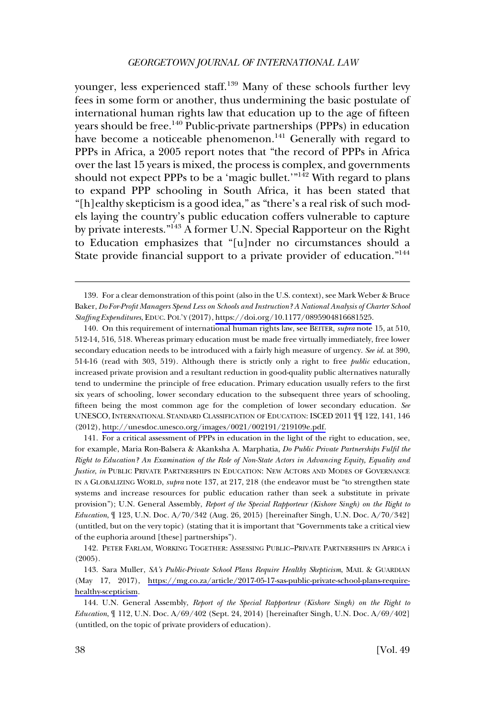younger, less experienced staff.<sup>139</sup> Many of these schools further levy fees in some form or another, thus undermining the basic postulate of international human rights law that education up to the age of fifteen years should be free.<sup>140</sup> Public-private partnerships (PPPs) in education have become a noticeable phenomenon.<sup>141</sup> Generally with regard to PPPs in Africa, a 2005 report notes that "the record of PPPs in Africa over the last 15 years is mixed, the process is complex, and governments should not expect PPPs to be a 'magic bullet.'<sup>"142</sup> With regard to plans to expand PPP schooling in South Africa, it has been stated that "[h]ealthy skepticism is a good idea," as "there's a real risk of such models laying the country's public education coffers vulnerable to capture by private interests."143 A former U.N. Special Rapporteur on the Right to Education emphasizes that "[u]nder no circumstances should a State provide financial support to a private provider of education."<sup>144</sup>

140. On this requirement of international human rights law, see BEITER, *supra* note 15, at 510, 512-14, 516, 518. Whereas primary education must be made free virtually immediately, free lower secondary education needs to be introduced with a fairly high measure of urgency. *See id.* at 390, 514-16 (read with 303, 519). Although there is strictly only a right to free *public* education, increased private provision and a resultant reduction in good-quality public alternatives naturally tend to undermine the principle of free education. Primary education usually refers to the first six years of schooling, lower secondary education to the subsequent three years of schooling, fifteen being the most common age for the completion of lower secondary education. *See*  UNESCO, INTERNATIONAL STANDARD CLASSIFICATION OF EDUCATION: ISCED 2011 ¶¶ 122, 141, 146 (2012), [http://unesdoc.unesco.org/images/0021/002191/219109e.pdf.](http://unesdoc.unesco.org/images/0021/002191/219109e.pdf)

141. For a critical assessment of PPPs in education in the light of the right to education, see, for example, Maria Ron-Balsera & Akanksha A. Marphatia, *Do Public Private Partnerships Fulfil the Right to Education? An Examination of the Role of Non-State Actors in Advancing Equity, Equality and Justice*, *in* PUBLIC PRIVATE PARTNERSHIPS IN EDUCATION: NEW ACTORS AND MODES OF GOVERNANCE IN A GLOBALIZING WORLD, *supra* note 137, at 217, 218 (the endeavor must be "to strengthen state systems and increase resources for public education rather than seek a substitute in private provision"); U.N. General Assembly, *Report of the Special Rapporteur (Kishore Singh) on the Right to Education*, ¶ 123, U.N. Doc. A/70/342 (Aug. 26, 2015) [hereinafter Singh, U.N. Doc. A/70/342] (untitled, but on the very topic) (stating that it is important that "Governments take a critical view of the euphoria around [these] partnerships").

142. PETER FARLAM, WORKING TOGETHER: ASSESSING PUBLIC–PRIVATE PARTNERSHIPS IN AFRICA i (2005).

143. Sara Muller, *SA's Public-Private School Plans Require Healthy Skepticism*, MAIL & GUARDIAN (May 17, 2017), [https://mg.co.za/article/2017-05-17-sas-public-private-school-plans-require](https://mg.co.za/article/2017-05-17-sas-public-private-school-plans-require-healthy-scepticism)[healthy-scepticism](https://mg.co.za/article/2017-05-17-sas-public-private-school-plans-require-healthy-scepticism).

144. U.N. General Assembly, *Report of the Special Rapporteur (Kishore Singh) on the Right to Education*, ¶ 112, U.N. Doc. A/69/402 (Sept. 24, 2014) [hereinafter Singh, U.N. Doc. A/69/402] (untitled, on the topic of private providers of education).

<sup>139.</sup> For a clear demonstration of this point (also in the U.S. context), see Mark Weber & Bruce Baker, *Do For-Profit Managers Spend Less on Schools and Instruction? A National Analysis of Charter School Staffing Expenditures*, EDUC. POL'Y (2017), [https://doi.org/10.1177/0895904816681525.](https://doi.org/10.1177/0895904816681525)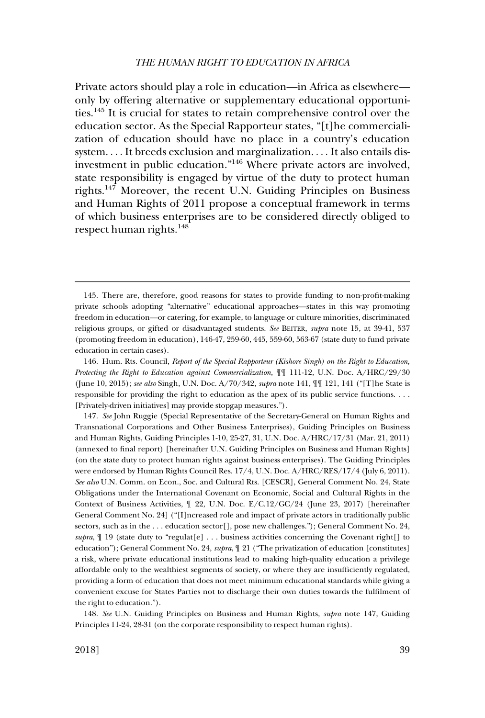Private actors should play a role in education—in Africa as elsewhere only by offering alternative or supplementary educational opportunities.145 It is crucial for states to retain comprehensive control over the education sector. As the Special Rapporteur states, "[t]he commercialization of education should have no place in a country's education system. . . . It breeds exclusion and marginalization. . . . It also entails disinvestment in public education."146 Where private actors are involved, state responsibility is engaged by virtue of the duty to protect human rights.147 Moreover, the recent U.N. Guiding Principles on Business and Human Rights of 2011 propose a conceptual framework in terms of which business enterprises are to be considered directly obliged to respect human rights.<sup>148</sup>

145. There are, therefore, good reasons for states to provide funding to non-profit-making private schools adopting "alternative" educational approaches—states in this way promoting freedom in education—or catering, for example, to language or culture minorities, discriminated religious groups, or gifted or disadvantaged students. *See* BEITER, *supra* note 15, at 39-41, 537 (promoting freedom in education), 146-47, 259-60, 445, 559-60, 563-67 (state duty to fund private education in certain cases).

146. Hum. Rts. Council, *Report of the Special Rapporteur (Kishore Singh) on the Right to Education, Protecting the Right to Education against Commercialization*, ¶¶ 111-12, U.N. Doc. A/HRC/29/30 (June 10, 2015); *see also* Singh, U.N. Doc. A/70/342, *supra* note 141, ¶¶ 121, 141 ("[T]he State is responsible for providing the right to education as the apex of its public service functions. . . . [Privately-driven initiatives] may provide stopgap measures.").

147. *See* John Ruggie (Special Representative of the Secretary-General on Human Rights and Transnational Corporations and Other Business Enterprises), Guiding Principles on Business and Human Rights, Guiding Principles 1-10, 25-27, 31, U.N. Doc. A/HRC/17/31 (Mar. 21, 2011) (annexed to final report) [hereinafter U.N. Guiding Principles on Business and Human Rights] (on the state duty to protect human rights against business enterprises). The Guiding Principles were endorsed by Human Rights Council Res. 17/4, U.N. Doc. A/HRC/RES/17/4 (July 6, 2011). *See also* U.N. Comm. on Econ., Soc. and Cultural Rts. [CESCR], General Comment No. 24, State Obligations under the International Covenant on Economic, Social and Cultural Rights in the Context of Business Activities, ¶ 22, U.N. Doc. E/C.12/GC/24 (June 23, 2017) [hereinafter General Comment No. 24] ("[I]ncreased role and impact of private actors in traditionally public sectors, such as in the . . . education sector[], pose new challenges."); General Comment No. 24, *supra*, ¶ 19 (state duty to "regulat[e] . . . business activities concerning the Covenant right[] to education"); General Comment No. 24, *supra*, ¶ 21 ("The privatization of education [constitutes] a risk, where private educational institutions lead to making high-quality education a privilege affordable only to the wealthiest segments of society, or where they are insufficiently regulated, providing a form of education that does not meet minimum educational standards while giving a convenient excuse for States Parties not to discharge their own duties towards the fulfilment of the right to education.").

148. *See* U.N. Guiding Principles on Business and Human Rights, *supra* note 147, Guiding Principles 11-24, 28-31 (on the corporate responsibility to respect human rights).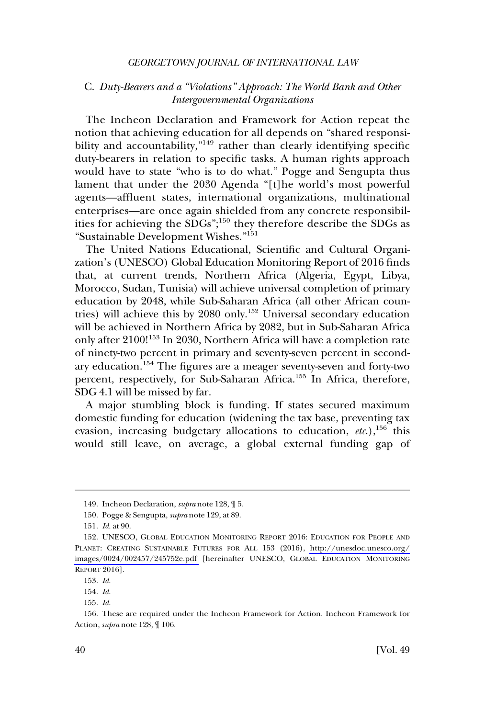## <span id="page-31-0"></span>C. *Duty-Bearers and a "Violations" Approach: The World Bank and Other Intergovernmental Organizations*

The Incheon Declaration and Framework for Action repeat the notion that achieving education for all depends on "shared responsibility and accountability,"<sup>149</sup> rather than clearly identifying specific duty-bearers in relation to specific tasks. A human rights approach would have to state "who is to do what." Pogge and Sengupta thus lament that under the 2030 Agenda "[t]he world's most powerful agents—affluent states, international organizations, multinational enterprises—are once again shielded from any concrete responsibilities for achieving the SDGs";150 they therefore describe the SDGs as "Sustainable Development Wishes."<sup>151</sup>

The United Nations Educational, Scientific and Cultural Organization's (UNESCO) Global Education Monitoring Report of 2016 finds that, at current trends, Northern Africa (Algeria, Egypt, Libya, Morocco, Sudan, Tunisia) will achieve universal completion of primary education by 2048, while Sub-Saharan Africa (all other African countries) will achieve this by 2080 only.<sup>152</sup> Universal secondary education will be achieved in Northern Africa by 2082, but in Sub-Saharan Africa only after 2100!153 In 2030, Northern Africa will have a completion rate of ninety-two percent in primary and seventy-seven percent in secondary education.154 The figures are a meager seventy-seven and forty-two percent, respectively, for Sub-Saharan Africa.<sup>155</sup> In Africa, therefore, SDG 4.1 will be missed by far.

A major stumbling block is funding. If states secured maximum domestic funding for education (widening the tax base, preventing tax evasion, increasing budgetary allocations to education, *etc.*),<sup>156</sup> this would still leave, on average, a global external funding gap of

<sup>149.</sup> Incheon Declaration, *supra* note 128, ¶ 5.

<sup>150.</sup> Pogge & Sengupta, *supra* note 129, at 89.

<sup>151.</sup> *Id*. at 90.

<sup>152.</sup> UNESCO, GLOBAL EDUCATION MONITORING REPORT 2016: EDUCATION FOR PEOPLE AND PLANET: CREATING SUSTAINABLE FUTURES FOR ALL 153 (2016), [http://unesdoc.unesco.org/](http://unesdoc.unesco.org/images/0024/002457/245752e.pdf) [images/0024/002457/245752e.pdf](http://unesdoc.unesco.org/images/0024/002457/245752e.pdf) [hereinafter UNESCO, GLOBAL EDUCATION MONITORING REPORT 2016].

<sup>153.</sup> *Id*.

<sup>154.</sup> *Id*.

<sup>155.</sup> *Id*.

<sup>156.</sup> These are required under the Incheon Framework for Action. Incheon Framework for Action, *supra* note 128, ¶ 106.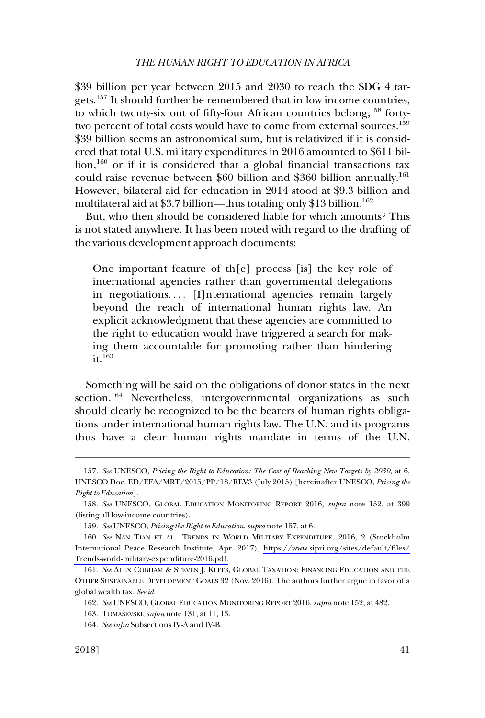\$39 billion per year between 2015 and 2030 to reach the SDG 4 targets.157 It should further be remembered that in low-income countries, to which twenty-six out of fifty-four African countries belong,<sup>158</sup> fortytwo percent of total costs would have to come from external sources.<sup>159</sup> \$39 billion seems an astronomical sum, but is relativized if it is considered that total U.S. military expenditures in 2016 amounted to \$611 bil- $\frac{1}{100}$  or if it is considered that a global financial transactions tax could raise revenue between \$60 billion and \$360 billion annually.<sup>161</sup> However, bilateral aid for education in 2014 stood at \$9.3 billion and multilateral aid at \$3.7 billion—thus totaling only \$13 billion.<sup>162</sup>

But, who then should be considered liable for which amounts? This is not stated anywhere. It has been noted with regard to the drafting of the various development approach documents:

One important feature of th[e] process [is] the key role of international agencies rather than governmental delegations in negotiations.... [I]nternational agencies remain largely beyond the reach of international human rights law. An explicit acknowledgment that these agencies are committed to the right to education would have triggered a search for making them accountable for promoting rather than hindering  $it^{163}$ 

Something will be said on the obligations of donor states in the next section.<sup>164</sup> Nevertheless, intergovernmental organizations as such should clearly be recognized to be the bearers of human rights obligations under international human rights law. The U.N. and its programs thus have a clear human rights mandate in terms of the U.N.

<sup>157.</sup> *See* UNESCO, *Pricing the Right to Education: The Cost of Reaching New Targets by 2030*, at 6, UNESCO Doc. ED/EFA/MRT/2015/PP/18/REV3 (July 2015) [hereinafter UNESCO, *Pricing the Right to Education*].

<sup>158.</sup> *See* UNESCO, GLOBAL EDUCATION MONITORING REPORT 2016, *supra* note 152, at 399 (listing all low-income countries).

<sup>159.</sup> *See* UNESCO, *Pricing the Right to Education*, *supra* note 157, at 6.

<sup>160.</sup> See NAN TIAN ET AL., TRENDS IN WORLD MILITARY EXPENDITURE, 2016, 2 (Stockholm International Peace Research Institute, Apr. 2017), [https://www.sipri.org/sites/default/files/](https://www.sipri.org/sites/default/files/Trends-world-military-expenditure-2016.pdf) [Trends-world-military-expenditure-2016.pdf.](https://www.sipri.org/sites/default/files/Trends-world-military-expenditure-2016.pdf)

<sup>161.</sup> *See* ALEX COBHAM & STEVEN J. KLEES, GLOBAL TAXATION: FINANCING EDUCATION AND THE OTHER SUSTAINABLE DEVELOPMENT GOALS 32 (Nov. 2016). The authors further argue in favor of a global wealth tax. *See id*.

<sup>162.</sup> *See* UNESCO, GLOBAL EDUCATION MONITORING REPORT 2016, *supra* note 152, at 482.

<sup>163.</sup> TOMASˇEVSKI, *supra* note 131, at 11, 13.

<sup>164.</sup> *See infra* Subsections IV-A and IV-B.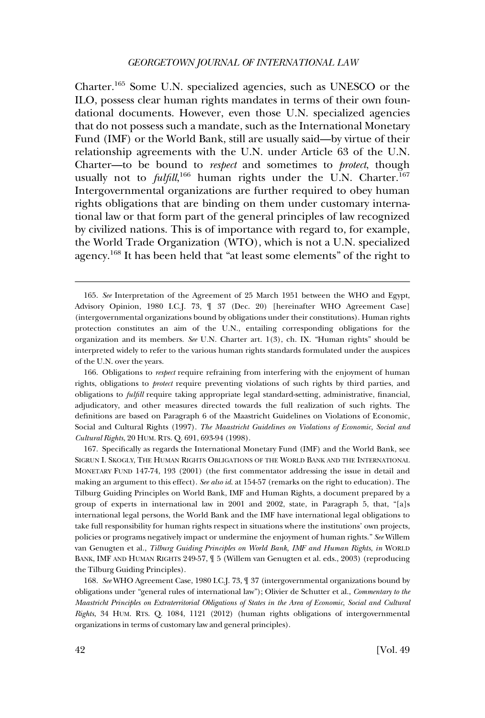Charter.165 Some U.N. specialized agencies, such as UNESCO or the ILO, possess clear human rights mandates in terms of their own foundational documents. However, even those U.N. specialized agencies that do not possess such a mandate, such as the International Monetary Fund (IMF) or the World Bank, still are usually said—by virtue of their relationship agreements with the U.N. under Article 63 of the U.N. Charter—to be bound to *respect* and sometimes to *protect*, though usually not to *fulfill*,<sup>166</sup> human rights under the U.N. Charter.<sup>167</sup> Intergovernmental organizations are further required to obey human rights obligations that are binding on them under customary international law or that form part of the general principles of law recognized by civilized nations. This is of importance with regard to, for example, the World Trade Organization (WTO), which is not a U.N. specialized agency.168 It has been held that "at least some elements" of the right to

<sup>165.</sup> *See* Interpretation of the Agreement of 25 March 1951 between the WHO and Egypt, Advisory Opinion, 1980 I.C.J. 73, ¶ 37 (Dec. 20) [hereinafter WHO Agreement Case] (intergovernmental organizations bound by obligations under their constitutions). Human rights protection constitutes an aim of the U.N., entailing corresponding obligations for the organization and its members. *See* U.N. Charter art. 1(3), ch. IX. "Human rights" should be interpreted widely to refer to the various human rights standards formulated under the auspices of the U.N. over the years.

<sup>166.</sup> Obligations to *respect* require refraining from interfering with the enjoyment of human rights, obligations to *protect* require preventing violations of such rights by third parties, and obligations to *fulfill* require taking appropriate legal standard-setting, administrative, financial, adjudicatory, and other measures directed towards the full realization of such rights. The definitions are based on Paragraph 6 of the Maastricht Guidelines on Violations of Economic, Social and Cultural Rights (1997). *The Maastricht Guidelines on Violations of Economic, Social and Cultural Rights*, 20 HUM. RTS. Q. 691, 693-94 (1998).

<sup>167.</sup> Specifically as regards the International Monetary Fund (IMF) and the World Bank, see SIGRUN I. SKOGLY, THE HUMAN RIGHTS OBLIGATIONS OF THE WORLD BANK AND THE INTERNATIONAL MONETARY FUND 147-74, 193 (2001) (the first commentator addressing the issue in detail and making an argument to this effect). *See also id*. at 154-57 (remarks on the right to education). The Tilburg Guiding Principles on World Bank, IMF and Human Rights, a document prepared by a group of experts in international law in 2001 and 2002, state, in Paragraph 5, that, "[a]s international legal persons, the World Bank and the IMF have international legal obligations to take full responsibility for human rights respect in situations where the institutions' own projects, policies or programs negatively impact or undermine the enjoyment of human rights." *See* Willem van Genugten et al., *Tilburg Guiding Principles on World Bank, IMF and Human Rights*, *in* WORLD BANK, IMF AND HUMAN RIGHTS 249-57, ¶ 5 (Willem van Genugten et al. eds., 2003) (reproducing the Tilburg Guiding Principles).

<sup>168.</sup> *See* WHO Agreement Case, 1980 I.C.J. 73, ¶ 37 (intergovernmental organizations bound by obligations under "general rules of international law"); Olivier de Schutter et al., *Commentary to the Maastricht Principles on Extraterritorial Obligations of States in the Area of Economic, Social and Cultural Rights*, 34 HUM. RTS. Q. 1084, 1121 (2012) (human rights obligations of intergovernmental organizations in terms of customary law and general principles).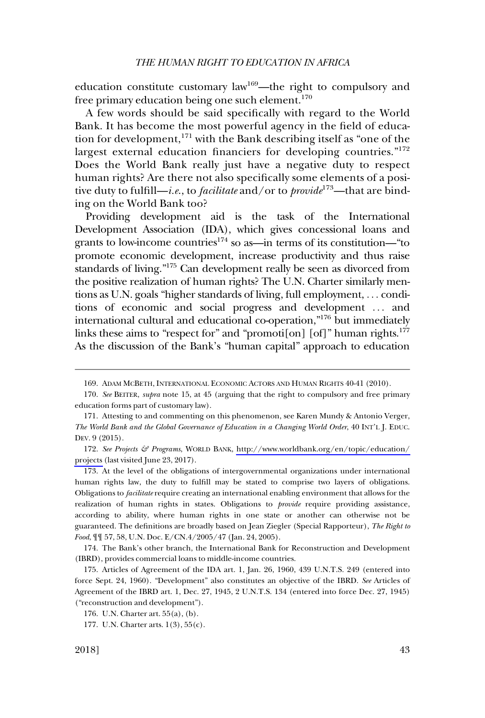education constitute customary  $law<sup>169</sup>$ —the right to compulsory and free primary education being one such element. $170$ 

A few words should be said specifically with regard to the World Bank. It has become the most powerful agency in the field of education for development,<sup>171</sup> with the Bank describing itself as "one of the largest external education financiers for developing countries."<sup>172</sup> Does the World Bank really just have a negative duty to respect human rights? Are there not also specifically some elements of a positive duty to fulfill—*i.e*., to *facilitate* and/or to *provide*173—that are binding on the World Bank too?

Providing development aid is the task of the International Development Association (IDA), which gives concessional loans and grants to low-income countries<sup> $174$ </sup> so as—in terms of its constitution—"to promote economic development, increase productivity and thus raise standards of living."175 Can development really be seen as divorced from the positive realization of human rights? The U.N. Charter similarly mentions as U.N. goals "higher standards of living, full employment, . . . conditions of economic and social progress and development . . . and international cultural and educational co-operation,"176 but immediately links these aims to "respect for" and "promotion  $\lceil \text{of} \rceil$ " human rights.<sup>177</sup> As the discussion of the Bank's "human capital" approach to education

172. See Projects & Programs, WORLD BANK, [http://www.worldbank.org/en/topic/education/](http://www.worldbank.org/en/topic/education/projects) [projects](http://www.worldbank.org/en/topic/education/projects) (last visited June 23, 2017).

173. At the level of the obligations of intergovernmental organizations under international human rights law, the duty to fulfill may be stated to comprise two layers of obligations. Obligations to *facilitate* require creating an international enabling environment that allows for the realization of human rights in states. Obligations to *provide* require providing assistance, according to ability, where human rights in one state or another can otherwise not be guaranteed. The definitions are broadly based on Jean Ziegler (Special Rapporteur), *The Right to Food*, ¶¶ 57, 58, U.N. Doc. E/CN.4/2005/47 (Jan. 24, 2005).

174. The Bank's other branch, the International Bank for Reconstruction and Development (IBRD), provides commercial loans to middle-income countries.

<sup>169.</sup> ADAM MCBETH, INTERNATIONAL ECONOMIC ACTORS AND HUMAN RIGHTS 40-41 (2010).

<sup>170.</sup> *See* BEITER, *supra* note 15, at 45 (arguing that the right to compulsory and free primary education forms part of customary law).

<sup>171.</sup> Attesting to and commenting on this phenomenon, see Karen Mundy & Antonio Verger, *The World Bank and the Global Governance of Education in a Changing World Order*, 40 INT'L J. EDUC. DEV. 9 (2015).

<sup>175.</sup> Articles of Agreement of the IDA art. 1, Jan. 26, 1960, 439 U.N.T.S. 249 (entered into force Sept. 24, 1960). "Development" also constitutes an objective of the IBRD. *See* Articles of Agreement of the IBRD art. 1, Dec. 27, 1945, 2 U.N.T.S. 134 (entered into force Dec. 27, 1945) ("reconstruction and development").

<sup>176.</sup> U.N. Charter art. 55(a), (b).

<sup>177.</sup> U.N. Charter arts. 1(3), 55(c).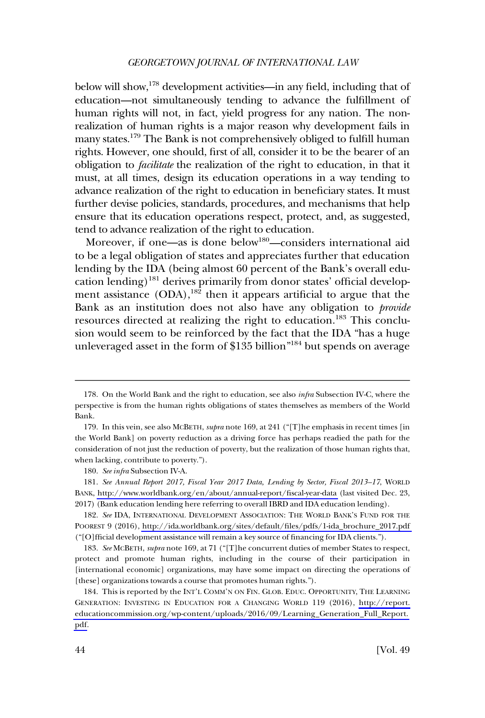below will show,<sup>178</sup> development activities—in any field, including that of education—not simultaneously tending to advance the fulfillment of human rights will not, in fact, yield progress for any nation. The nonrealization of human rights is a major reason why development fails in many states.179 The Bank is not comprehensively obliged to fulfill human rights. However, one should, first of all, consider it to be the bearer of an obligation to *facilitate* the realization of the right to education, in that it must, at all times, design its education operations in a way tending to advance realization of the right to education in beneficiary states. It must further devise policies, standards, procedures, and mechanisms that help ensure that its education operations respect, protect, and, as suggested, tend to advance realization of the right to education.

Moreover, if one—as is done below<sup>180</sup>—considers international aid to be a legal obligation of states and appreciates further that education lending by the IDA (being almost 60 percent of the Bank's overall education lending)<sup>181</sup> derives primarily from donor states' official development assistance  $(DDA)$ ,<sup>182</sup> then it appears artificial to argue that the Bank as an institution does not also have any obligation to *provide*  resources directed at realizing the right to education.<sup>183</sup> This conclusion would seem to be reinforced by the fact that the IDA "has a huge unleveraged asset in the form of \$135 billion"<sup>184</sup> but spends on average

<sup>178.</sup> On the World Bank and the right to education, see also *infra* Subsection IV-C, where the perspective is from the human rights obligations of states themselves as members of the World Bank.

<sup>179.</sup> In this vein, see also MCBETH, *supra* note 169, at 241 ("[T]he emphasis in recent times [in the World Bank] on poverty reduction as a driving force has perhaps readied the path for the consideration of not just the reduction of poverty, but the realization of those human rights that, when lacking, contribute to poverty.").

<sup>180.</sup> *See infra* Subsection IV-A.

*See Annual Report 2017, Fiscal Year 2017 Data, Lending by Sector, Fiscal 2013–17*, WORLD 181. BANK,<http://www.worldbank.org/en/about/annual-report/fiscal-year-data>(last visited Dec. 23, 2017) (Bank education lending here referring to overall IBRD and IDA education lending).

<sup>182.</sup> See IDA, INTERNATIONAL DEVELOPMENT ASSOCIATION: THE WORLD BANK'S FUND FOR THE POOREST 9 (2016), [http://ida.worldbank.org/sites/default/files/pdfs/1-ida\\_brochure\\_2017.pdf](http://ida.worldbank.org/sites/default/files/pdfs/1-ida_brochure_2017.pdf)  ("[O]fficial development assistance will remain a key source of financing for IDA clients.").

<sup>183.</sup> *See* MCBETH, *supra* note 169, at 71 ("[T]he concurrent duties of member States to respect, protect and promote human rights, including in the course of their participation in [international economic] organizations, may have some impact on directing the operations of [these] organizations towards a course that promotes human rights.").

<sup>184.</sup> This is reported by the INT'L COMM'N ON FIN. GLOB. EDUC. OPPORTUNITY, THE LEARNING GENERATION: INVESTING IN EDUCATION FOR A CHANGING WORLD 119 (2016), [http://report.](http://report.educationcommission.org/wp-content/uploads/2016/09/Learning_Generation_Full_Report.pdf) [educationcommission.org/wp-content/uploads/2016/09/Learning\\_Generation\\_Full\\_Report.](http://report.educationcommission.org/wp-content/uploads/2016/09/Learning_Generation_Full_Report.pdf)  [pdf](http://report.educationcommission.org/wp-content/uploads/2016/09/Learning_Generation_Full_Report.pdf).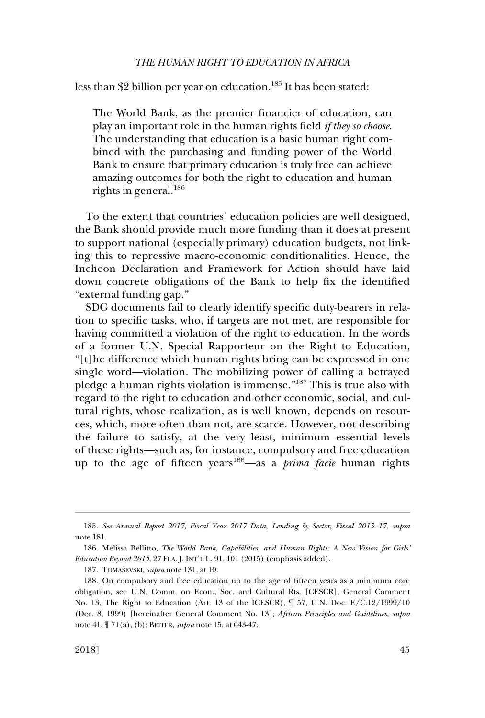less than \$2 billion per year on education.<sup>185</sup> It has been stated:

The World Bank, as the premier financier of education, can play an important role in the human rights field *if they so choose*. The understanding that education is a basic human right combined with the purchasing and funding power of the World Bank to ensure that primary education is truly free can achieve amazing outcomes for both the right to education and human rights in general.<sup>186</sup>

To the extent that countries' education policies are well designed, the Bank should provide much more funding than it does at present to support national (especially primary) education budgets, not linking this to repressive macro-economic conditionalities. Hence, the Incheon Declaration and Framework for Action should have laid down concrete obligations of the Bank to help fix the identified "external funding gap."

SDG documents fail to clearly identify specific duty-bearers in relation to specific tasks, who, if targets are not met, are responsible for having committed a violation of the right to education. In the words of a former U.N. Special Rapporteur on the Right to Education, "[t]he difference which human rights bring can be expressed in one single word—violation. The mobilizing power of calling a betrayed pledge a human rights violation is immense."187 This is true also with regard to the right to education and other economic, social, and cultural rights, whose realization, as is well known, depends on resources, which, more often than not, are scarce. However, not describing the failure to satisfy, at the very least, minimum essential levels of these rights—such as, for instance, compulsory and free education up to the age of fifteen years188—as a *prima facie* human rights

<sup>185.</sup> *See Annual Report 2017, Fiscal Year 2017 Data, Lending by Sector, Fiscal 2013–17*, *supra*  note 181.

<sup>186.</sup> Melissa Bellitto, *The World Bank, Capabilities, and Human Rights: A New Vision for Girls' Education Beyond 2015*, 27 FLA. J. INT'L L. 91, 101 (2015) (emphasis added).

<sup>187.</sup> TOMAŠEVSKI, *supra* note 131, at 10.

<sup>188.</sup> On compulsory and free education up to the age of fifteen years as a minimum core obligation, see U.N. Comm. on Econ., Soc. and Cultural Rts. [CESCR], General Comment No. 13, The Right to Education (Art. 13 of the ICESCR), ¶ 57, U.N. Doc. E/C.12/1999/10 (Dec. 8, 1999) [hereinafter General Comment No. 13]; *African Principles and Guidelines*, *supra*  note 41, ¶ 71(a), (b); BEITER, *supra* note 15, at 643-47.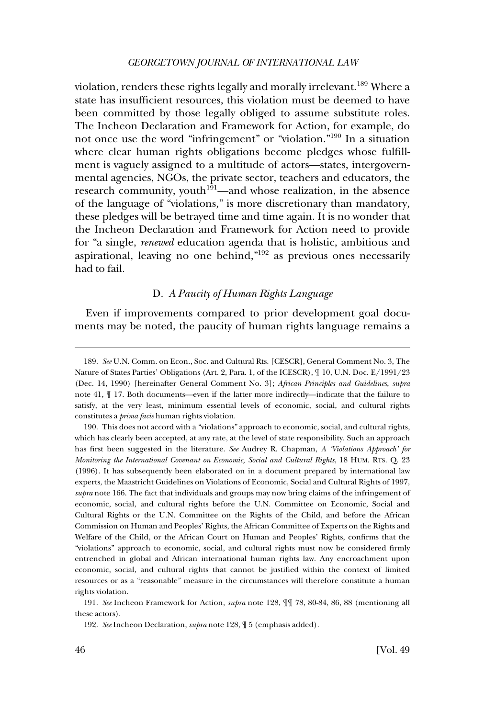violation, renders these rights legally and morally irrelevant.<sup>189</sup> Where a state has insufficient resources, this violation must be deemed to have been committed by those legally obliged to assume substitute roles. The Incheon Declaration and Framework for Action, for example, do not once use the word "infringement" or "violation."190 In a situation where clear human rights obligations become pledges whose fulfillment is vaguely assigned to a multitude of actors—states, intergovernmental agencies, NGOs, the private sector, teachers and educators, the research community, youth<sup>191</sup>—and whose realization, in the absence of the language of "violations," is more discretionary than mandatory, these pledges will be betrayed time and time again. It is no wonder that the Incheon Declaration and Framework for Action need to provide for "a single, *renewed* education agenda that is holistic, ambitious and aspirational, leaving no one behind,  $n_{192}$  as previous ones necessarily had to fail.

#### D. *A Paucity of Human Rights Language*

Even if improvements compared to prior development goal documents may be noted, the paucity of human rights language remains a

190. This does not accord with a "violations" approach to economic, social, and cultural rights, which has clearly been accepted, at any rate, at the level of state responsibility. Such an approach has first been suggested in the literature. *See* Audrey R. Chapman, *A 'Violations Approach' for Monitoring the International Covenant on Economic, Social and Cultural Rights*, 18 HUM. RTS. Q. 23 (1996). It has subsequently been elaborated on in a document prepared by international law experts, the Maastricht Guidelines on Violations of Economic, Social and Cultural Rights of 1997, *supra* note 166. The fact that individuals and groups may now bring claims of the infringement of economic, social, and cultural rights before the U.N. Committee on Economic, Social and Cultural Rights or the U.N. Committee on the Rights of the Child, and before the African Commission on Human and Peoples' Rights, the African Committee of Experts on the Rights and Welfare of the Child, or the African Court on Human and Peoples' Rights, confirms that the "violations" approach to economic, social, and cultural rights must now be considered firmly entrenched in global and African international human rights law. Any encroachment upon economic, social, and cultural rights that cannot be justified within the context of limited resources or as a "reasonable" measure in the circumstances will therefore constitute a human rights violation.

191. *See* Incheon Framework for Action, *supra* note 128, ¶¶ 78, 80-84, 86, 88 (mentioning all these actors).

192. *See* Incheon Declaration, *supra* note 128, ¶ 5 (emphasis added).

<sup>189.</sup> *See* U.N. Comm. on Econ., Soc. and Cultural Rts. [CESCR], General Comment No. 3, The Nature of States Parties' Obligations (Art. 2, Para. 1, of the ICESCR), ¶ 10, U.N. Doc. E/1991/23 (Dec. 14, 1990) [hereinafter General Comment No. 3]; *African Principles and Guidelines*, *supra*  note 41, ¶ 17. Both documents—even if the latter more indirectly—indicate that the failure to satisfy, at the very least, minimum essential levels of economic, social, and cultural rights constitutes a *prima facie* human rights violation.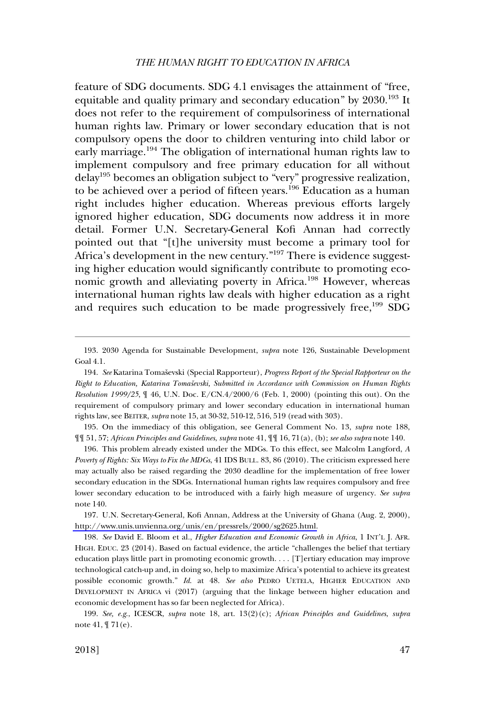feature of SDG documents. SDG 4.1 envisages the attainment of "free, equitable and quality primary and secondary education" by 2030.<sup>193</sup> It does not refer to the requirement of compulsoriness of international human rights law. Primary or lower secondary education that is not compulsory opens the door to children venturing into child labor or early marriage.<sup>194</sup> The obligation of international human rights law to implement compulsory and free primary education for all without delay195 becomes an obligation subject to "very" progressive realization, to be achieved over a period of fifteen years.<sup>196</sup> Education as a human right includes higher education. Whereas previous efforts largely ignored higher education, SDG documents now address it in more detail. Former U.N. Secretary-General Kofi Annan had correctly pointed out that "[t]he university must become a primary tool for Africa's development in the new century."<sup>197</sup> There is evidence suggesting higher education would significantly contribute to promoting economic growth and alleviating poverty in Africa.<sup>198</sup> However, whereas international human rights law deals with higher education as a right and requires such education to be made progressively free,<sup>199</sup> SDG

195. On the immediacy of this obligation, see General Comment No. 13, *supra* note 188, ¶¶ 51, 57; *African Principles and Guidelines*, *supra* note 41, ¶¶ 16, 71(a), (b); *see also supra* note 140.

196. This problem already existed under the MDGs. To this effect, see Malcolm Langford, *A Poverty of Rights: Six Ways to Fix the MDGs*, 41 IDS BULL. 83, 86 (2010). The criticism expressed here may actually also be raised regarding the 2030 deadline for the implementation of free lower secondary education in the SDGs. International human rights law requires compulsory and free lower secondary education to be introduced with a fairly high measure of urgency. *See supra*  note 140.

197. U.N. Secretary-General, Kofi Annan, Address at the University of Ghana (Aug. 2, 2000), [http://www.unis.unvienna.org/unis/en/pressrels/2000/sg2625.html.](http://www.unis.unvienna.org/unis/en/pressrels/2000/sg2625.html)

198. *See* David E. Bloom et al., *Higher Education and Economic Growth in Africa*, 1 INT'L J. AFR. HIGH. EDUC. 23 (2014). Based on factual evidence, the article "challenges the belief that tertiary education plays little part in promoting economic growth. . . . [T]ertiary education may improve technological catch-up and, in doing so, help to maximize Africa's potential to achieve its greatest possible economic growth." *Id*. at 48. *See also* PEDRO UETELA, HIGHER EDUCATION AND DEVELOPMENT IN AFRICA vi (2017) (arguing that the linkage between higher education and economic development has so far been neglected for Africa).

199. *See, e.g*., ICESCR, *supra* note 18, art. 13(2)(c); *African Principles and Guidelines*, *supra*  note 41, ¶ 71(e).

<sup>193. 2030</sup> Agenda for Sustainable Development, *supra* note 126, Sustainable Development Goal 4.1.

<sup>194.</sup> See Katarina Tomaševski (Special Rapporteur), *Progress Report of the Special Rapporteur on the Right to Education, Katarina Tomaševski, Submitted in Accordance with Commission on Human Rights Resolution 1999/25*, ¶ 46, U.N. Doc. E/CN.4/2000/6 (Feb. 1, 2000) (pointing this out). On the requirement of compulsory primary and lower secondary education in international human rights law, see BEITER, *supra* note 15, at 30-32, 510-12, 516, 519 (read with 303).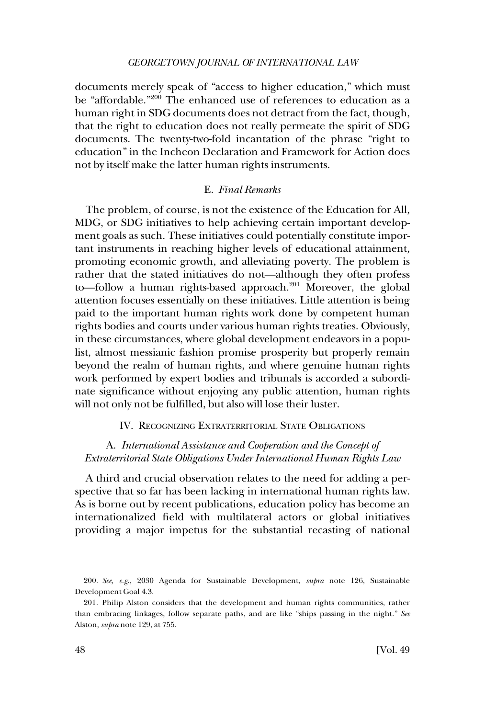documents merely speak of "access to higher education," which must be "affordable."200 The enhanced use of references to education as a human right in SDG documents does not detract from the fact, though, that the right to education does not really permeate the spirit of SDG documents. The twenty-two-fold incantation of the phrase "right to education" in the Incheon Declaration and Framework for Action does not by itself make the latter human rights instruments.

### E. *Final Remarks*

The problem, of course, is not the existence of the Education for All, MDG, or SDG initiatives to help achieving certain important development goals as such. These initiatives could potentially constitute important instruments in reaching higher levels of educational attainment, promoting economic growth, and alleviating poverty. The problem is rather that the stated initiatives do not—although they often profess to—follow a human rights-based approach.<sup>201</sup> Moreover, the global attention focuses essentially on these initiatives. Little attention is being paid to the important human rights work done by competent human rights bodies and courts under various human rights treaties. Obviously, in these circumstances, where global development endeavors in a populist, almost messianic fashion promise prosperity but properly remain beyond the realm of human rights, and where genuine human rights work performed by expert bodies and tribunals is accorded a subordinate significance without enjoying any public attention, human rights will not only not be fulfilled, but also will lose their luster.

#### IV. RECOGNIZING EXTRATERRITORIAL STATE OBLIGATIONS

# A. *International Assistance and Cooperation and the Concept of Extraterritorial State Obligations Under International Human Rights Law*

A third and crucial observation relates to the need for adding a perspective that so far has been lacking in international human rights law. As is borne out by recent publications, education policy has become an internationalized field with multilateral actors or global initiatives providing a major impetus for the substantial recasting of national

<sup>200.</sup> *See, e.g*., 2030 Agenda for Sustainable Development, *supra* note 126, Sustainable Development Goal 4.3.

<sup>201.</sup> Philip Alston considers that the development and human rights communities, rather than embracing linkages, follow separate paths, and are like "ships passing in the night." *See*  Alston, *supra* note 129, at 755.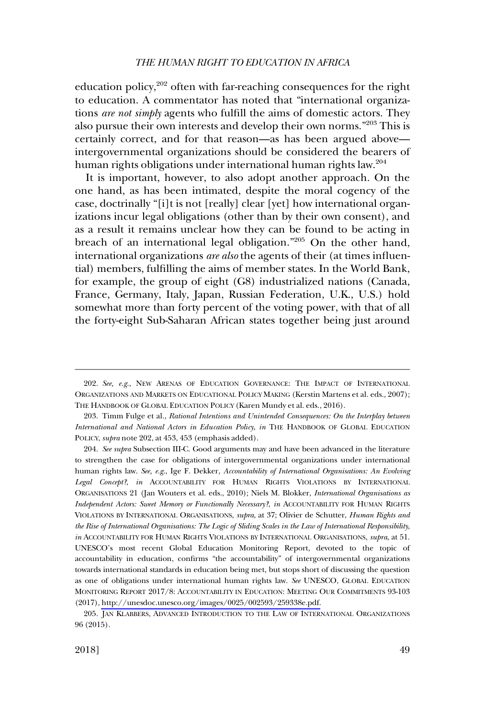education policy, $202$  often with far-reaching consequences for the right to education. A commentator has noted that "international organizations *are not simply* agents who fulfill the aims of domestic actors. They also pursue their own interests and develop their own norms."203 This is certainly correct, and for that reason—as has been argued above intergovernmental organizations should be considered the bearers of human rights obligations under international human rights law.<sup>204</sup>

It is important, however, to also adopt another approach. On the one hand, as has been intimated, despite the moral cogency of the case, doctrinally "[i]t is not [really] clear [yet] how international organizations incur legal obligations (other than by their own consent), and as a result it remains unclear how they can be found to be acting in breach of an international legal obligation."205 On the other hand, international organizations *are also* the agents of their (at times influential) members, fulfilling the aims of member states. In the World Bank, for example, the group of eight (G8) industrialized nations (Canada, France, Germany, Italy, Japan, Russian Federation, U.K., U.S.) hold somewhat more than forty percent of the voting power, with that of all the forty-eight Sub-Saharan African states together being just around

<sup>202.</sup> *See, e.g*., NEW ARENAS OF EDUCATION GOVERNANCE: THE IMPACT OF INTERNATIONAL ORGANIZATIONS AND MARKETS ON EDUCATIONAL POLICY MAKING (Kerstin Martens et al. eds., 2007); THE HANDBOOK OF GLOBAL EDUCATION POLICY (Karen Mundy et al. eds., 2016).

<sup>203.</sup> Timm Fulge et al., *Rational Intentions and Unintended Consequences: On the Interplay between International and National Actors in Education Policy*, *in* THE HANDBOOK OF GLOBAL EDUCATION POLICY, *supra* note 202, at 453, 453 (emphasis added).

<sup>204.</sup> See supra Subsection III-C. Good arguments may and have been advanced in the literature to strengthen the case for obligations of intergovernmental organizations under international human rights law. *See, e.g*., Ige F. Dekker, *Accountability of International Organisations: An Evolving Legal Concept?*, *in* ACCOUNTABILITY FOR HUMAN RIGHTS VIOLATIONS BY INTERNATIONAL ORGANISATIONS 21 (Jan Wouters et al. eds., 2010); Niels M. Blokker, *International Organisations as Independent Actors: Sweet Memory or Functionally Necessary?*, *in* ACCOUNTABILITY FOR HUMAN RIGHTS VIOLATIONS BY INTERNATIONAL ORGANISATIONS, *supra*, at 37; Olivier de Schutter, *Human Rights and the Rise of International Organisations: The Logic of Sliding Scales in the Law of International Responsibility*, *in* ACCOUNTABILITY FOR HUMAN RIGHTS VIOLATIONS BY INTERNATIONAL ORGANISATIONS, *supra*, at 51. UNESCO's most recent Global Education Monitoring Report, devoted to the topic of accountability in education, confirms "the accountability" of intergovernmental organizations towards international standards in education being met, but stops short of discussing the question as one of obligations under international human rights law. *See* UNESCO, GLOBAL EDUCATION MONITORING REPORT 2017/8: ACCOUNTABILITY IN EDUCATION: MEETING OUR COMMITMENTS 93-103 (2017), [http://unesdoc.unesco.org/images/0025/002593/259338e.pdf.](http://unesdoc.unesco.org/images/0025/002593/259338e.pdf)

<sup>205.</sup> JAN KLABBERS, ADVANCED INTRODUCTION TO THE LAW OF INTERNATIONAL ORGANIZATIONS 96 (2015).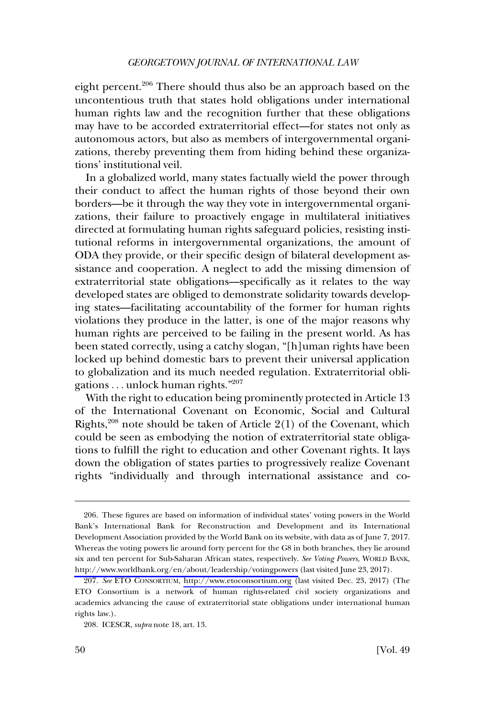eight percent.<sup>206</sup> There should thus also be an approach based on the uncontentious truth that states hold obligations under international human rights law and the recognition further that these obligations may have to be accorded extraterritorial effect—for states not only as autonomous actors, but also as members of intergovernmental organizations, thereby preventing them from hiding behind these organizations' institutional veil.

In a globalized world, many states factually wield the power through their conduct to affect the human rights of those beyond their own borders—be it through the way they vote in intergovernmental organizations, their failure to proactively engage in multilateral initiatives directed at formulating human rights safeguard policies, resisting institutional reforms in intergovernmental organizations, the amount of ODA they provide, or their specific design of bilateral development assistance and cooperation. A neglect to add the missing dimension of extraterritorial state obligations—specifically as it relates to the way developed states are obliged to demonstrate solidarity towards developing states—facilitating accountability of the former for human rights violations they produce in the latter, is one of the major reasons why human rights are perceived to be failing in the present world. As has been stated correctly, using a catchy slogan, "[h]uman rights have been locked up behind domestic bars to prevent their universal application to globalization and its much needed regulation. Extraterritorial obligations . . . unlock human rights."207

With the right to education being prominently protected in Article 13 of the International Covenant on Economic, Social and Cultural Rights,<sup>208</sup> note should be taken of Article  $2(1)$  of the Covenant, which could be seen as embodying the notion of extraterritorial state obligations to fulfill the right to education and other Covenant rights. It lays down the obligation of states parties to progressively realize Covenant rights "individually and through international assistance and co-

<sup>206.</sup> These figures are based on information of individual states' voting powers in the World Bank's International Bank for Reconstruction and Development and its International Development Association provided by the World Bank on its website, with data as of June 7, 2017. Whereas the voting powers lie around forty percent for the G8 in both branches, they lie around six and ten percent for Sub-Saharan African states, respectively. *See Voting Powers*, WORLD BANK, <http://www.worldbank.org/en/about/leadership/votingpowers> (last visited June 23, 2017).

*See* ETO CONSORTIUM, <http://www.etoconsortium.org>(last visited Dec. 23, 2017) (The 207. ETO Consortium is a network of human rights-related civil society organizations and academics advancing the cause of extraterritorial state obligations under international human rights law.).

<sup>208.</sup> ICESCR, *supra* note 18, art. 13.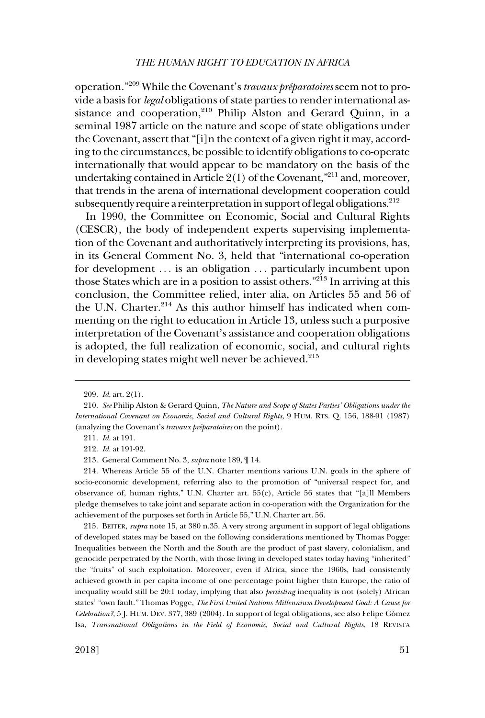operation."<sup>209</sup> While the Covenant's *travaux préparatoires* seem not to provide a basis for *legal* obligations of state parties to render international assistance and cooperation,<sup>210</sup> Philip Alston and Gerard Quinn, in a seminal 1987 article on the nature and scope of state obligations under the Covenant, assert that "[i]n the context of a given right it may, according to the circumstances, be possible to identify obligations to co-operate internationally that would appear to be mandatory on the basis of the undertaking contained in Article 2(1) of the Covenant,"<sup>211</sup> and, moreover, that trends in the arena of international development cooperation could subsequently require a reinterpretation in support of legal obligations.<sup>212</sup>

In 1990, the Committee on Economic, Social and Cultural Rights (CESCR), the body of independent experts supervising implementation of the Covenant and authoritatively interpreting its provisions, has, in its General Comment No. 3, held that "international co-operation for development ... is an obligation ... particularly incumbent upon those States which are in a position to assist others."213 In arriving at this conclusion, the Committee relied, inter alia, on Articles 55 and 56 of the U.N. Charter.<sup>214</sup> As this author himself has indicated when commenting on the right to education in Article 13, unless such a purposive interpretation of the Covenant's assistance and cooperation obligations is adopted, the full realization of economic, social, and cultural rights in developing states might well never be achieved.<sup>215</sup>

215. BEITER, *supra* note 15, at 380 n.35. A very strong argument in support of legal obligations of developed states may be based on the following considerations mentioned by Thomas Pogge: Inequalities between the North and the South are the product of past slavery, colonialism, and genocide perpetrated by the North, with those living in developed states today having "inherited" the "fruits" of such exploitation. Moreover, even if Africa, since the 1960s, had consistently achieved growth in per capita income of one percentage point higher than Europe, the ratio of inequality would still be 20:1 today, implying that also *persisting* inequality is not (solely) African states' "own fault." Thomas Pogge, *The First United Nations Millennium Development Goal: A Cause for Celebration?*, 5 J. HUM. DEV. 377, 389 (2004). In support of legal obligations, see also Felipe Gómez Isa, *Transnational Obligations in the Field of Economic, Social and Cultural Rights*, 18 REVISTA

<sup>209.</sup> *Id*. art. 2(1).

<sup>210.</sup> *See* Philip Alston & Gerard Quinn, *The Nature and Scope of States Parties' Obligations under the International Covenant on Economic, Social and Cultural Rights*, 9 HUM. RTS. Q. 156, 188-91 (1987) (analyzing the Covenant's *travaux préparatoires* on the point).

<sup>211.</sup> *Id*. at 191.

<sup>212.</sup> *Id*. at 191-92.

<sup>213.</sup> General Comment No. 3, *supra* note 189, ¶ 14.

<sup>214.</sup> Whereas Article 55 of the U.N. Charter mentions various U.N. goals in the sphere of socio-economic development, referring also to the promotion of "universal respect for, and observance of, human rights," U.N. Charter art. 55(c), Article 56 states that "[a]ll Members pledge themselves to take joint and separate action in co-operation with the Organization for the achievement of the purposes set forth in Article 55," U.N. Charter art. 56.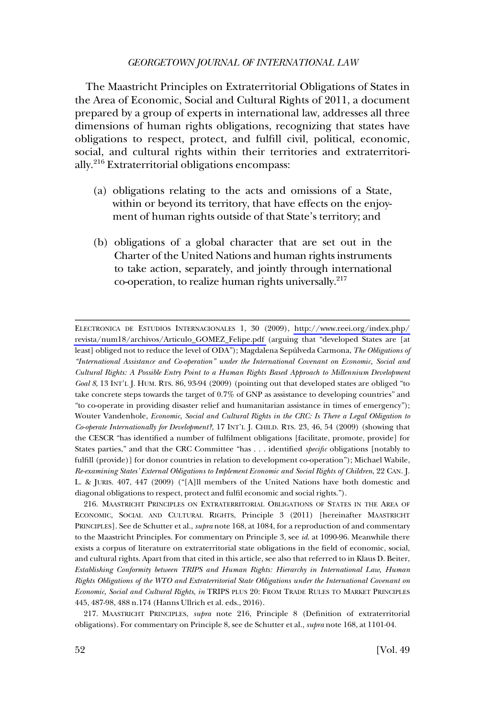The Maastricht Principles on Extraterritorial Obligations of States in the Area of Economic, Social and Cultural Rights of 2011, a document prepared by a group of experts in international law, addresses all three dimensions of human rights obligations, recognizing that states have obligations to respect, protect, and fulfill civil, political, economic, social, and cultural rights within their territories and extraterritorially.216 Extraterritorial obligations encompass:

- (a) obligations relating to the acts and omissions of a State, within or beyond its territory, that have effects on the enjoyment of human rights outside of that State's territory; and
- (b) obligations of a global character that are set out in the Charter of the United Nations and human rights instruments to take action, separately, and jointly through international co-operation, to realize human rights universally.<sup>217</sup>

ELECTRONICA DE ESTUDIOS INTERNACIONALES 1, 30 (2009), [http://www.reei.org/index.php/](http://www.reei.org/index.php/revista/num18/archivos/Articulo_GOMEZ_Felipe.pdf) [revista/num18/archivos/Articulo\\_GOMEZ\\_Felipe.pdf](http://www.reei.org/index.php/revista/num18/archivos/Articulo_GOMEZ_Felipe.pdf) (arguing that "developed States are [at least] obliged not to reduce the level of ODA"); Magdalena Sepúlveda Carmona, *The Obligations of "International Assistance and Co-operation" under the International Covenant on Economic, Social and Cultural Rights: A Possible Entry Point to a Human Rights Based Approach to Millennium Development Goal 8*, 13 INT'L J. HUM. RTS. 86, 93-94 (2009) (pointing out that developed states are obliged "to take concrete steps towards the target of 0.7% of GNP as assistance to developing countries" and "to co-operate in providing disaster relief and humanitarian assistance in times of emergency"); Wouter Vandenhole, *Economic, Social and Cultural Rights in the CRC: Is There a Legal Obligation to Co-operate Internationally for Development?*, 17 INT'L J. CHILD. RTS. 23, 46, 54 (2009) (showing that the CESCR "has identified a number of fulfilment obligations [facilitate, promote, provide] for States parties," and that the CRC Committee "has . . . identified *specific* obligations [notably to fulfill (provide)] for donor countries in relation to development co-operation"); Michael Wabile, *Re-examining States' External Obligations to Implement Economic and Social Rights of Children*, 22 CAN. J. L. & JURIS. 407, 447 (2009) ("[A]ll members of the United Nations have both domestic and diagonal obligations to respect, protect and fulfil economic and social rights.").

<sup>216.</sup> MAASTRICHT PRINCIPLES ON EXTRATERRITORIAL OBLIGATIONS OF STATES IN THE AREA OF ECONOMIC, SOCIAL AND CULTURAL RIGHTS, Principle 3 (2011) [hereinafter MAASTRICHT PRINCIPLES]. See de Schutter et al., *supra* note 168, at 1084, for a reproduction of and commentary to the Maastricht Principles. For commentary on Principle 3, see *id*. at 1090-96. Meanwhile there exists a corpus of literature on extraterritorial state obligations in the field of economic, social, and cultural rights. Apart from that cited in this article, see also that referred to in Klaus D. Beiter, *Establishing Conformity between TRIPS and Human Rights: Hierarchy in International Law, Human Rights Obligations of the WTO and Extraterritorial State Obligations under the International Covenant on Economic, Social and Cultural Rights*, *in* TRIPS PLUS 20: FROM TRADE RULES TO MARKET PRINCIPLES 445, 487-98, 488 n.174 (Hanns Ullrich et al. eds., 2016).

<sup>217.</sup> MAASTRICHT PRINCIPLES, *supra* note 216, Principle 8 (Definition of extraterritorial obligations). For commentary on Principle 8, see de Schutter et al., *supra* note 168, at 1101-04.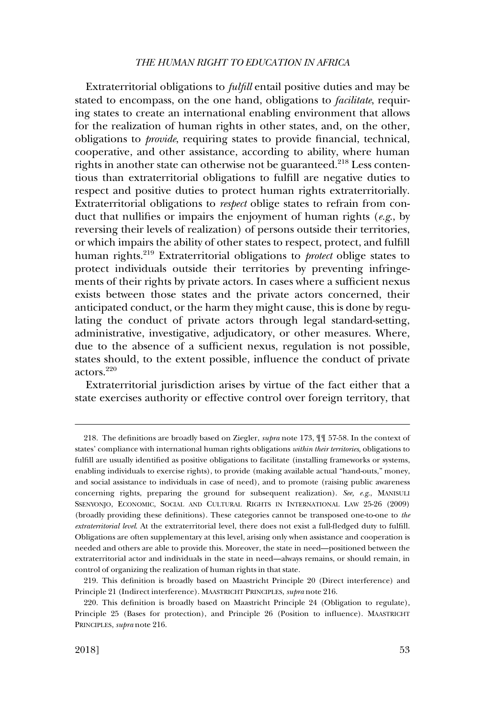Extraterritorial obligations to *fulfill* entail positive duties and may be stated to encompass, on the one hand, obligations to *facilitate*, requiring states to create an international enabling environment that allows for the realization of human rights in other states, and, on the other, obligations to *provide*, requiring states to provide financial, technical, cooperative, and other assistance, according to ability, where human rights in another state can otherwise not be guaranteed.<sup>218</sup> Less contentious than extraterritorial obligations to fulfill are negative duties to respect and positive duties to protect human rights extraterritorially. Extraterritorial obligations to *respect* oblige states to refrain from conduct that nullifies or impairs the enjoyment of human rights (*e.g*., by reversing their levels of realization) of persons outside their territories, or which impairs the ability of other states to respect, protect, and fulfill human rights.219 Extraterritorial obligations to *protect* oblige states to protect individuals outside their territories by preventing infringements of their rights by private actors. In cases where a sufficient nexus exists between those states and the private actors concerned, their anticipated conduct, or the harm they might cause, this is done by regulating the conduct of private actors through legal standard-setting, administrative, investigative, adjudicatory, or other measures. Where, due to the absence of a sufficient nexus, regulation is not possible, states should, to the extent possible, influence the conduct of private actors.220

Extraterritorial jurisdiction arises by virtue of the fact either that a state exercises authority or effective control over foreign territory, that

<sup>218.</sup> The definitions are broadly based on Ziegler, *supra* note 173, ¶¶ 57-58. In the context of states' compliance with international human rights obligations *within their territories*, obligations to fulfill are usually identified as positive obligations to facilitate (installing frameworks or systems, enabling individuals to exercise rights), to provide (making available actual "hand-outs," money, and social assistance to individuals in case of need), and to promote (raising public awareness concerning rights, preparing the ground for subsequent realization). *See, e.g*., MANISULI SSENYONJO, ECONOMIC, SOCIAL AND CULTURAL RIGHTS IN INTERNATIONAL LAW 25-26 (2009) (broadly providing these definitions). These categories cannot be transposed one-to-one to *the extraterritorial level*. At the extraterritorial level, there does not exist a full-fledged duty to fulfill. Obligations are often supplementary at this level, arising only when assistance and cooperation is needed and others are able to provide this. Moreover, the state in need—positioned between the extraterritorial actor and individuals in the state in need—always remains, or should remain, in control of organizing the realization of human rights in that state.

<sup>219.</sup> This definition is broadly based on Maastricht Principle 20 (Direct interference) and Principle 21 (Indirect interference). MAASTRICHT PRINCIPLES, *supra* note 216.

<sup>220.</sup> This definition is broadly based on Maastricht Principle 24 (Obligation to regulate), Principle 25 (Bases for protection), and Principle 26 (Position to influence). MAASTRICHT PRINCIPLES, *supra* note 216.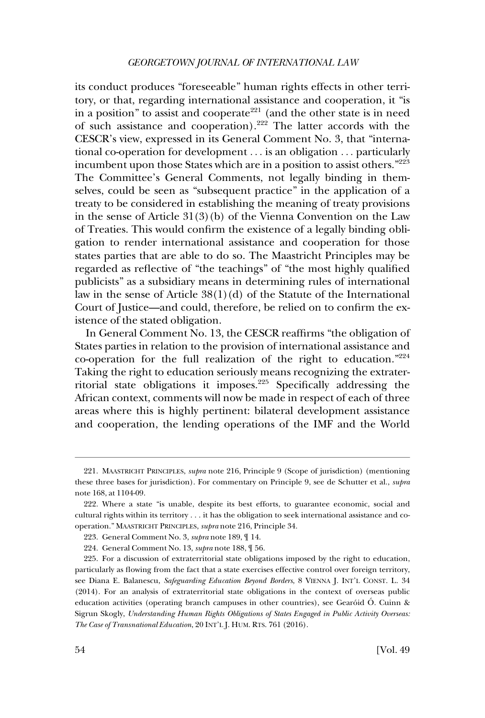its conduct produces "foreseeable" human rights effects in other territory, or that, regarding international assistance and cooperation, it "is in a position" to assist and cooperate<sup>221</sup> (and the other state is in need of such assistance and cooperation).222 The latter accords with the CESCR's view, expressed in its General Comment No. 3, that "international co-operation for development . . . is an obligation . . . particularly incumbent upon those States which are in a position to assist others."223 The Committee's General Comments, not legally binding in themselves, could be seen as "subsequent practice" in the application of a treaty to be considered in establishing the meaning of treaty provisions in the sense of Article 31(3)(b) of the Vienna Convention on the Law of Treaties. This would confirm the existence of a legally binding obligation to render international assistance and cooperation for those states parties that are able to do so. The Maastricht Principles may be regarded as reflective of "the teachings" of "the most highly qualified publicists" as a subsidiary means in determining rules of international law in the sense of Article  $38(1)(d)$  of the Statute of the International Court of Justice—and could, therefore, be relied on to confirm the existence of the stated obligation.

In General Comment No. 13, the CESCR reaffirms "the obligation of States parties in relation to the provision of international assistance and co-operation for the full realization of the right to education."224 Taking the right to education seriously means recognizing the extraterritorial state obligations it imposes.225 Specifically addressing the African context, comments will now be made in respect of each of three areas where this is highly pertinent: bilateral development assistance and cooperation, the lending operations of the IMF and the World

<sup>221.</sup> MAASTRICHT PRINCIPLES, *supra* note 216, Principle 9 (Scope of jurisdiction) (mentioning these three bases for jurisdiction). For commentary on Principle 9, see de Schutter et al., *supra*  note 168, at 1104-09.

<sup>222.</sup> Where a state "is unable, despite its best efforts, to guarantee economic, social and cultural rights within its territory . . . it has the obligation to seek international assistance and cooperation." MAASTRICHT PRINCIPLES, *supra* note 216, Principle 34.

<sup>223.</sup> General Comment No. 3, *supra* note 189, ¶ 14.

<sup>224.</sup> General Comment No. 13, *supra* note 188, ¶ 56.

<sup>225.</sup> For a discussion of extraterritorial state obligations imposed by the right to education, particularly as flowing from the fact that a state exercises effective control over foreign territory, see Diana E. Balanescu, *Safeguarding Education Beyond Borders*, 8 VIENNA J. INT'L CONST. L. 34 (2014). For an analysis of extraterritorial state obligations in the context of overseas public education activities (operating branch campuses in other countries), see Gearóid Ó. Cuinn & Sigrun Skogly, *Understanding Human Rights Obligations of States Engaged in Public Activity Overseas: The Case of Transnational Education*, 20 INT'L J. HUM. RTS. 761 (2016).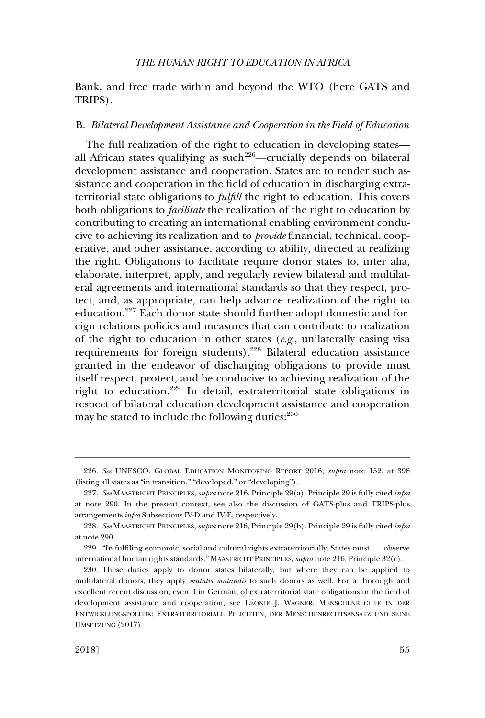Bank, and free trade within and beyond the WTO (here GATS and TRIPS).

#### B. *Bilateral Development Assistance and Cooperation in the Field of Education*

The full realization of the right to education in developing states all African states qualifying as  $such<sup>226</sup>—crucially depends on bilateral$ development assistance and cooperation. States are to render such assistance and cooperation in the field of education in discharging extraterritorial state obligations to *fulfill* the right to education. This covers both obligations to *facilitate* the realization of the right to education by contributing to creating an international enabling environment conducive to achieving its realization and to *provide* financial, technical, cooperative, and other assistance, according to ability, directed at realizing the right. Obligations to facilitate require donor states to, inter alia, elaborate, interpret, apply, and regularly review bilateral and multilateral agreements and international standards so that they respect, protect, and, as appropriate, can help advance realization of the right to education.227 Each donor state should further adopt domestic and foreign relations policies and measures that can contribute to realization of the right to education in other states (*e.g*., unilaterally easing visa requirements for foreign students).228 Bilateral education assistance granted in the endeavor of discharging obligations to provide must itself respect, protect, and be conducive to achieving realization of the right to education.229 In detail, extraterritorial state obligations in respect of bilateral education development assistance and cooperation may be stated to include the following duties: $230$ 

<sup>226.</sup> *See* UNESCO, GLOBAL EDUCATION MONITORING REPORT 2016, *supra* note 152, at 398 (listing all states as "in transition," "developed," or "developing").

<sup>227.</sup> *See* MAASTRICHT PRINCIPLES, *supra* note 216, Principle 29(a). Principle 29 is fully cited *infra*  at note 290. In the present context, see also the discussion of GATS-plus and TRIPS-plus arrangements *infra* Subsections IV-D and IV-E, respectively.

<sup>228.</sup> *See* MAASTRICHT PRINCIPLES, *supra* note 216, Principle 29(b). Principle 29 is fully cited *infra*  at note 290.

<sup>229. &</sup>quot;In fulfiling economic, social and cultural rights extraterritorially, States must . . . observe international human rights standards." MAASTRICHT PRINCIPLES, *supra* note 216, Principle 32(c).

<sup>230.</sup> These duties apply to donor states bilaterally, but where they can be applied to multilateral donors, they apply *mutatis mutandis* to such donors as well. For a thorough and excellent recent discussion, even if in German, of extraterritorial state obligations in the field of development assistance and cooperation, see LE´ONIE J. WAGNER, MENSCHENRECHTE IN DER ENTWICKLUNGSPOLITIK: EXTRATERRITORIALE PFLICHTEN, DER MENSCHENRECHTSANSATZ UND SEINE UMSETZUNG (2017).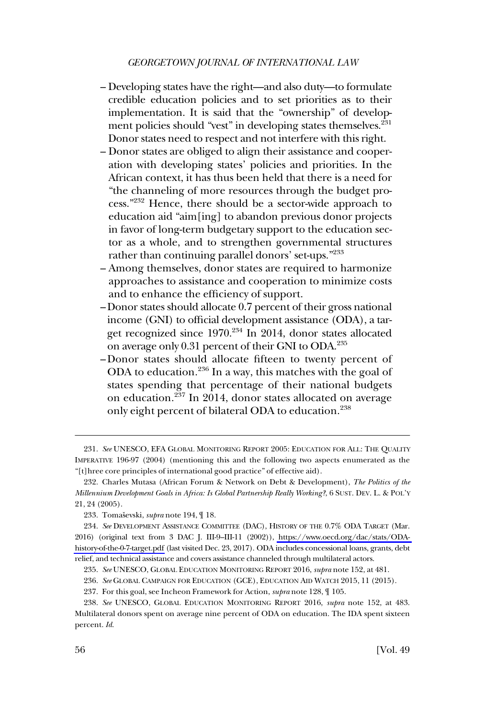- Developing states have the right—and also duty—to formulate credible education policies and to set priorities as to their implementation. It is said that the "ownership" of development policies should "vest" in developing states themselves.<sup>231</sup> Donor states need to respect and not interfere with this right.
- Donor states are obliged to align their assistance and cooperation with developing states' policies and priorities. In the African context, it has thus been held that there is a need for "the channeling of more resources through the budget process."232 Hence, there should be a sector-wide approach to education aid "aim[ing] to abandon previous donor projects in favor of long-term budgetary support to the education sector as a whole, and to strengthen governmental structures rather than continuing parallel donors' set-ups."<sup>233</sup>
- Among themselves, donor states are required to harmonize approaches to assistance and cooperation to minimize costs and to enhance the efficiency of support.
- Donor states should allocate 0.7 percent of their gross national income (GNI) to official development assistance (ODA), a target recognized since 1970.<sup>234</sup> In 2014, donor states allocated on average only 0.31 percent of their GNI to ODA.<sup>235</sup>
- Donor states should allocate fifteen to twenty percent of ODA to education.236 In a way, this matches with the goal of states spending that percentage of their national budgets on education.237 In 2014, donor states allocated on average only eight percent of bilateral ODA to education.<sup>238</sup>

<sup>231.</sup> *See* UNESCO, EFA GLOBAL MONITORING REPORT 2005: EDUCATION FOR ALL: THE QUALITY IMPERATIVE 196-97 (2004) (mentioning this and the following two aspects enumerated as the "[t]hree core principles of international good practice" of effective aid).

<sup>232.</sup> Charles Mutasa (African Forum & Network on Debt & Development), *The Politics of the Millennium Development Goals in Africa: Is Global Partnership Really Working?*, 6 SUST. DEV. L. & POL'Y 21, 24 (2005).

<sup>233.</sup> Tomaševski, *supra* note 194,  $\P$  18.

*See* DEVELOPMENT ASSISTANCE COMMITTEE (DAC), HISTORY OF THE 0.7% ODA TARGET (Mar. 234. 2016) (original text from 3 DAC J. III-9–III-11 (2002)), [https://www.oecd.org/dac/stats/ODA](https://www.oecd.org/dac/stats/ODA-history-of-the-0-7-target.pdf)[history-of-the-0-7-target.pdf](https://www.oecd.org/dac/stats/ODA-history-of-the-0-7-target.pdf) (last visited Dec. 23, 2017). ODA includes concessional loans, grants, debt relief, and technical assistance and covers assistance channeled through multilateral actors.

<sup>235.</sup> *See* UNESCO, GLOBAL EDUCATION MONITORING REPORT 2016, *supra* note 152, at 481.

<sup>236.</sup> *See* GLOBAL CAMPAIGN FOR EDUCATION (GCE), EDUCATION AID WATCH 2015, 11 (2015).

<sup>237.</sup> For this goal, see Incheon Framework for Action, *supra* note 128, ¶ 105.

<sup>238.</sup> *See* UNESCO, GLOBAL EDUCATION MONITORING REPORT 2016, *supra* note 152, at 483. Multilateral donors spent on average nine percent of ODA on education. The IDA spent sixteen percent. *Id*.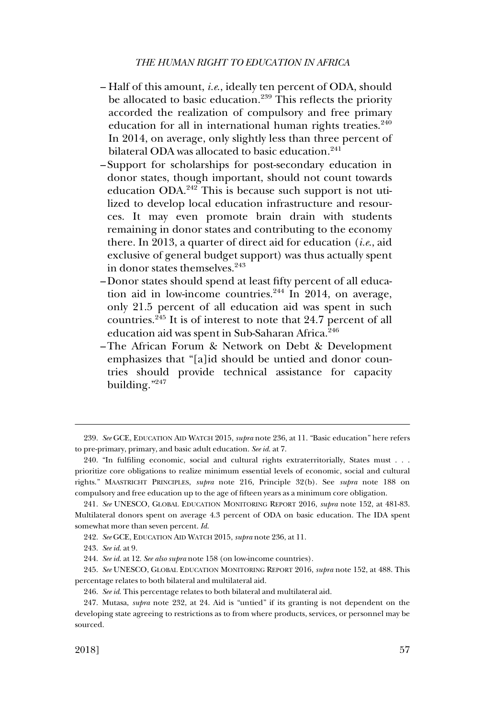- Half of this amount, *i.e*., ideally ten percent of ODA, should be allocated to basic education.<sup>239</sup> This reflects the priority accorded the realization of compulsory and free primary education for all in international human rights treaties.<sup>240</sup> In 2014, on average, only slightly less than three percent of bilateral ODA was allocated to basic education.<sup>241</sup>
- Support for scholarships for post-secondary education in donor states, though important, should not count towards education ODA.<sup>242</sup> This is because such support is not utilized to develop local education infrastructure and resources. It may even promote brain drain with students remaining in donor states and contributing to the economy there. In 2013, a quarter of direct aid for education (*i.e*., aid exclusive of general budget support) was thus actually spent in donor states themselves.<sup>243</sup>
- Donor states should spend at least fifty percent of all education aid in low-income countries.<sup>244</sup> In 2014, on average, only 21.5 percent of all education aid was spent in such countries.245 It is of interest to note that 24.7 percent of all education aid was spent in Sub-Saharan Africa.<sup>246</sup>
- The African Forum & Network on Debt & Development emphasizes that "[a]id should be untied and donor countries should provide technical assistance for capacity building."<sup>247</sup>

<sup>239.</sup> *See* GCE, EDUCATION AID WATCH 2015, *supra* note 236, at 11. "Basic education" here refers to pre-primary, primary, and basic adult education. *See id*. at 7.

<sup>240. &</sup>quot;In fulfiling economic, social and cultural rights extraterritorially, States must . . . prioritize core obligations to realize minimum essential levels of economic, social and cultural rights." MAASTRICHT PRINCIPLES, *supra* note 216, Principle 32(b). See *supra* note 188 on compulsory and free education up to the age of fifteen years as a minimum core obligation.

<sup>241.</sup> *See* UNESCO, GLOBAL EDUCATION MONITORING REPORT 2016, *supra* note 152, at 481-83. Multilateral donors spent on average 4.3 percent of ODA on basic education. The IDA spent somewhat more than seven percent. *Id*.

<sup>242.</sup> *See* GCE, EDUCATION AID WATCH 2015, *supra* note 236, at 11.

<sup>243.</sup> *See id*. at 9.

<sup>244.</sup> *See id*. at 12. *See also supra* note 158 (on low-income countries).

<sup>245.</sup> *See* UNESCO, GLOBAL EDUCATION MONITORING REPORT 2016, *supra* note 152, at 488. This percentage relates to both bilateral and multilateral aid.

<sup>246.</sup> *See id*. This percentage relates to both bilateral and multilateral aid.

<sup>247.</sup> Mutasa, *supra* note 232, at 24. Aid is "untied" if its granting is not dependent on the developing state agreeing to restrictions as to from where products, services, or personnel may be sourced.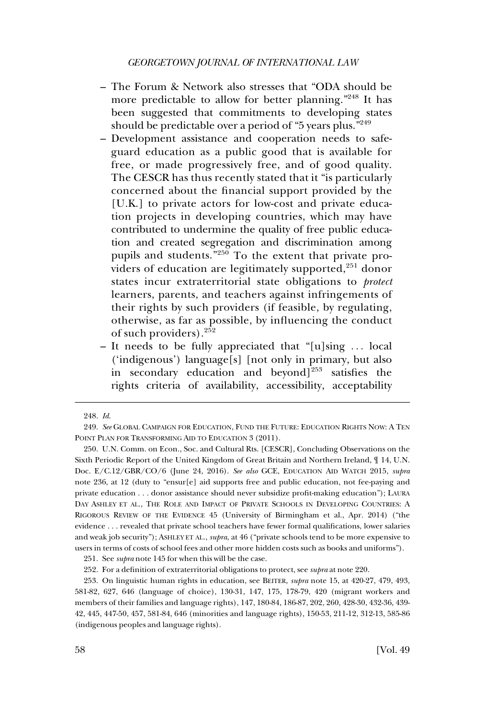- The Forum & Network also stresses that "ODA should be more predictable to allow for better planning."<sup>248</sup> It has been suggested that commitments to developing states should be predictable over a period of "5 years plus."<sup>249</sup>
- Development assistance and cooperation needs to safeguard education as a public good that is available for free, or made progressively free, and of good quality. The CESCR has thus recently stated that it "is particularly concerned about the financial support provided by the [U.K.] to private actors for low-cost and private education projects in developing countries, which may have contributed to undermine the quality of free public education and created segregation and discrimination among pupils and students.<sup>"250</sup> To the extent that private providers of education are legitimately supported,<sup>251</sup> donor states incur extraterritorial state obligations to *protect*  learners, parents, and teachers against infringements of their rights by such providers (if feasible, by regulating, otherwise, as far as possible, by influencing the conduct of such providers).<sup>252</sup>
- It needs to be fully appreciated that "[u]sing . . . local ('indigenous') language[s] [not only in primary, but also in secondary education and beyond $]^{253}$  satisfies the rights criteria of availability, accessibility, acceptability

<sup>248.</sup> *Id*.

<sup>249.</sup> *See* GLOBAL CAMPAIGN FOR EDUCATION, FUND THE FUTURE: EDUCATION RIGHTS NOW: A TEN POINT PLAN FOR TRANSFORMING AID TO EDUCATION 3 (2011).

<sup>250.</sup> U.N. Comm. on Econ., Soc. and Cultural Rts. [CESCR], Concluding Observations on the Sixth Periodic Report of the United Kingdom of Great Britain and Northern Ireland, ¶ 14, U.N. Doc. E/C.12/GBR/CO/6 (June 24, 2016). *See also* GCE, EDUCATION AID WATCH 2015, *supra*  note 236, at 12 (duty to "ensur[e] aid supports free and public education, not fee-paying and private education . . . donor assistance should never subsidize profit-making education"); LAURA DAY ASHLEY ET AL., THE ROLE AND IMPACT OF PRIVATE SCHOOLS IN DEVELOPING COUNTRIES: A RIGOROUS REVIEW OF THE EVIDENCE 45 (University of Birmingham et al., Apr. 2014) ("the evidence . . . revealed that private school teachers have fewer formal qualifications, lower salaries and weak job security"); ASHLEY ET AL., *supra*, at 46 ("private schools tend to be more expensive to users in terms of costs of school fees and other more hidden costs such as books and uniforms").

<sup>251.</sup> See *supra* note 145 for when this will be the case.

<sup>252.</sup> For a definition of extraterritorial obligations to protect, see *supra* at note 220.

<sup>253.</sup> On linguistic human rights in education, see BEITER, *supra* note 15, at 420-27, 479, 493, 581-82, 627, 646 (language of choice), 130-31, 147, 175, 178-79, 420 (migrant workers and members of their families and language rights), 147, 180-84, 186-87, 202, 260, 428-30, 432-36, 439- 42, 445, 447-50, 457, 581-84, 646 (minorities and language rights), 150-53, 211-12, 312-13, 585-86 (indigenous peoples and language rights).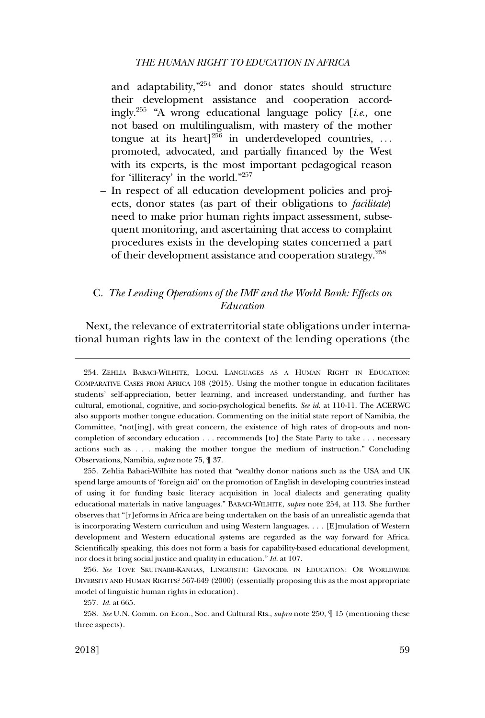and adaptability,"254 and donor states should structure their development assistance and cooperation accordingly.255 "A wrong educational language policy [*i.e*., one not based on multilingualism, with mastery of the mother tongue at its heart]<sup>256</sup> in underdeveloped countries, ... promoted, advocated, and partially financed by the West with its experts, is the most important pedagogical reason for 'illiteracy' in the world."257

– In respect of all education development policies and projects, donor states (as part of their obligations to *facilitate*) need to make prior human rights impact assessment, subsequent monitoring, and ascertaining that access to complaint procedures exists in the developing states concerned a part of their development assistance and cooperation strategy.<sup>258</sup>

## C. *The Lending Operations of the IMF and the World Bank: Effects on Education*

Next, the relevance of extraterritorial state obligations under international human rights law in the context of the lending operations (the

254. ZEHLIA BABACI-WILHITE, LOCAL LANGUAGES AS A HUMAN RIGHT IN EDUCATION: COMPARATIVE CASES FROM AFRICA 108 (2015). Using the mother tongue in education facilitates students' self-appreciation, better learning, and increased understanding, and further has cultural, emotional, cognitive, and socio-psychological benefits. *See id*. at 110-11. The ACERWC also supports mother tongue education. Commenting on the initial state report of Namibia, the Committee, "not[ing], with great concern, the existence of high rates of drop-outs and noncompletion of secondary education . . . recommends [to] the State Party to take . . . necessary actions such as . . . making the mother tongue the medium of instruction." Concluding Observations, Namibia, *supra* note 75, ¶ 37.

255. Zehlia Babaci-Wilhite has noted that "wealthy donor nations such as the USA and UK spend large amounts of 'foreign aid' on the promotion of English in developing countries instead of using it for funding basic literacy acquisition in local dialects and generating quality educational materials in native languages." BABACI-WILHITE, *supra* note 254, at 113. She further observes that "[r]eforms in Africa are being undertaken on the basis of an unrealistic agenda that is incorporating Western curriculum and using Western languages. . . . [E]mulation of Western development and Western educational systems are regarded as the way forward for Africa. Scientifically speaking, this does not form a basis for capability-based educational development, nor does it bring social justice and quality in education." *Id*. at 107.

256. *See* TOVE SKUTNABB-KANGAS, LINGUISTIC GENOCIDE IN EDUCATION: OR WORLDWIDE DIVERSITY AND HUMAN RIGHTS? 567-649 (2000) (essentially proposing this as the most appropriate model of linguistic human rights in education).

257. *Id*. at 665.

258. *See* U.N. Comm. on Econ., Soc. and Cultural Rts., *supra* note 250, ¶ 15 (mentioning these three aspects).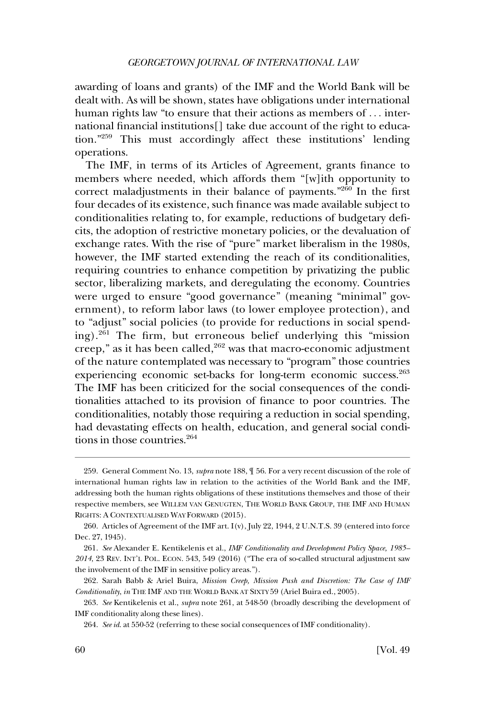awarding of loans and grants) of the IMF and the World Bank will be dealt with. As will be shown, states have obligations under international human rights law "to ensure that their actions as members of ... international financial institutions[] take due account of the right to education."259 This must accordingly affect these institutions' lending operations.

The IMF, in terms of its Articles of Agreement, grants finance to members where needed, which affords them "[w]ith opportunity to correct maladjustments in their balance of payments."260 In the first four decades of its existence, such finance was made available subject to conditionalities relating to, for example, reductions of budgetary deficits, the adoption of restrictive monetary policies, or the devaluation of exchange rates. With the rise of "pure" market liberalism in the 1980s, however, the IMF started extending the reach of its conditionalities, requiring countries to enhance competition by privatizing the public sector, liberalizing markets, and deregulating the economy. Countries were urged to ensure "good governance" (meaning "minimal" government), to reform labor laws (to lower employee protection), and to "adjust" social policies (to provide for reductions in social spending).261 The firm, but erroneous belief underlying this "mission creep," as it has been called, $262$  was that macro-economic adjustment of the nature contemplated was necessary to "program" those countries experiencing economic set-backs for long-term economic success.<sup>263</sup> The IMF has been criticized for the social consequences of the conditionalities attached to its provision of finance to poor countries. The conditionalities, notably those requiring a reduction in social spending, had devastating effects on health, education, and general social conditions in those countries.264

<sup>259.</sup> General Comment No. 13, *supra* note 188, ¶ 56. For a very recent discussion of the role of international human rights law in relation to the activities of the World Bank and the IMF, addressing both the human rights obligations of these institutions themselves and those of their respective members, see WILLEM VAN GENUGTEN, THE WORLD BANK GROUP, THE IMF AND HUMAN RIGHTS: A CONTEXTUALISED WAY FORWARD (2015).

<sup>260.</sup> Articles of Agreement of the IMF art. I(v), July 22, 1944, 2 U.N.T.S. 39 (entered into force Dec. 27, 1945).

<sup>261.</sup> *See* Alexander E. Kentikelenis et al., *IMF Conditionality and Development Policy Space, 1985– 2014*, 23 REV. INT'L POL. ECON. 543, 549 (2016) ("The era of so-called structural adjustment saw the involvement of the IMF in sensitive policy areas.").

<sup>262.</sup> Sarah Babb & Ariel Buira, *Mission Creep, Mission Push and Discretion: The Case of IMF Conditionality*, *in* THE IMF AND THE WORLD BANK AT SIXTY 59 (Ariel Buira ed., 2005).

<sup>263.</sup> *See* Kentikelenis et al., *supra* note 261, at 548-50 (broadly describing the development of IMF conditionality along these lines).

<sup>264.</sup> *See id*. at 550-52 (referring to these social consequences of IMF conditionality).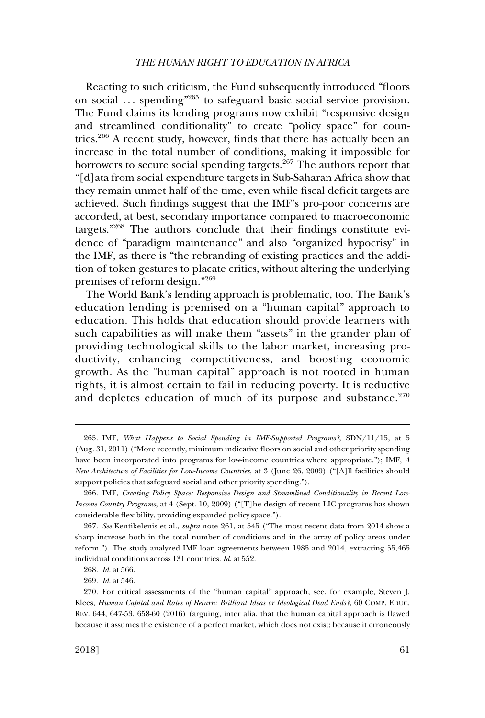Reacting to such criticism, the Fund subsequently introduced "floors on social ... spending<sup>"265</sup> to safeguard basic social service provision. The Fund claims its lending programs now exhibit "responsive design and streamlined conditionality" to create "policy space" for countries.266 A recent study, however, finds that there has actually been an increase in the total number of conditions, making it impossible for borrowers to secure social spending targets.<sup>267</sup> The authors report that "[d]ata from social expenditure targets in Sub-Saharan Africa show that they remain unmet half of the time, even while fiscal deficit targets are achieved. Such findings suggest that the IMF's pro-poor concerns are accorded, at best, secondary importance compared to macroeconomic targets."268 The authors conclude that their findings constitute evidence of "paradigm maintenance" and also "organized hypocrisy" in the IMF, as there is "the rebranding of existing practices and the addition of token gestures to placate critics, without altering the underlying premises of reform design."269

The World Bank's lending approach is problematic, too. The Bank's education lending is premised on a "human capital" approach to education. This holds that education should provide learners with such capabilities as will make them "assets" in the grander plan of providing technological skills to the labor market, increasing productivity, enhancing competitiveness, and boosting economic growth. As the "human capital" approach is not rooted in human rights, it is almost certain to fail in reducing poverty. It is reductive and depletes education of much of its purpose and substance.<sup>270</sup>

<sup>265.</sup> IMF, *What Happens to Social Spending in IMF-Supported Programs?*, SDN/11/15, at 5 (Aug. 31, 2011) ("More recently, minimum indicative floors on social and other priority spending have been incorporated into programs for low-income countries where appropriate."); IMF, *A New Architecture of Facilities for Low-Income Countries*, at 3 (June 26, 2009) ("[A]ll facilities should support policies that safeguard social and other priority spending.").

<sup>266.</sup> IMF, *Creating Policy Space: Responsive Design and Streamlined Conditionality in Recent Low-Income Country Programs*, at 4 (Sept. 10, 2009) ("[T]he design of recent LIC programs has shown considerable flexibility, providing expanded policy space.").

<sup>267.</sup> *See* Kentikelenis et al., *supra* note 261, at 545 ("The most recent data from 2014 show a sharp increase both in the total number of conditions and in the array of policy areas under reform."). The study analyzed IMF loan agreements between 1985 and 2014, extracting 55,465 individual conditions across 131 countries. *Id*. at 552.

<sup>268.</sup> *Id*. at 566.

<sup>269.</sup> *Id*. at 546.

<sup>270.</sup> For critical assessments of the "human capital" approach, see, for example, Steven J. Klees, *Human Capital and Rates of Return: Brilliant Ideas or Ideological Dead Ends?*, 60 COMP. EDUC. REV. 644, 647-53, 658-60 (2016) (arguing, inter alia, that the human capital approach is flawed because it assumes the existence of a perfect market, which does not exist; because it erroneously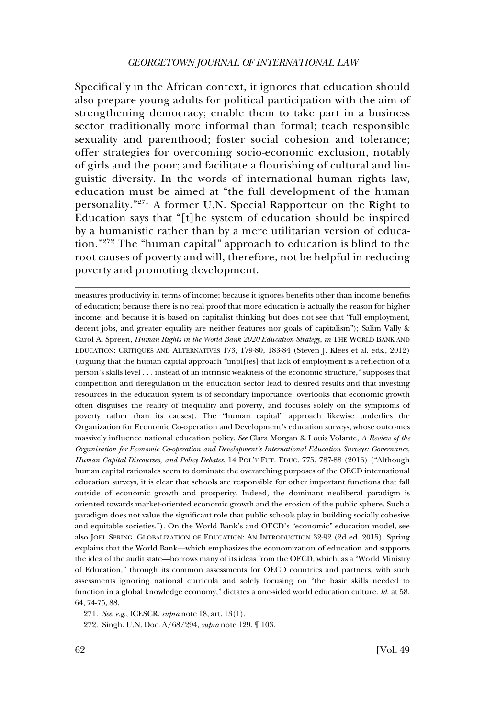Specifically in the African context, it ignores that education should also prepare young adults for political participation with the aim of strengthening democracy; enable them to take part in a business sector traditionally more informal than formal; teach responsible sexuality and parenthood; foster social cohesion and tolerance; offer strategies for overcoming socio-economic exclusion, notably of girls and the poor; and facilitate a flourishing of cultural and linguistic diversity. In the words of international human rights law, education must be aimed at "the full development of the human personality."271 A former U.N. Special Rapporteur on the Right to Education says that "[t]he system of education should be inspired by a humanistic rather than by a mere utilitarian version of education."272 The "human capital" approach to education is blind to the root causes of poverty and will, therefore, not be helpful in reducing poverty and promoting development.

measures productivity in terms of income; because it ignores benefits other than income benefits of education; because there is no real proof that more education is actually the reason for higher income; and because it is based on capitalist thinking but does not see that "full employment, decent jobs, and greater equality are neither features nor goals of capitalism"); Salim Vally & Carol A. Spreen, *Human Rights in the World Bank 2020 Education Strategy*, *in* THE WORLD BANK AND EDUCATION: CRITIQUES AND ALTERNATIVES 173, 179-80, 183-84 (Steven J. Klees et al. eds., 2012) (arguing that the human capital approach "impl[ies] that lack of employment is a reflection of a person's skills level . . . instead of an intrinsic weakness of the economic structure," supposes that competition and deregulation in the education sector lead to desired results and that investing resources in the education system is of secondary importance, overlooks that economic growth often disguises the reality of inequality and poverty, and focuses solely on the symptoms of poverty rather than its causes). The "human capital" approach likewise underlies the Organization for Economic Co-operation and Development's education surveys, whose outcomes massively influence national education policy. *See* Clara Morgan & Louis Volante, *A Review of the Organisation for Economic Co-operation and Development's International Education Surveys: Governance, Human Capital Discourses, and Policy Debates*, 14 POL'Y FUT. EDUC. 775, 787-88 (2016) ("Although human capital rationales seem to dominate the overarching purposes of the OECD international education surveys, it is clear that schools are responsible for other important functions that fall outside of economic growth and prosperity. Indeed, the dominant neoliberal paradigm is oriented towards market-oriented economic growth and the erosion of the public sphere. Such a paradigm does not value the significant role that public schools play in building socially cohesive and equitable societies."). On the World Bank's and OECD's "economic" education model, see also JOEL SPRING, GLOBALIZATION OF EDUCATION: AN INTRODUCTION 32-92 (2d ed. 2015). Spring explains that the World Bank—which emphasizes the economization of education and supports the idea of the audit state—borrows many of its ideas from the OECD, which, as a "World Ministry of Education," through its common assessments for OECD countries and partners, with such assessments ignoring national curricula and solely focusing on "the basic skills needed to function in a global knowledge economy," dictates a one-sided world education culture. *Id*. at 58, 64, 74-75, 88.

271. *See, e.g*., ICESCR, *supra* note 18, art. 13(1).

272. Singh, U.N. Doc. A/68/294, *supra* note 129, ¶ 103.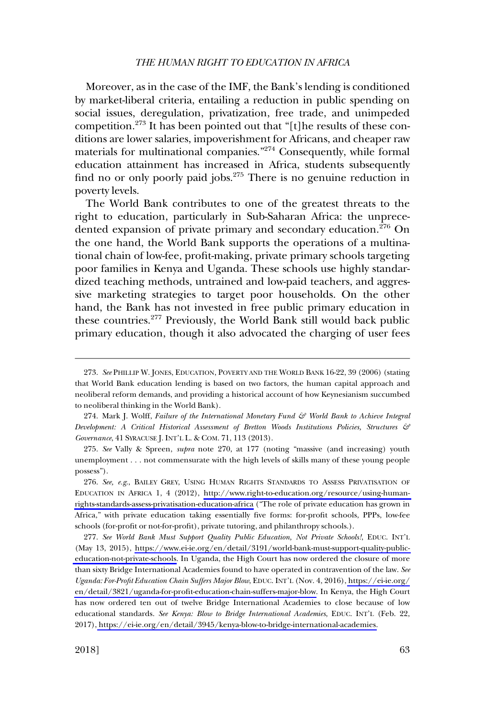Moreover, as in the case of the IMF, the Bank's lending is conditioned by market-liberal criteria, entailing a reduction in public spending on social issues, deregulation, privatization, free trade, and unimpeded competition.<sup>273</sup> It has been pointed out that "[t]he results of these conditions are lower salaries, impoverishment for Africans, and cheaper raw materials for multinational companies."274 Consequently, while formal education attainment has increased in Africa, students subsequently find no or only poorly paid jobs.275 There is no genuine reduction in poverty levels.

The World Bank contributes to one of the greatest threats to the right to education, particularly in Sub-Saharan Africa: the unprecedented expansion of private primary and secondary education.<sup>276</sup> On the one hand, the World Bank supports the operations of a multinational chain of low-fee, profit-making, private primary schools targeting poor families in Kenya and Uganda. These schools use highly standardized teaching methods, untrained and low-paid teachers, and aggressive marketing strategies to target poor households. On the other hand, the Bank has not invested in free public primary education in these countries.<sup>277</sup> Previously, the World Bank still would back public primary education, though it also advocated the charging of user fees

274. Mark J. Wolff, *Failure of the International Monetary Fund*  $\mathcal{E}^p$  *World Bank to Achieve Integral Development: A Critical Historical Assessment of Bretton Woods Institutions Policies, Structures & Governance*, 41 SYRACUSE J. INT'L L. & COM. 71, 113 (2013).

275. *See* Vally & Spreen, *supra* note 270, at 177 (noting "massive (and increasing) youth unemployment . . . not commensurate with the high levels of skills many of these young people possess").

276. See, e.g., BAILEY GREY, USING HUMAN RIGHTS STANDARDS TO ASSESS PRIVATISATION OF EDUCATION IN AFRICA 1, 4 (2012), [http://www.right-to-education.org/resource/using-human](http://www.right-to-education.org/resource/using-human-rights-standards-assess-privatisation-education-africa)[rights-standards-assess-privatisation-education-africa](http://www.right-to-education.org/resource/using-human-rights-standards-assess-privatisation-education-africa) ("The role of private education has grown in Africa," with private education taking essentially five forms: for-profit schools, PPPs, low-fee schools (for-profit or not-for-profit), private tutoring, and philanthropy schools.).

*See World Bank Must Support Quality Public Education, Not Private Schools!*, EDUC. INT'L 277. (May 13, 2015), [https://www.ei-ie.org/en/detail/3191/world-bank-must-support-quality-public](https://www.ei-ie.org/en/detail/3191/world-bank-must-support-quality-public-education-not-private-schools)[education-not-private-schools.](https://www.ei-ie.org/en/detail/3191/world-bank-must-support-quality-public-education-not-private-schools) In Uganda, the High Court has now ordered the closure of more than sixty Bridge International Academies found to have operated in contravention of the law. *See Uganda: For-Profit Education Chain Suffers Major Blow*, EDUC. INT'L (Nov. 4, 2016), [https://ei-ie.org/](https://ei-ie.org/en/detail/3821/uganda-for-profit-education-chain-suffers-major-blow) [en/detail/3821/uganda-for-profit-education-chain-suffers-major-blow.](https://ei-ie.org/en/detail/3821/uganda-for-profit-education-chain-suffers-major-blow) In Kenya, the High Court has now ordered ten out of twelve Bridge International Academies to close because of low educational standards. *See Kenya: Blow to Bridge International Academies*, EDUC. INT'L (Feb. 22, 2017), [https://ei-ie.org/en/detail/3945/kenya-blow-to-bridge-international-academies.](https://ei-ie.org/en/detail/3945/kenya-blow-to-bridge-international-academies)

<sup>273.</sup> *See* PHILLIP W. JONES, EDUCATION, POVERTY AND THE WORLD BANK 16-22, 39 (2006) (stating that World Bank education lending is based on two factors, the human capital approach and neoliberal reform demands, and providing a historical account of how Keynesianism succumbed to neoliberal thinking in the World Bank).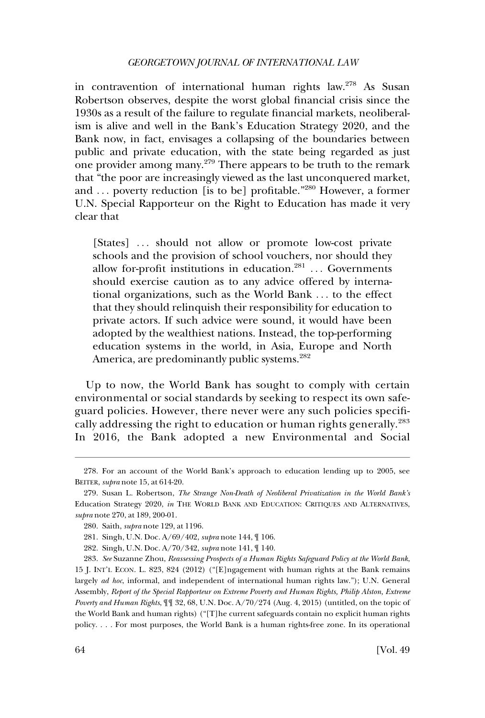in contravention of international human rights law.<sup>278</sup> As Susan Robertson observes, despite the worst global financial crisis since the 1930s as a result of the failure to regulate financial markets, neoliberalism is alive and well in the Bank's Education Strategy 2020, and the Bank now, in fact, envisages a collapsing of the boundaries between public and private education, with the state being regarded as just one provider among many.<sup>279</sup> There appears to be truth to the remark that "the poor are increasingly viewed as the last unconquered market, and . . . poverty reduction [is to be] profitable."280 However, a former U.N. Special Rapporteur on the Right to Education has made it very clear that

[States] ... should not allow or promote low-cost private schools and the provision of school vouchers, nor should they allow for-profit institutions in education. $281$ ... Governments should exercise caution as to any advice offered by international organizations, such as the World Bank . . . to the effect that they should relinquish their responsibility for education to private actors. If such advice were sound, it would have been adopted by the wealthiest nations. Instead, the top-performing education systems in the world, in Asia, Europe and North America, are predominantly public systems.<sup>282</sup>

Up to now, the World Bank has sought to comply with certain environmental or social standards by seeking to respect its own safeguard policies. However, there never were any such policies specifically addressing the right to education or human rights generally.<sup>283</sup> In 2016, the Bank adopted a new Environmental and Social

<sup>278.</sup> For an account of the World Bank's approach to education lending up to 2005, see BEITER, *supra* note 15, at 614-20.

<sup>279.</sup> Susan L. Robertson, *The Strange Non-Death of Neoliberal Privatization in the World Bank's*  Education Strategy 2020, *in* THE WORLD BANK AND EDUCATION: CRITIQUES AND ALTERNATIVES, *supra* note 270, at 189, 200-01.

<sup>280.</sup> Saith, *supra* note 129, at 1196.

<sup>281.</sup> Singh, U.N. Doc. A/69/402, *supra* note 144, ¶ 106.

<sup>282.</sup> Singh, U.N. Doc. A/70/342, *supra* note 141, ¶ 140.

<sup>283.</sup> *See* Suzanne Zhou, *Reassessing Prospects of a Human Rights Safeguard Policy at the World Bank*, 15 J. INT'L ECON. L. 823, 824 (2012) ("[E]ngagement with human rights at the Bank remains largely *ad hoc*, informal, and independent of international human rights law."); U.N. General Assembly, *Report of the Special Rapporteur on Extreme Poverty and Human Rights, Philip Alston, Extreme Poverty and Human Rights*, ¶¶ 32, 68, U.N. Doc. A/70/274 (Aug. 4, 2015) (untitled, on the topic of the World Bank and human rights) ("[T]he current safeguards contain no explicit human rights policy. . . . For most purposes, the World Bank is a human rights-free zone. In its operational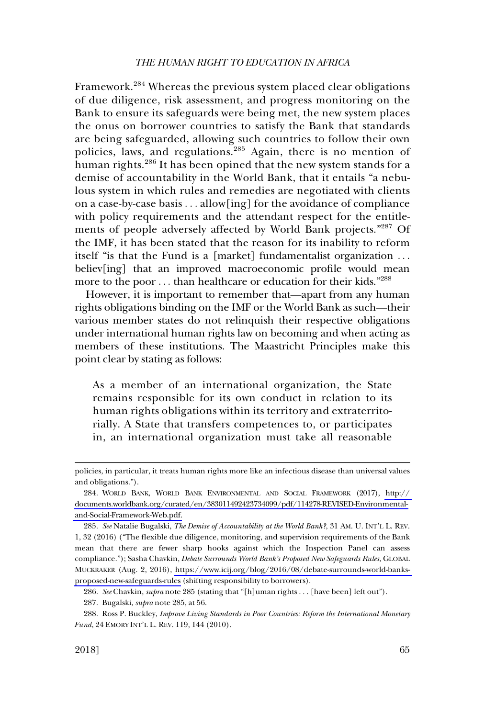Framework.<sup>284</sup> Whereas the previous system placed clear obligations of due diligence, risk assessment, and progress monitoring on the Bank to ensure its safeguards were being met, the new system places the onus on borrower countries to satisfy the Bank that standards are being safeguarded, allowing such countries to follow their own policies, laws, and regulations.<sup>285</sup> Again, there is no mention of human rights.<sup>286</sup> It has been opined that the new system stands for a demise of accountability in the World Bank, that it entails "a nebulous system in which rules and remedies are negotiated with clients on a case-by-case basis . . . allow[ing] for the avoidance of compliance with policy requirements and the attendant respect for the entitlements of people adversely affected by World Bank projects."287 Of the IMF, it has been stated that the reason for its inability to reform itself "is that the Fund is a [market] fundamentalist organization . . . believ[ing] that an improved macroeconomic profile would mean more to the poor ... than healthcare or education for their kids."<sup>288</sup>

However, it is important to remember that—apart from any human rights obligations binding on the IMF or the World Bank as such—their various member states do not relinquish their respective obligations under international human rights law on becoming and when acting as members of these institutions. The Maastricht Principles make this point clear by stating as follows:

As a member of an international organization, the State remains responsible for its own conduct in relation to its human rights obligations within its territory and extraterritorially. A State that transfers competences to, or participates in, an international organization must take all reasonable

286. *See* Chavkin, *supra* note 285 (stating that "[h]uman rights . . . [have been] left out").

287. Bugalski, *supra* note 285, at 56.

288. Ross P. Buckley, *Improve Living Standards in Poor Countries: Reform the International Monetary Fund*, 24 EMORY INT'L L. REV. 119, 144 (2010).

policies, in particular, it treats human rights more like an infectious disease than universal values and obligations.").

WORLD BANK, WORLD BANK ENVIRONMENTAL AND SOCIAL FRAMEWORK (2017), [http://](http://documents.worldbank.org/curated/en/383011492423734099/pdf/114278-REVISED-Environmental-and-Social-Framework-Web.pdf)  284. [documents.worldbank.org/curated/en/383011492423734099/pdf/114278-REVISED-Environmental](http://documents.worldbank.org/curated/en/383011492423734099/pdf/114278-REVISED-Environmental-and-Social-Framework-Web.pdf)[and-Social-Framework-Web.pdf.](http://documents.worldbank.org/curated/en/383011492423734099/pdf/114278-REVISED-Environmental-and-Social-Framework-Web.pdf)

*See* Natalie Bugalski, *The Demise of Accountability at the World Bank?*, 31 AM. U. INT'L L. REV. 285. 1, 32 (2016) ("The flexible due diligence, monitoring, and supervision requirements of the Bank mean that there are fewer sharp hooks against which the Inspection Panel can assess compliance."); Sasha Chavkin, *Debate Surrounds World Bank's Proposed New Safeguards Rules*, GLOBAL MUCKRAKER (Aug. 2, 2016), [https://www.icij.org/blog/2016/08/debate-surrounds-world-banks](https://www.icij.org/blog/2016/08/debate-surrounds-world-banks-proposed-new-safeguards-rules)[proposed-new-safeguards-rules](https://www.icij.org/blog/2016/08/debate-surrounds-world-banks-proposed-new-safeguards-rules) (shifting responsibility to borrowers).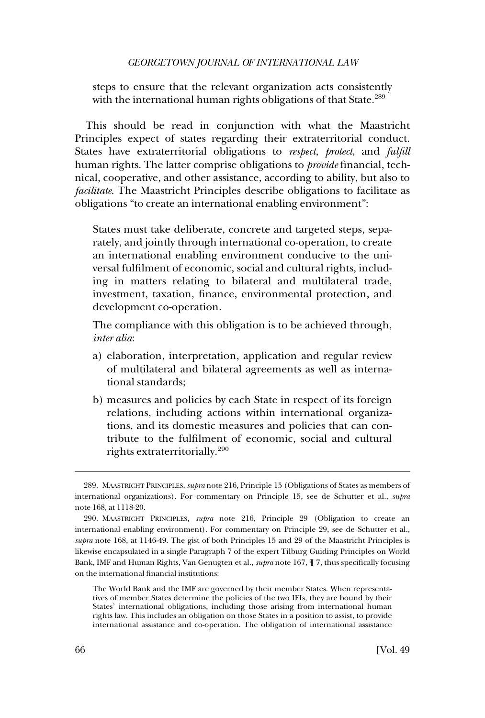steps to ensure that the relevant organization acts consistently with the international human rights obligations of that State.<sup>289</sup>

This should be read in conjunction with what the Maastricht Principles expect of states regarding their extraterritorial conduct. States have extraterritorial obligations to *respect*, *protect*, and *fulfill*  human rights. The latter comprise obligations to *provide* financial, technical, cooperative, and other assistance, according to ability, but also to *facilitate*. The Maastricht Principles describe obligations to facilitate as obligations "to create an international enabling environment":

States must take deliberate, concrete and targeted steps, separately, and jointly through international co-operation, to create an international enabling environment conducive to the universal fulfilment of economic, social and cultural rights, including in matters relating to bilateral and multilateral trade, investment, taxation, finance, environmental protection, and development co-operation.

The compliance with this obligation is to be achieved through, *inter alia*:

- a) elaboration, interpretation, application and regular review of multilateral and bilateral agreements as well as international standards;
- b) measures and policies by each State in respect of its foreign relations, including actions within international organizations, and its domestic measures and policies that can contribute to the fulfilment of economic, social and cultural rights extraterritorially.<sup>290</sup>

<sup>289.</sup> MAASTRICHT PRINCIPLES, *supra* note 216, Principle 15 (Obligations of States as members of international organizations). For commentary on Principle 15, see de Schutter et al., *supra*  note 168, at 1118-20.

<sup>290.</sup> MAASTRICHT PRINCIPLES, *supra* note 216, Principle 29 (Obligation to create an international enabling environment). For commentary on Principle 29, see de Schutter et al., *supra* note 168, at 1146-49. The gist of both Principles 15 and 29 of the Maastricht Principles is likewise encapsulated in a single Paragraph 7 of the expert Tilburg Guiding Principles on World Bank, IMF and Human Rights, Van Genugten et al., *supra* note 167, ¶ 7, thus specifically focusing on the international financial institutions:

The World Bank and the IMF are governed by their member States. When representatives of member States determine the policies of the two IFIs, they are bound by their States' international obligations, including those arising from international human rights law. This includes an obligation on those States in a position to assist, to provide international assistance and co-operation. The obligation of international assistance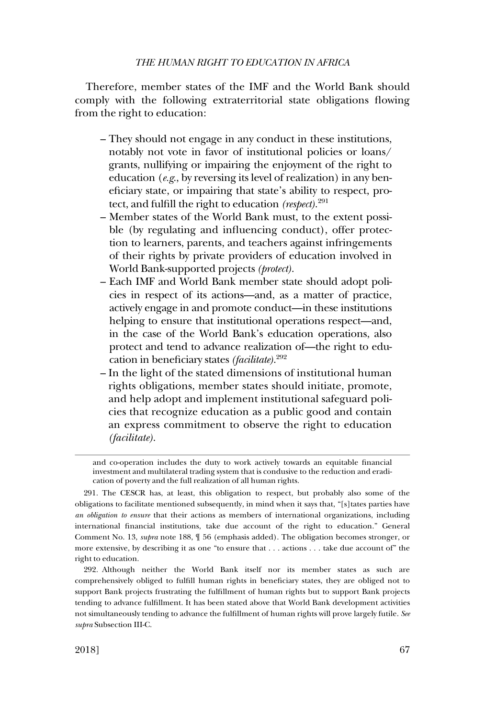Therefore, member states of the IMF and the World Bank should comply with the following extraterritorial state obligations flowing from the right to education:

- They should not engage in any conduct in these institutions, notably not vote in favor of institutional policies or loans/ grants, nullifying or impairing the enjoyment of the right to education (*e.g*., by reversing its level of realization) in any beneficiary state, or impairing that state's ability to respect, protect, and fulfill the right to education *(respect)*. 291
- Member states of the World Bank must, to the extent possible (by regulating and influencing conduct), offer protection to learners, parents, and teachers against infringements of their rights by private providers of education involved in World Bank-supported projects *(protect)*.
- Each IMF and World Bank member state should adopt policies in respect of its actions—and, as a matter of practice, actively engage in and promote conduct—in these institutions helping to ensure that institutional operations respect—and, in the case of the World Bank's education operations, also protect and tend to advance realization of—the right to education in beneficiary states *(facilitate)*. 292
- In the light of the stated dimensions of institutional human rights obligations, member states should initiate, promote, and help adopt and implement institutional safeguard policies that recognize education as a public good and contain an express commitment to observe the right to education *(facilitate)*.

and co-operation includes the duty to work actively towards an equitable financial investment and multilateral trading system that is condusive to the reduction and eradication of poverty and the full realization of all human rights.

<sup>291.</sup> The CESCR has, at least, this obligation to respect, but probably also some of the obligations to facilitate mentioned subsequently, in mind when it says that, "[s]tates parties have *an obligation to ensure* that their actions as members of international organizations, including international financial institutions, take due account of the right to education." General Comment No. 13, *supra* note 188, ¶ 56 (emphasis added). The obligation becomes stronger, or more extensive, by describing it as one "to ensure that . . . actions . . . take due account of" the right to education.

<sup>292.</sup> Although neither the World Bank itself nor its member states as such are comprehensively obliged to fulfill human rights in beneficiary states, they are obliged not to support Bank projects frustrating the fulfillment of human rights but to support Bank projects tending to advance fulfillment. It has been stated above that World Bank development activities not simultaneously tending to advance the fulfillment of human rights will prove largely futile. *See supra* Subsection III-C.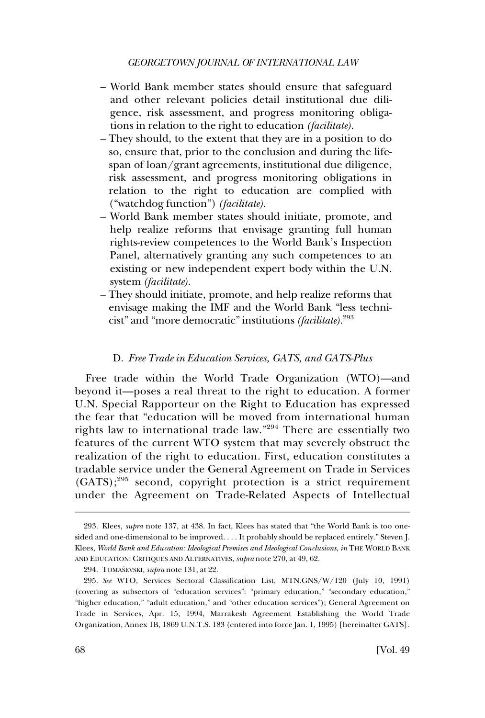- World Bank member states should ensure that safeguard and other relevant policies detail institutional due diligence, risk assessment, and progress monitoring obligations in relation to the right to education *(facilitate)*.
- They should, to the extent that they are in a position to do so, ensure that, prior to the conclusion and during the lifespan of loan/grant agreements, institutional due diligence, risk assessment, and progress monitoring obligations in relation to the right to education are complied with ("watchdog function") *(facilitate)*.
- World Bank member states should initiate, promote, and help realize reforms that envisage granting full human rights-review competences to the World Bank's Inspection Panel, alternatively granting any such competences to an existing or new independent expert body within the U.N. system *(facilitate)*.
- They should initiate, promote, and help realize reforms that envisage making the IMF and the World Bank "less technicist" and "more democratic" institutions *(facilitate)*. 293

#### D. *Free Trade in Education Services, GATS, and GATS-Plus*

Free trade within the World Trade Organization (WTO)—and beyond it—poses a real threat to the right to education. A former U.N. Special Rapporteur on the Right to Education has expressed the fear that "education will be moved from international human rights law to international trade law."294 There are essentially two features of the current WTO system that may severely obstruct the realization of the right to education. First, education constitutes a tradable service under the General Agreement on Trade in Services  $(GATS)$ ;<sup>295</sup> second, copyright protection is a strict requirement under the Agreement on Trade-Related Aspects of Intellectual

<sup>293.</sup> Klees, *supra* note 137, at 438. In fact, Klees has stated that "the World Bank is too onesided and one-dimensional to be improved. . . . It probably should be replaced entirely." Steven J. Klees, *World Bank and Education: Ideological Premises and Ideological Conclusions*, *in* THE WORLD BANK AND EDUCATION: CRITIQUES AND ALTERNATIVES, *supra* note 270, at 49, 62.

<sup>294.</sup> TOMASˇEVSKI, *supra* note 131, at 22.

<sup>295.</sup> *See* WTO, Services Sectoral Classification List, MTN.GNS/W/120 (July 10, 1991) (covering as subsectors of "education services": "primary education," "secondary education," "higher education," "adult education," and "other education services"); General Agreement on Trade in Services, Apr. 15, 1994, Marrakesh Agreement Establishing the World Trade Organization, Annex 1B, 1869 U.N.T.S. 183 (entered into force Jan. 1, 1995) [hereinafter GATS].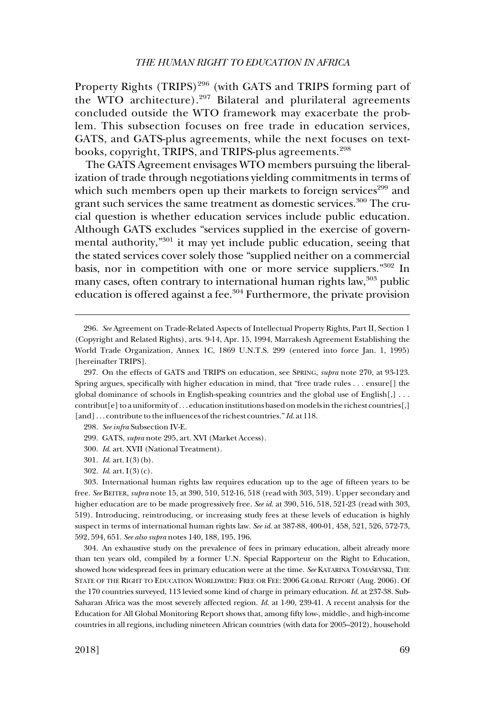Property Rights (TRIPS)<sup>296</sup> (with GATS and TRIPS forming part of the WTO architecture). $297$  Bilateral and plurilateral agreements concluded outside the WTO framework may exacerbate the problem. This subsection focuses on free trade in education services, GATS, and GATS-plus agreements, while the next focuses on textbooks, copyright, TRIPS, and TRIPS-plus agreements.<sup>298</sup>

The GATS Agreement envisages WTO members pursuing the liberalization of trade through negotiations yielding commitments in terms of which such members open up their markets to foreign services<sup>299</sup> and grant such services the same treatment as domestic services.<sup>300</sup> The crucial question is whether education services include public education. Although GATS excludes "services supplied in the exercise of governmental authority,"301 it may yet include public education, seeing that the stated services cover solely those "supplied neither on a commercial basis, nor in competition with one or more service suppliers."302 In many cases, often contrary to international human rights law, $303$  public education is offered against a fee.304 Furthermore, the private provision

304. An exhaustive study on the prevalence of fees in primary education, albeit already more than ten years old, compiled by a former U.N. Special Rapporteur on the Right to Education, showed how widespread fees in primary education were at the time. See KATARINA TOMAŠEVSKI, THE STATE OF THE RIGHT TO EDUCATION WORLDWIDE: FREE OR FEE: 2006 GLOBAL REPORT (Aug. 2006). Of the 170 countries surveyed, 113 levied some kind of charge in primary education. *Id*. at 237-38. Sub-Saharan Africa was the most severely affected region. *Id*. at 1-90, 239-41. A recent analysis for the Education for All Global Monitoring Report shows that, among fifty low-, middle-, and high-income countries in all regions, including nineteen African countries (with data for 2005–2012), household

<sup>296.</sup> *See* Agreement on Trade-Related Aspects of Intellectual Property Rights, Part II, Section 1 (Copyright and Related Rights), arts. 9-14, Apr. 15, 1994, Marrakesh Agreement Establishing the World Trade Organization, Annex 1C, 1869 U.N.T.S. 299 (entered into force Jan. 1, 1995) [hereinafter TRIPS].

<sup>297.</sup> On the effects of GATS and TRIPS on education, see SPRING, *supra* note 270, at 93-123. Spring argues, specifically with higher education in mind, that "free trade rules . . . ensure[] the global dominance of schools in English-speaking countries and the global use of English $[,] \ldots$ contribut[e] to a uniformity of . . . education institutions based on models in the richest countries[,] [and] . . . contribute to the influences of the richest countries." *Id*. at 118.

<sup>298.</sup> *See infra* Subsection IV-E.

<sup>299.</sup> GATS, *supra* note 295, art. XVI (Market Access).

<sup>300.</sup> *Id*. art. XVII (National Treatment).

<sup>301.</sup> *Id*. art. I(3)(b).

<sup>302.</sup> *Id*. art. I(3)(c).

<sup>303.</sup> International human rights law requires education up to the age of fifteen years to be free. *See* BEITER, *supra* note 15, at 390, 510, 512-16, 518 (read with 303, 519). Upper secondary and higher education are to be made progressively free. *See id*. at 390, 516, 518, 521-23 (read with 303, 519). Introducing, reintroducing, or increasing study fees at these levels of education is highly suspect in terms of international human rights law. *See id*. at 387-88, 400-01, 458, 521, 526, 572-73, 592, 594, 651. *See also supra* notes 140, 188, 195, 196.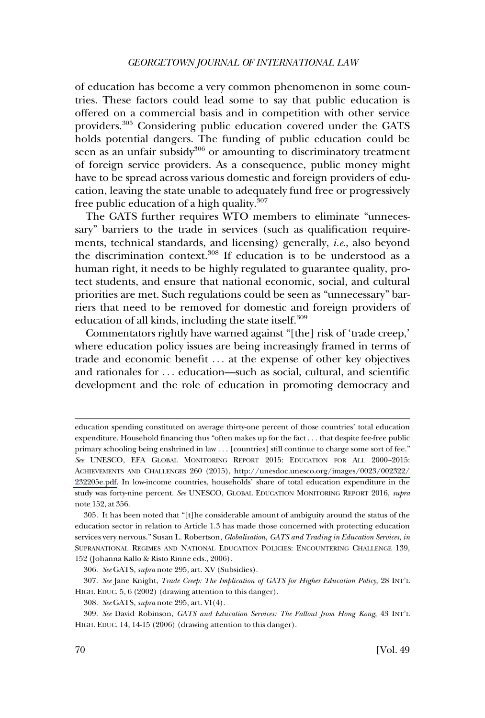of education has become a very common phenomenon in some countries. These factors could lead some to say that public education is offered on a commercial basis and in competition with other service providers.305 Considering public education covered under the GATS holds potential dangers. The funding of public education could be seen as an unfair subsidy<sup>306</sup> or amounting to discriminatory treatment of foreign service providers. As a consequence, public money might have to be spread across various domestic and foreign providers of education, leaving the state unable to adequately fund free or progressively free public education of a high quality.<sup>307</sup>

The GATS further requires WTO members to eliminate "unnecessary" barriers to the trade in services (such as qualification requirements, technical standards, and licensing) generally, *i.e*., also beyond the discrimination context. $308$  If education is to be understood as a human right, it needs to be highly regulated to guarantee quality, protect students, and ensure that national economic, social, and cultural priorities are met. Such regulations could be seen as "unnecessary" barriers that need to be removed for domestic and foreign providers of education of all kinds, including the state itself.<sup>309</sup>

Commentators rightly have warned against "[the] risk of 'trade creep,' where education policy issues are being increasingly framed in terms of trade and economic benefit . . . at the expense of other key objectives and rationales for . . . education—such as social, cultural, and scientific development and the role of education in promoting democracy and

education spending constituted on average thirty-one percent of those countries' total education expenditure. Household financing thus "often makes up for the fact . . . that despite fee-free public primary schooling being enshrined in law . . . [countries] still continue to charge some sort of fee." *See* UNESCO, EFA GLOBAL MONITORING REPORT 2015: EDUCATION FOR ALL 2000–2015: ACHIEVEMENTS AND CHALLENGES 260 (2015), [http://unesdoc.unesco.org/images/0023/002322/](http://unesdoc.unesco.org/images/0023/002322/232205e.pdf)  [232205e.pdf.](http://unesdoc.unesco.org/images/0023/002322/232205e.pdf) In low-income countries, households' share of total education expenditure in the study was forty-nine percent. *See* UNESCO, GLOBAL EDUCATION MONITORING REPORT 2016, *supra*  note 152, at 356.

<sup>305.</sup> It has been noted that "[t]he considerable amount of ambiguity around the status of the education sector in relation to Article 1.3 has made those concerned with protecting education services very nervous." Susan L. Robertson, *Globalisation, GATS and Trading in Education Services*, *in*  SUPRANATIONAL REGIMES AND NATIONAL EDUCATION POLICIES: ENCOUNTERING CHALLENGE 139, 152 (Johanna Kallo & Risto Rinne eds., 2006).

<sup>306.</sup> *See* GATS, *supra* note 295, art. XV (Subsidies).

<sup>307.</sup> *See* Jane Knight, *Trade Creep: The Implication of GATS for Higher Education Policy*, 28 INT'L HIGH. EDUC. 5, 6 (2002) (drawing attention to this danger).

<sup>308.</sup> *See* GATS, *supra* note 295, art. VI(4).

<sup>309.</sup> *See* David Robinson, *GATS and Education Services: The Fallout from Hong Kong*, 43 INT'L HIGH. EDUC. 14, 14-15 (2006) (drawing attention to this danger).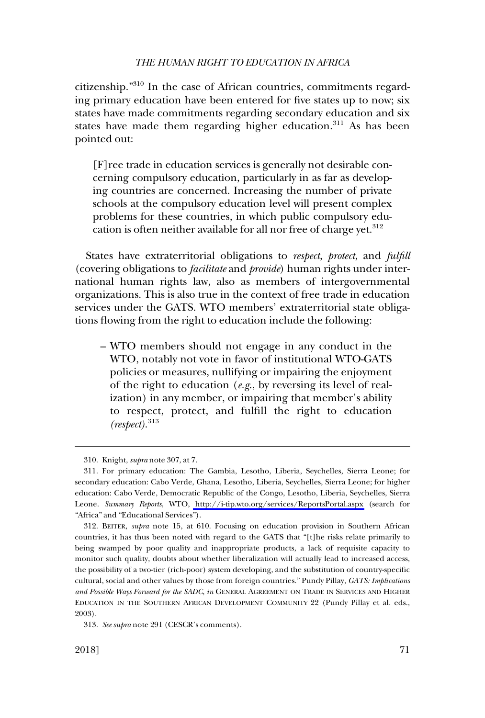citizenship."310 In the case of African countries, commitments regarding primary education have been entered for five states up to now; six states have made commitments regarding secondary education and six states have made them regarding higher education. $311$  As has been pointed out:

[F]ree trade in education services is generally not desirable concerning compulsory education, particularly in as far as developing countries are concerned. Increasing the number of private schools at the compulsory education level will present complex problems for these countries, in which public compulsory education is often neither available for all nor free of charge yet.<sup>312</sup>

States have extraterritorial obligations to *respect*, *protect*, and *fulfill*  (covering obligations to *facilitate* and *provide*) human rights under international human rights law, also as members of intergovernmental organizations. This is also true in the context of free trade in education services under the GATS. WTO members' extraterritorial state obligations flowing from the right to education include the following:

– WTO members should not engage in any conduct in the WTO, notably not vote in favor of institutional WTO-GATS policies or measures, nullifying or impairing the enjoyment of the right to education (*e.g*., by reversing its level of realization) in any member, or impairing that member's ability to respect, protect, and fulfill the right to education *(respect)*. 313

<sup>310.</sup> Knight, *supra* note 307, at 7.

<sup>311.</sup> For primary education: The Gambia, Lesotho, Liberia, Seychelles, Sierra Leone; for secondary education: Cabo Verde, Ghana, Lesotho, Liberia, Seychelles, Sierra Leone; for higher education: Cabo Verde, Democratic Republic of the Congo, Lesotho, Liberia, Seychelles, Sierra Leone. *Summary Reports*, WTO, <http://i-tip.wto.org/services/ReportsPortal.aspx>(search for "Africa" and "Educational Services").

<sup>312.</sup> BEITER, *supra* note 15, at 610. Focusing on education provision in Southern African countries, it has thus been noted with regard to the GATS that "[t]he risks relate primarily to being swamped by poor quality and inappropriate products, a lack of requisite capacity to monitor such quality, doubts about whether liberalization will actually lead to increased access, the possibility of a two-tier (rich-poor) system developing, and the substitution of country-specific cultural, social and other values by those from foreign countries." Pundy Pillay, *GATS: Implications and Possible Ways Forward for the SADC*, *in* GENERAL AGREEMENT ON TRADE IN SERVICES AND HIGHER EDUCATION IN THE SOUTHERN AFRICAN DEVELOPMENT COMMUNITY 22 (Pundy Pillay et al. eds., 2003).

<sup>313.</sup> *See supra* note 291 (CESCR's comments).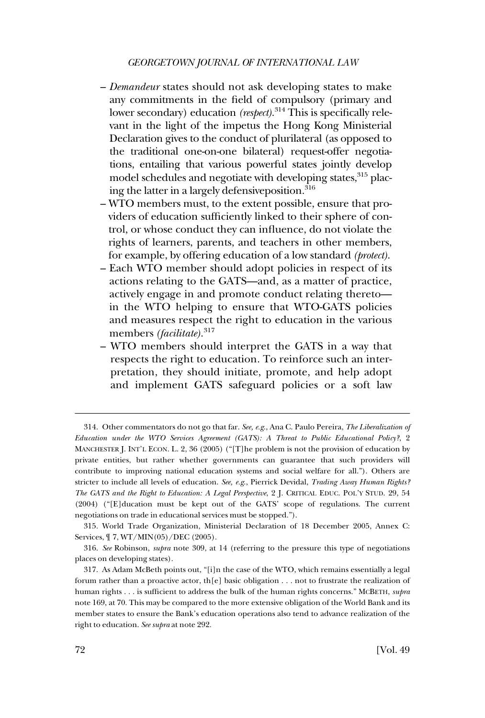- *Demandeur* states should not ask developing states to make any commitments in the field of compulsory (primary and lower secondary) education *(respect)*. 314 This is specifically relevant in the light of the impetus the Hong Kong Ministerial Declaration gives to the conduct of plurilateral (as opposed to the traditional one-on-one bilateral) request-offer negotiations, entailing that various powerful states jointly develop model schedules and negotiate with developing states, <sup>315</sup> placing the latter in a largely defensive position.<sup>316</sup>
- WTO members must, to the extent possible, ensure that providers of education sufficiently linked to their sphere of control, or whose conduct they can influence, do not violate the rights of learners, parents, and teachers in other members, for example, by offering education of a low standard *(protect)*.
- Each WTO member should adopt policies in respect of its actions relating to the GATS—and, as a matter of practice, actively engage in and promote conduct relating thereto in the WTO helping to ensure that WTO-GATS policies and measures respect the right to education in the various members *(facilitate)*. 317
- WTO members should interpret the GATS in a way that respects the right to education. To reinforce such an interpretation, they should initiate, promote, and help adopt and implement GATS safeguard policies or a soft law

<sup>314.</sup> Other commentators do not go that far. *See, e.g*., Ana C. Paulo Pereira, *The Liberalization of Education under the WTO Services Agreement (GATS): A Threat to Public Educational Policy?*, 2 MANCHESTER J. INT'L ECON. L. 2, 36 (2005) ("[T]he problem is not the provision of education by private entities, but rather whether governments can guarantee that such providers will contribute to improving national education systems and social welfare for all."). Others are stricter to include all levels of education. *See, e.g*., Pierrick Devidal, *Trading Away Human Rights? The GATS and the Right to Education: A Legal Perspective*, 2 J. CRITICAL EDUC. POL'Y STUD. 29, 54 (2004) ("[E]ducation must be kept out of the GATS' scope of regulations. The current negotiations on trade in educational services must be stopped.").

<sup>315.</sup> World Trade Organization, Ministerial Declaration of 18 December 2005, Annex C: Services, ¶ 7, WT/MIN(05)/DEC (2005).

<sup>316.</sup> *See* Robinson, *supra* note 309, at 14 (referring to the pressure this type of negotiations places on developing states).

<sup>317.</sup> As Adam McBeth points out, "[i]n the case of the WTO, which remains essentially a legal forum rather than a proactive actor, th[e] basic obligation . . . not to frustrate the realization of human rights . . . is sufficient to address the bulk of the human rights concerns." MCBETH, *supra*  note 169, at 70. This may be compared to the more extensive obligation of the World Bank and its member states to ensure the Bank's education operations also tend to advance realization of the right to education. *See supra* at note 292.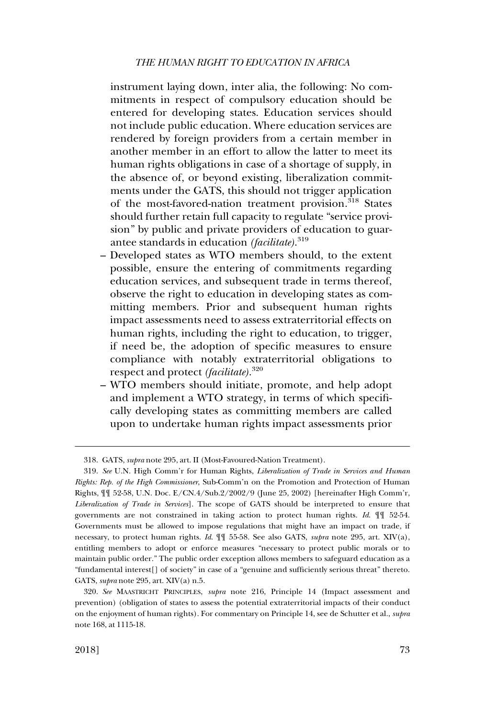instrument laying down, inter alia, the following: No commitments in respect of compulsory education should be entered for developing states. Education services should not include public education. Where education services are rendered by foreign providers from a certain member in another member in an effort to allow the latter to meet its human rights obligations in case of a shortage of supply, in the absence of, or beyond existing, liberalization commitments under the GATS, this should not trigger application of the most-favored-nation treatment provision.<sup>318</sup> States should further retain full capacity to regulate "service provision" by public and private providers of education to guarantee standards in education *(facilitate)*. 319

- Developed states as WTO members should, to the extent possible, ensure the entering of commitments regarding education services, and subsequent trade in terms thereof, observe the right to education in developing states as committing members. Prior and subsequent human rights impact assessments need to assess extraterritorial effects on human rights, including the right to education, to trigger, if need be, the adoption of specific measures to ensure compliance with notably extraterritorial obligations to respect and protect *(facilitate)*. 320
- WTO members should initiate, promote, and help adopt and implement a WTO strategy, in terms of which specifically developing states as committing members are called upon to undertake human rights impact assessments prior

<sup>318.</sup> GATS, *supra* note 295, art. II (Most-Favoured-Nation Treatment).

<sup>319.</sup> *See* U.N. High Comm'r for Human Rights, *Liberalization of Trade in Services and Human Rights: Rep. of the High Commissioner*, Sub-Comm'n on the Promotion and Protection of Human Rights, ¶¶ 52-58, U.N. Doc. E/CN.4/Sub.2/2002/9 (June 25, 2002) [hereinafter High Comm'r, *Liberalization of Trade in Services*]. The scope of GATS should be interpreted to ensure that governments are not constrained in taking action to protect human rights. *Id*. ¶¶ 52-54. Governments must be allowed to impose regulations that might have an impact on trade, if necessary, to protect human rights. *Id*. ¶¶ 55-58. See also GATS, *supra* note 295, art. XIV(a), entitling members to adopt or enforce measures "necessary to protect public morals or to maintain public order." The public order exception allows members to safeguard education as a "fundamental interest[] of society" in case of a "genuine and sufficiently serious threat" thereto. GATS, *supra* note 295, art. XIV(a) n.5.

<sup>320.</sup> *See* MAASTRICHT PRINCIPLES, *supra* note 216, Principle 14 (Impact assessment and prevention) (obligation of states to assess the potential extraterritorial impacts of their conduct on the enjoyment of human rights). For commentary on Principle 14, see de Schutter et al., *supra*  note 168, at 1115-18.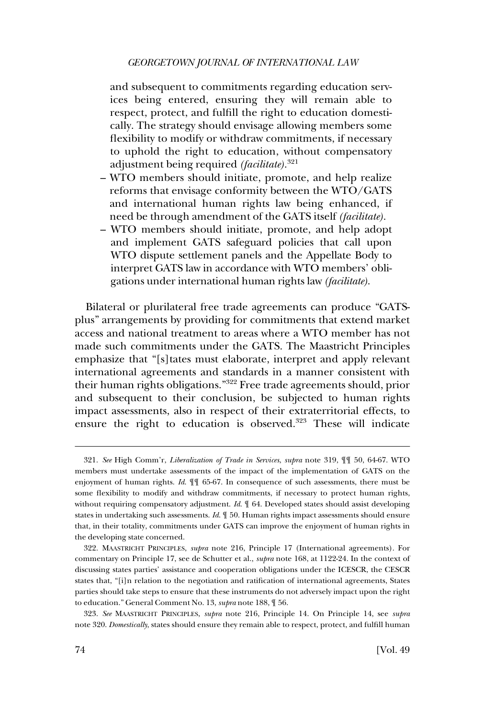and subsequent to commitments regarding education services being entered, ensuring they will remain able to respect, protect, and fulfill the right to education domestically. The strategy should envisage allowing members some flexibility to modify or withdraw commitments, if necessary to uphold the right to education, without compensatory adjustment being required *(facilitate)*. 321

- WTO members should initiate, promote, and help realize reforms that envisage conformity between the WTO/GATS and international human rights law being enhanced, if need be through amendment of the GATS itself *(facilitate)*.
- WTO members should initiate, promote, and help adopt and implement GATS safeguard policies that call upon WTO dispute settlement panels and the Appellate Body to interpret GATS law in accordance with WTO members' obligations under international human rights law *(facilitate)*.

Bilateral or plurilateral free trade agreements can produce "GATSplus" arrangements by providing for commitments that extend market access and national treatment to areas where a WTO member has not made such commitments under the GATS. The Maastricht Principles emphasize that "[s]tates must elaborate, interpret and apply relevant international agreements and standards in a manner consistent with their human rights obligations."322 Free trade agreements should, prior and subsequent to their conclusion, be subjected to human rights impact assessments, also in respect of their extraterritorial effects, to ensure the right to education is observed.<sup>323</sup> These will indicate

323. *See* MAASTRICHT PRINCIPLES, *supra* note 216, Principle 14. On Principle 14, see *supra*  note 320. *Domestically*, states should ensure they remain able to respect, protect, and fulfill human

<sup>321.</sup> *See* High Comm'r, *Liberalization of Trade in Services*, *supra* note 319, ¶¶ 50, 64-67. WTO members must undertake assessments of the impact of the implementation of GATS on the enjoyment of human rights. *Id*. ¶¶ 65-67. In consequence of such assessments, there must be some flexibility to modify and withdraw commitments, if necessary to protect human rights, without requiring compensatory adjustment. *Id*. ¶ 64. Developed states should assist developing states in undertaking such assessments. *Id*. ¶ 50. Human rights impact assessments should ensure that, in their totality, commitments under GATS can improve the enjoyment of human rights in the developing state concerned.

<sup>322.</sup> MAASTRICHT PRINCIPLES, *supra* note 216, Principle 17 (International agreements). For commentary on Principle 17, see de Schutter et al., *supra* note 168, at 1122-24. In the context of discussing states parties' assistance and cooperation obligations under the ICESCR, the CESCR states that, "[i]n relation to the negotiation and ratification of international agreements, States parties should take steps to ensure that these instruments do not adversely impact upon the right to education." General Comment No. 13, *supra* note 188, ¶ 56.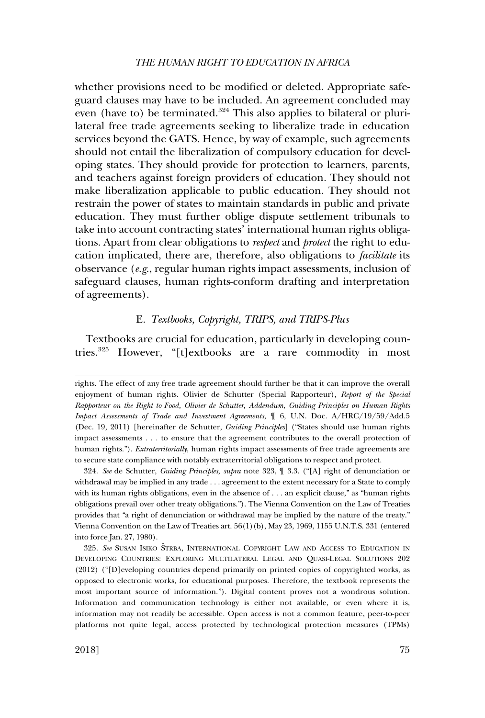whether provisions need to be modified or deleted. Appropriate safeguard clauses may have to be included. An agreement concluded may even (have to) be terminated.<sup>324</sup> This also applies to bilateral or plurilateral free trade agreements seeking to liberalize trade in education services beyond the GATS. Hence, by way of example, such agreements should not entail the liberalization of compulsory education for developing states. They should provide for protection to learners, parents, and teachers against foreign providers of education. They should not make liberalization applicable to public education. They should not restrain the power of states to maintain standards in public and private education. They must further oblige dispute settlement tribunals to take into account contracting states' international human rights obligations. Apart from clear obligations to *respect* and *protect* the right to education implicated, there are, therefore, also obligations to *facilitate* its observance (*e.g*., regular human rights impact assessments, inclusion of safeguard clauses, human rights-conform drafting and interpretation of agreements).

### E. *Textbooks, Copyright, TRIPS, and TRIPS-Plus*

Textbooks are crucial for education, particularly in developing countries.325 However, "[t]extbooks are a rare commodity in most

rights. The effect of any free trade agreement should further be that it can improve the overall enjoyment of human rights. Olivier de Schutter (Special Rapporteur), *Report of the Special Rapporteur on the Right to Food, Olivier de Schutter, Addendum, Guiding Principles on Human Rights Impact Assessments of Trade and Investment Agreements*, ¶ 6, U.N. Doc. A/HRC/19/59/Add.5 (Dec. 19, 2011) [hereinafter de Schutter, *Guiding Principles*] ("States should use human rights impact assessments . . . to ensure that the agreement contributes to the overall protection of human rights."). *Extraterritorially*, human rights impact assessments of free trade agreements are to secure state compliance with notably extraterritorial obligations to respect and protect.

<sup>324.</sup> *See* de Schutter, *Guiding Principles*, *supra* note 323, ¶ 3.3. ("[A] right of denunciation or withdrawal may be implied in any trade . . . agreement to the extent necessary for a State to comply with its human rights obligations, even in the absence of . . . an explicit clause," as "human rights obligations prevail over other treaty obligations."). The Vienna Convention on the Law of Treaties provides that "a right of denunciation or withdrawal may be implied by the nature of the treaty." Vienna Convention on the Law of Treaties art. 56(1)(b), May 23, 1969, 1155 U.N.T.S. 331 (entered into force Jan. 27, 1980).

<sup>325.</sup> See SUSAN ISIKO STRBA, INTERNATIONAL COPYRIGHT LAW AND ACCESS TO EDUCATION IN DEVELOPING COUNTRIES: EXPLORING MULTILATERAL LEGAL AND QUASI-LEGAL SOLUTIONS 202 (2012) ("[D]eveloping countries depend primarily on printed copies of copyrighted works, as opposed to electronic works, for educational purposes. Therefore, the textbook represents the most important source of information."). Digital content proves not a wondrous solution. Information and communication technology is either not available, or even where it is, information may not readily be accessible. Open access is not a common feature, peer-to-peer platforms not quite legal, access protected by technological protection measures (TPMs)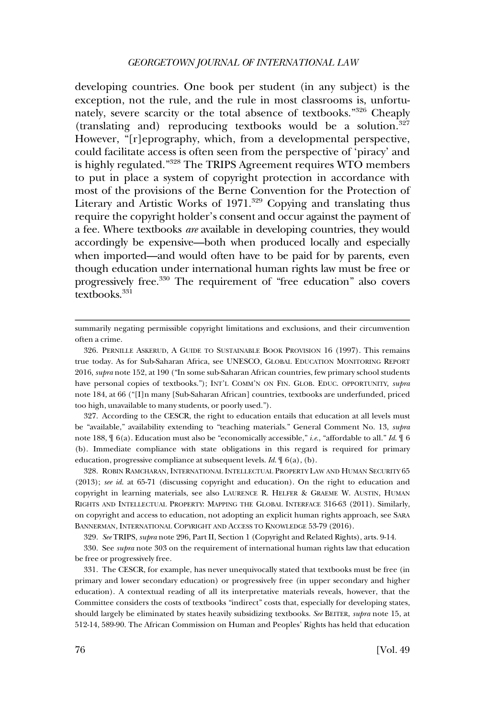developing countries. One book per student (in any subject) is the exception, not the rule, and the rule in most classrooms is, unfortunately, severe scarcity or the total absence of textbooks."326 Cheaply (translating and) reproducing textbooks would be a solution. $327$ However, "[r]eprography, which, from a developmental perspective, could facilitate access is often seen from the perspective of 'piracy' and is highly regulated."328 The TRIPS Agreement requires WTO members to put in place a system of copyright protection in accordance with most of the provisions of the Berne Convention for the Protection of Literary and Artistic Works of 1971.<sup>329</sup> Copying and translating thus require the copyright holder's consent and occur against the payment of a fee. Where textbooks *are* available in developing countries, they would accordingly be expensive—both when produced locally and especially when imported—and would often have to be paid for by parents, even though education under international human rights law must be free or progressively free.330 The requirement of "free education" also covers textbooks $331$ 

327. According to the CESCR, the right to education entails that education at all levels must be "available," availability extending to "teaching materials." General Comment No. 13, *supra*  note 188, ¶ 6(a). Education must also be "economically accessible," *i.e*., "affordable to all." *Id*. ¶ 6 (b). Immediate compliance with state obligations in this regard is required for primary education, progressive compliance at subsequent levels. *Id*. ¶ 6(a), (b).

328. ROBIN RAMCHARAN, INTERNATIONAL INTELLECTUAL PROPERTY LAW AND HUMAN SECURITY 65 (2013); *see id*. at 65-71 (discussing copyright and education). On the right to education and copyright in learning materials, see also LAURENCE R. HELFER & GRAEME W. AUSTIN, HUMAN RIGHTS AND INTELLECTUAL PROPERTY: MAPPING THE GLOBAL INTERFACE 316-63 (2011). Similarly, on copyright and access to education, not adopting an explicit human rights approach, see SARA BANNERMAN, INTERNATIONAL COPYRIGHT AND ACCESS TO KNOWLEDGE 53-79 (2016).

329. *See* TRIPS, *supra* note 296, Part II, Section 1 (Copyright and Related Rights), arts. 9-14.

330. See *supra* note 303 on the requirement of international human rights law that education be free or progressively free.

331. The CESCR, for example, has never unequivocally stated that textbooks must be free (in primary and lower secondary education) or progressively free (in upper secondary and higher education). A contextual reading of all its interpretative materials reveals, however, that the Committee considers the costs of textbooks "indirect" costs that, especially for developing states, should largely be eliminated by states heavily subsidizing textbooks. *See* BEITER, *supra* note 15, at 512-14, 589-90. The African Commission on Human and Peoples' Rights has held that education

summarily negating permissible copyright limitations and exclusions, and their circumvention often a crime.

<sup>326.</sup> PERNILLE ASKERUD, A GUIDE TO SUSTAINABLE BOOK PROVISION 16 (1997). This remains true today. As for Sub-Saharan Africa, see UNESCO, GLOBAL EDUCATION MONITORING REPORT 2016, *supra* note 152, at 190 ("In some sub-Saharan African countries, few primary school students have personal copies of textbooks."); INT'L COMM'N ON FIN. GLOB. EDUC. OPPORTUNITY, *supra*  note 184, at 66 ("[I]n many [Sub-Saharan African] countries, textbooks are underfunded, priced too high, unavailable to many students, or poorly used.").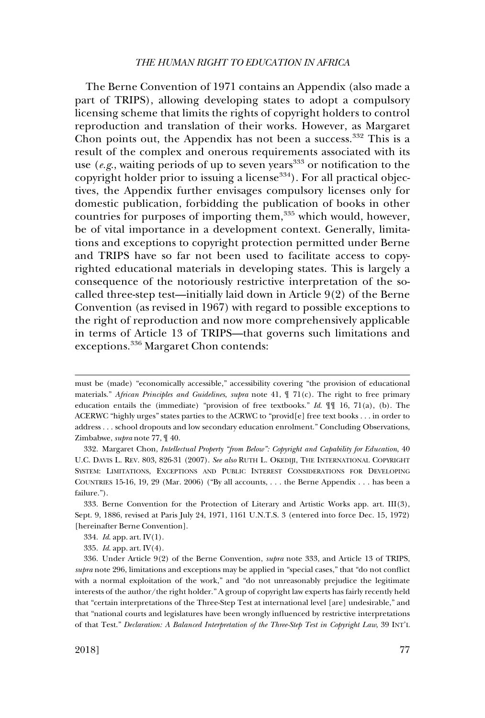The Berne Convention of 1971 contains an Appendix (also made a part of TRIPS), allowing developing states to adopt a compulsory licensing scheme that limits the rights of copyright holders to control reproduction and translation of their works. However, as Margaret Chon points out, the Appendix has not been a success.<sup>332</sup> This is a result of the complex and onerous requirements associated with its use (*e.g.*, waiting periods of up to seven years<sup>333</sup> or notification to the copyright holder prior to issuing a license<sup>334</sup>). For all practical objectives, the Appendix further envisages compulsory licenses only for domestic publication, forbidding the publication of books in other countries for purposes of importing them,<sup>335</sup> which would, however, be of vital importance in a development context. Generally, limitations and exceptions to copyright protection permitted under Berne and TRIPS have so far not been used to facilitate access to copyrighted educational materials in developing states. This is largely a consequence of the notoriously restrictive interpretation of the socalled three-step test—initially laid down in Article 9(2) of the Berne Convention (as revised in 1967) with regard to possible exceptions to the right of reproduction and now more comprehensively applicable in terms of Article 13 of TRIPS—that governs such limitations and exceptions.336 Margaret Chon contends:

must be (made) "economically accessible," accessibility covering "the provision of educational materials." *African Principles and Guidelines*, *supra* note 41, ¶ 71(c). The right to free primary education entails the (immediate) "provision of free textbooks." *Id*. ¶¶ 16, 71(a), (b). The ACERWC "highly urges" states parties to the ACRWC to "provid[e] free text books . . . in order to address . . . school dropouts and low secondary education enrolment." Concluding Observations, Zimbabwe, *supra* note 77, ¶ 40.

<sup>332.</sup> Margaret Chon, *Intellectual Property "from Below": Copyright and Capability for Education*, 40 U.C. DAVIS L. REV. 803, 826-31 (2007). *See also* RUTH L. OKEDIJI, THE INTERNATIONAL COPYRIGHT SYSTEM: LIMITATIONS, EXCEPTIONS AND PUBLIC INTEREST CONSIDERATIONS FOR DEVELOPING COUNTRIES 15-16, 19, 29 (Mar. 2006) ("By all accounts, . . . the Berne Appendix . . . has been a failure.").

<sup>333.</sup> Berne Convention for the Protection of Literary and Artistic Works app. art. III(3), Sept. 9, 1886, revised at Paris July 24, 1971, 1161 U.N.T.S. 3 (entered into force Dec. 15, 1972) [hereinafter Berne Convention].

<sup>334.</sup> *Id*. app. art. IV(1).

<sup>335.</sup> *Id*. app. art. IV(4).

<sup>336.</sup> Under Article 9(2) of the Berne Convention, *supra* note 333, and Article 13 of TRIPS, *supra* note 296, limitations and exceptions may be applied in "special cases," that "do not conflict with a normal exploitation of the work," and "do not unreasonably prejudice the legitimate interests of the author/the right holder." A group of copyright law experts has fairly recently held that "certain interpretations of the Three-Step Test at international level [are] undesirable," and that "national courts and legislatures have been wrongly influenced by restrictive interpretations of that Test." *Declaration: A Balanced Interpretation of the Three-Step Test in Copyright Law*, 39 INT'L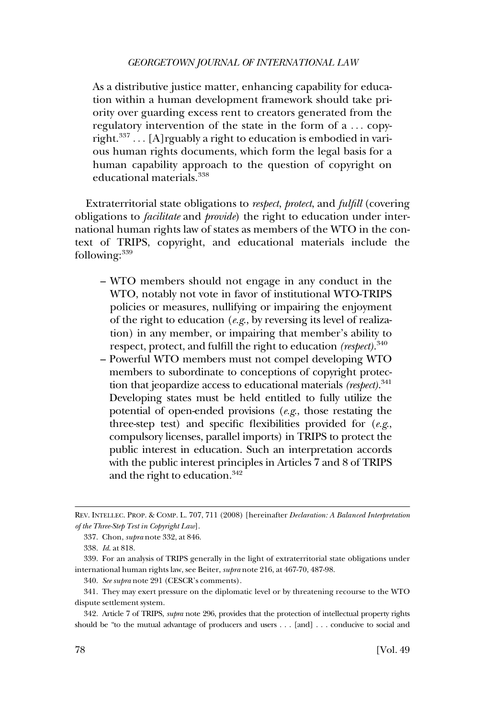As a distributive justice matter, enhancing capability for education within a human development framework should take priority over guarding excess rent to creators generated from the regulatory intervention of the state in the form of a . . . copyright. $337$  ... [A] rguably a right to education is embodied in various human rights documents, which form the legal basis for a human capability approach to the question of copyright on educational materials.<sup>338</sup>

Extraterritorial state obligations to *respect*, *protect*, and *fulfill* (covering obligations to *facilitate* and *provide*) the right to education under international human rights law of states as members of the WTO in the context of TRIPS, copyright, and educational materials include the following: $339$ 

- WTO members should not engage in any conduct in the WTO, notably not vote in favor of institutional WTO-TRIPS policies or measures, nullifying or impairing the enjoyment of the right to education (*e.g*., by reversing its level of realization) in any member, or impairing that member's ability to respect, protect, and fulfill the right to education *(respect)*. 340
- Powerful WTO members must not compel developing WTO members to subordinate to conceptions of copyright protection that jeopardize access to educational materials *(respect)*. 341 Developing states must be held entitled to fully utilize the potential of open-ended provisions (*e.g*., those restating the three-step test) and specific flexibilities provided for (*e.g*., compulsory licenses, parallel imports) in TRIPS to protect the public interest in education. Such an interpretation accords with the public interest principles in Articles 7 and 8 of TRIPS and the right to education.<sup>342</sup>

REV. INTELLEC. PROP. & COMP. L. 707, 711 (2008) [hereinafter *Declaration: A Balanced Interpretation of the Three-Step Test in Copyright Law*].

<sup>337.</sup> Chon, *supra* note 332, at 846.

<sup>338.</sup> *Id*. at 818.

<sup>339.</sup> For an analysis of TRIPS generally in the light of extraterritorial state obligations under international human rights law, see Beiter, *supra* note 216, at 467-70, 487-98.

<sup>340.</sup> *See supra* note 291 (CESCR's comments).

<sup>341.</sup> They may exert pressure on the diplomatic level or by threatening recourse to the WTO dispute settlement system.

<sup>342.</sup> Article 7 of TRIPS, *supra* note 296, provides that the protection of intellectual property rights should be "to the mutual advantage of producers and users . . . [and] . . . conducive to social and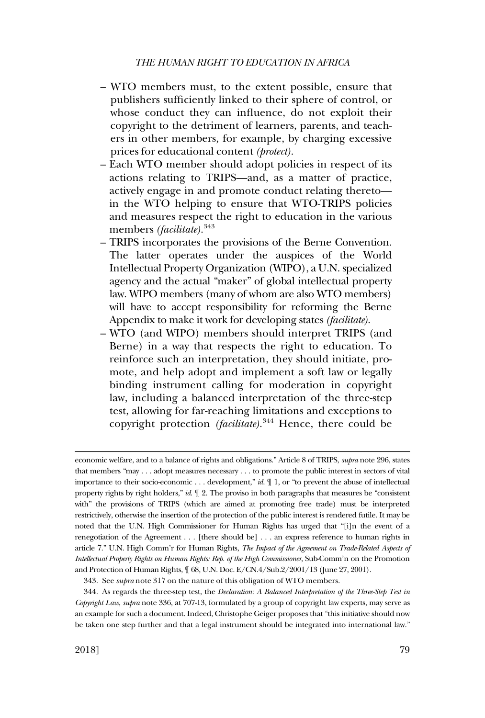- WTO members must, to the extent possible, ensure that publishers sufficiently linked to their sphere of control, or whose conduct they can influence, do not exploit their copyright to the detriment of learners, parents, and teachers in other members, for example, by charging excessive prices for educational content *(protect)*.
- Each WTO member should adopt policies in respect of its actions relating to TRIPS—and, as a matter of practice, actively engage in and promote conduct relating thereto in the WTO helping to ensure that WTO-TRIPS policies and measures respect the right to education in the various members *(facilitate)*. 343
- TRIPS incorporates the provisions of the Berne Convention. The latter operates under the auspices of the World Intellectual Property Organization (WIPO), a U.N. specialized agency and the actual "maker" of global intellectual property law. WIPO members (many of whom are also WTO members) will have to accept responsibility for reforming the Berne Appendix to make it work for developing states *(facilitate)*.
- WTO (and WIPO) members should interpret TRIPS (and Berne) in a way that respects the right to education. To reinforce such an interpretation, they should initiate, promote, and help adopt and implement a soft law or legally binding instrument calling for moderation in copyright law, including a balanced interpretation of the three-step test, allowing for far-reaching limitations and exceptions to copyright protection *(facilitate)*. <sup>344</sup> Hence, there could be

economic welfare, and to a balance of rights and obligations." Article 8 of TRIPS, *supra* note 296, states that members "may . . . adopt measures necessary . . . to promote the public interest in sectors of vital importance to their socio-economic . . . development," *id*. ¶ 1, or "to prevent the abuse of intellectual property rights by right holders," *id*. ¶ 2. The proviso in both paragraphs that measures be "consistent with" the provisions of TRIPS (which are aimed at promoting free trade) must be interpreted restrictively, otherwise the insertion of the protection of the public interest is rendered futile. It may be noted that the U.N. High Commissioner for Human Rights has urged that "[i]n the event of a renegotiation of the Agreement . . . [there should be] . . . an express reference to human rights in article 7." U.N. High Comm'r for Human Rights, *The Impact of the Agreement on Trade-Related Aspects of Intellectual Property Rights on Human Rights: Rep. of the High Commissioner*, Sub-Comm'n on the Promotion and Protection of Human Rights, ¶ 68, U.N. Doc. E/CN.4/Sub.2/2001/13 (June 27, 2001).

<sup>343.</sup> See *supra* note 317 on the nature of this obligation of WTO members.

<sup>344.</sup> As regards the three-step test, the *Declaration: A Balanced Interpretation of the Three-Step Test in Copyright Law*, *supra* note 336, at 707-13, formulated by a group of copyright law experts, may serve as an example for such a document. Indeed, Christophe Geiger proposes that "this initiative should now be taken one step further and that a legal instrument should be integrated into international law."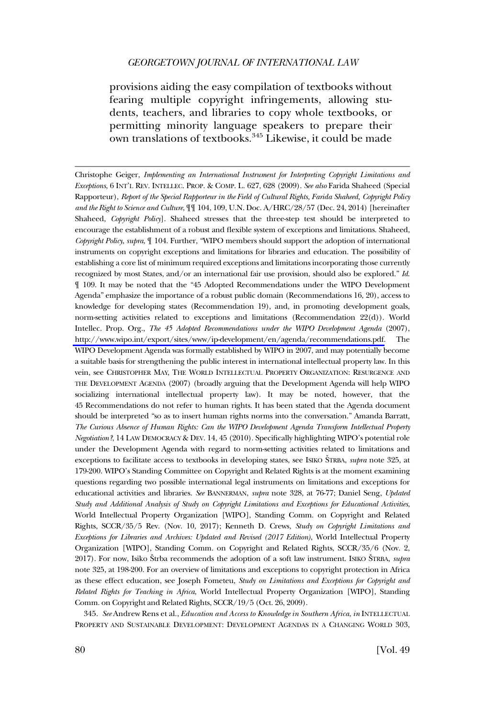provisions aiding the easy compilation of textbooks without fearing multiple copyright infringements, allowing students, teachers, and libraries to copy whole textbooks, or permitting minority language speakers to prepare their own translations of textbooks.345 Likewise, it could be made

Christophe Geiger, *Implementing an International Instrument for Interpreting Copyright Limitations and Exceptions*, 6 INT'L REV. INTELLEC. PROP. & COMP. L. 627, 628 (2009). *See also* Farida Shaheed (Special Rapporteur), *Report of the Special Rapporteur in the Field of Cultural Rights, Farida Shaheed, Copyright Policy and the Right to Science and Culture*, ¶¶ 104, 109, U.N. Doc. A/HRC/28/57 (Dec. 24, 2014) [hereinafter Shaheed, *Copyright Policy*]. Shaheed stresses that the three-step test should be interpreted to encourage the establishment of a robust and flexible system of exceptions and limitations. Shaheed, *Copyright Policy*, *supra*, ¶ 104. Further, "WIPO members should support the adoption of international instruments on copyright exceptions and limitations for libraries and education. The possibility of establishing a core list of minimum required exceptions and limitations incorporating those currently recognized by most States, and/or an international fair use provision, should also be explored." *Id*. ¶ 109. It may be noted that the "45 Adopted Recommendations under the WIPO Development Agenda" emphasize the importance of a robust public domain (Recommendations 16, 20), access to knowledge for developing states (Recommendation 19), and, in promoting development goals, norm-setting activities related to exceptions and limitations (Recommendation 22(d)). World Intellec. Prop. Org., *The 45 Adopted Recommendations under the WIPO Development Agenda* (2007), [http://www.wipo.int/export/sites/www/ip-development/en/agenda/recommendations.pdf.](http://www.wipo.int/export/sites/www/ip-development/en/agenda/recommendations.pdf) The WIPO Development Agenda was formally established by WIPO in 2007, and may potentially become a suitable basis for strengthening the public interest in international intellectual property law. In this vein, see CHRISTOPHER MAY, THE WORLD INTELLECTUAL PROPERTY ORGANIZATION: RESURGENCE AND THE DEVELOPMENT AGENDA (2007) (broadly arguing that the Development Agenda will help WIPO socializing international intellectual property law). It may be noted, however, that the 45 Recommendations do not refer to human rights. It has been stated that the Agenda document should be interpreted "so as to insert human rights norms into the conversation." Amanda Barratt, *The Curious Absence of Human Rights: Can the WIPO Development Agenda Transform Intellectual Property Negotiation?*, 14 LAW DEMOCRACY & DEV. 14, 45 (2010). Specifically highlighting WIPO's potential role under the Development Agenda with regard to norm-setting activities related to limitations and exceptions to facilitate access to textbooks in developing states, see ISIKO STRBA, *supra* note 325, at 179-200. WIPO's Standing Committee on Copyright and Related Rights is at the moment examining questions regarding two possible international legal instruments on limitations and exceptions for educational activities and libraries. *See* BANNERMAN, *supra* note 328, at 76-77; Daniel Seng, *Updated Study and Additional Analysis of Study on Copyright Limitations and Exceptions for Educational Activities*, World Intellectual Property Organization [WIPO], Standing Comm. on Copyright and Related Rights, SCCR/35/5 Rev. (Nov. 10, 2017); Kenneth D. Crews, *Study on Copyright Limitations and Exceptions for Libraries and Archives: Updated and Revised (2017 Edition)*, World Intellectual Property Organization [WIPO], Standing Comm. on Copyright and Related Rights, SCCR/35/6 (Nov. 2, 2017). For now, Isiko Strba recommends the adoption of a soft law instrument. ISIKO STRBA, *supra* note 325, at 198-200. For an overview of limitations and exceptions to copyright protection in Africa as these effect education, see Joseph Fometeu, *Study on Limitations and Exceptions for Copyright and Related Rights for Teaching in Africa*, World Intellectual Property Organization [WIPO], Standing Comm. on Copyright and Related Rights, SCCR/19/5 (Oct. 26, 2009).

345. *See* Andrew Rens et al., *Education and Access to Knowledge in Southern Africa*, *in* INTELLECTUAL PROPERTY AND SUSTAINABLE DEVELOPMENT: DEVELOPMENT AGENDAS IN A CHANGING WORLD 303,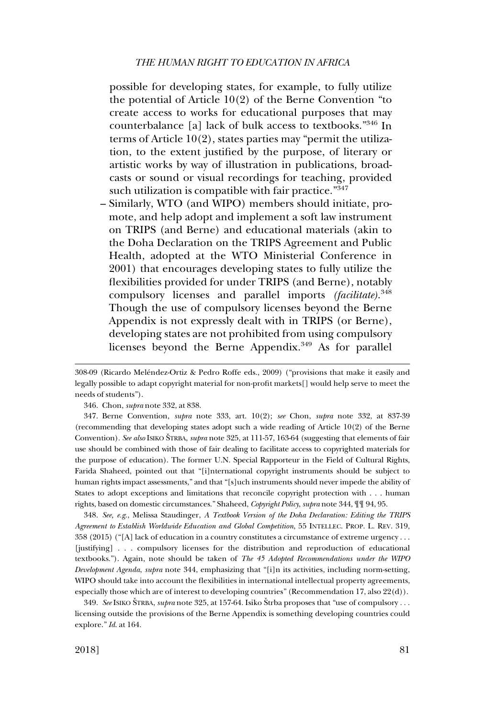possible for developing states, for example, to fully utilize the potential of Article 10(2) of the Berne Convention "to create access to works for educational purposes that may counterbalance [a] lack of bulk access to textbooks."346 In terms of Article 10(2), states parties may "permit the utilization, to the extent justified by the purpose, of literary or artistic works by way of illustration in publications, broadcasts or sound or visual recordings for teaching, provided such utilization is compatible with fair practice."<sup>347</sup>

– Similarly, WTO (and WIPO) members should initiate, promote, and help adopt and implement a soft law instrument on TRIPS (and Berne) and educational materials (akin to the Doha Declaration on the TRIPS Agreement and Public Health, adopted at the WTO Ministerial Conference in 2001) that encourages developing states to fully utilize the flexibilities provided for under TRIPS (and Berne), notably compulsory licenses and parallel imports *(facilitate)*. 348 Though the use of compulsory licenses beyond the Berne Appendix is not expressly dealt with in TRIPS (or Berne), developing states are not prohibited from using compulsory licenses beyond the Berne Appendix.<sup>349</sup> As for parallel

348. *See, e.g*., Melissa Staudinger, *A Textbook Version of the Doha Declaration: Editing the TRIPS Agreement to Establish Worldwide Education and Global Competition*, 55 INTELLEC. PROP. L. REV. 319, 358 (2015) ("[A] lack of education in a country constitutes a circumstance of extreme urgency . . . [justifying] . . . compulsory licenses for the distribution and reproduction of educational textbooks."). Again, note should be taken of *The 45 Adopted Recommendations under the WIPO Development Agenda*, *supra* note 344, emphasizing that "[i]n its activities, including norm-setting, WIPO should take into account the flexibilities in international intellectual property agreements, especially those which are of interest to developing countries" (Recommendation 17, also 22(d)).

349. *See* ISIKO ŠTRBA, *supra* note 325, at 157-64. Isiko Štrba proposes that "use of compulsory . . . licensing outside the provisions of the Berne Appendix is something developing countries could explore." *Id*. at 164.

<sup>308-09 (</sup>Ricardo Meléndez-Ortiz & Pedro Roffe eds., 2009) ("provisions that make it easily and legally possible to adapt copyright material for non-profit markets[] would help serve to meet the needs of students").

<sup>346.</sup> Chon, *supra* note 332, at 838.

<sup>347.</sup> Berne Convention, *supra* note 333, art. 10(2); *see* Chon, *supra* note 332, at 837-39 (recommending that developing states adopt such a wide reading of Article 10(2) of the Berne Convention). *See also* ISIKO SˇTRBA, *supra* note 325, at 111-57, 163-64 (suggesting that elements of fair use should be combined with those of fair dealing to facilitate access to copyrighted materials for the purpose of education). The former U.N. Special Rapporteur in the Field of Cultural Rights, Farida Shaheed, pointed out that "[i]nternational copyright instruments should be subject to human rights impact assessments," and that "[s]uch instruments should never impede the ability of States to adopt exceptions and limitations that reconcile copyright protection with . . . human rights, based on domestic circumstances." Shaheed, *Copyright Policy*, *supra* note 344, ¶¶ 94, 95.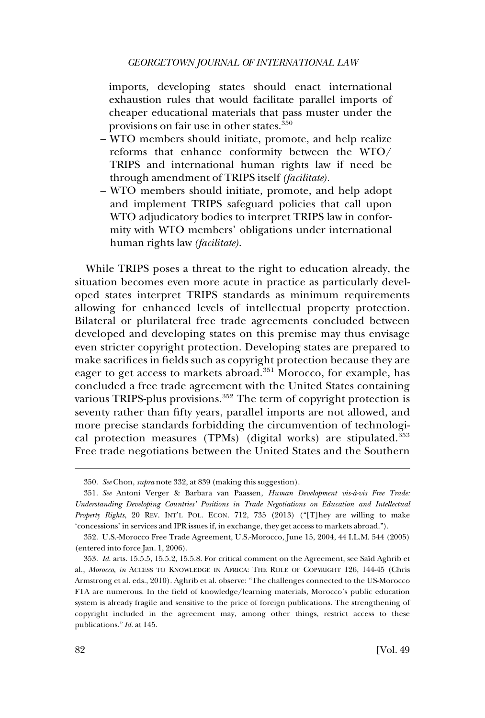### *GEORGETOWN JOURNAL OF INTERNATIONAL LAW*

imports, developing states should enact international exhaustion rules that would facilitate parallel imports of cheaper educational materials that pass muster under the provisions on fair use in other states.<sup>350</sup>

- WTO members should initiate, promote, and help realize reforms that enhance conformity between the WTO/ TRIPS and international human rights law if need be through amendment of TRIPS itself *(facilitate)*.
- WTO members should initiate, promote, and help adopt and implement TRIPS safeguard policies that call upon WTO adjudicatory bodies to interpret TRIPS law in conformity with WTO members' obligations under international human rights law *(facilitate)*.

While TRIPS poses a threat to the right to education already, the situation becomes even more acute in practice as particularly developed states interpret TRIPS standards as minimum requirements allowing for enhanced levels of intellectual property protection. Bilateral or plurilateral free trade agreements concluded between developed and developing states on this premise may thus envisage even stricter copyright protection. Developing states are prepared to make sacrifices in fields such as copyright protection because they are eager to get access to markets abroad.<sup>351</sup> Morocco, for example, has concluded a free trade agreement with the United States containing various TRIPS-plus provisions.<sup>352</sup> The term of copyright protection is seventy rather than fifty years, parallel imports are not allowed, and more precise standards forbidding the circumvention of technological protection measures (TPMs) (digital works) are stipulated.<sup>353</sup> Free trade negotiations between the United States and the Southern

<sup>350.</sup> *See* Chon, *supra* note 332, at 839 (making this suggestion).

<sup>351.</sup> *See* Antoni Verger & Barbara van Paassen, *Human Development vis-a`-vis Free Trade: Understanding Developing Countries' Positions in Trade Negotiations on Education and Intellectual Property Rights*, 20 REV. INT'L POL. ECON. 712, 735 (2013) ("[T]hey are willing to make 'concessions' in services and IPR issues if, in exchange, they get access to markets abroad.").

<sup>352.</sup> U.S.-Morocco Free Trade Agreement, U.S.-Morocco, June 15, 2004, 44 I.L.M. 544 (2005) (entered into force Jan. 1, 2006).

<sup>353.</sup> Id. arts. 15.5.5, 15.5.2, 15.5.8. For critical comment on the Agreement, see Said Aghrib et al., *Morocco*, *in* ACCESS TO KNOWLEDGE IN AFRICA: THE ROLE OF COPYRIGHT 126, 144-45 (Chris Armstrong et al. eds., 2010). Aghrib et al. observe: "The challenges connected to the US-Morocco FTA are numerous. In the field of knowledge/learning materials, Morocco's public education system is already fragile and sensitive to the price of foreign publications. The strengthening of copyright included in the agreement may, among other things, restrict access to these publications." *Id*. at 145.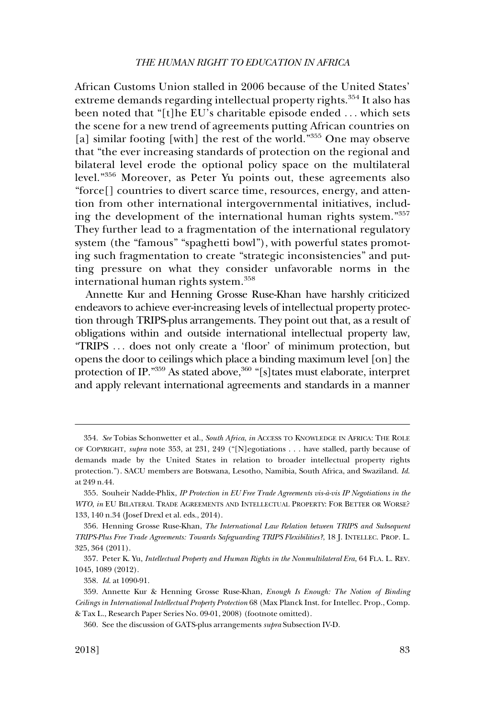## *THE HUMAN RIGHT TO EDUCATION IN AFRICA*

African Customs Union stalled in 2006 because of the United States' extreme demands regarding intellectual property rights.<sup>354</sup> It also has been noted that "[t]he EU's charitable episode ended . . . which sets the scene for a new trend of agreements putting African countries on [a] similar footing [with] the rest of the world."355 One may observe that "the ever increasing standards of protection on the regional and bilateral level erode the optional policy space on the multilateral level."356 Moreover, as Peter Yu points out, these agreements also "force[] countries to divert scarce time, resources, energy, and attention from other international intergovernmental initiatives, including the development of the international human rights system."<sup>357</sup> They further lead to a fragmentation of the international regulatory system (the "famous" "spaghetti bowl"), with powerful states promoting such fragmentation to create "strategic inconsistencies" and putting pressure on what they consider unfavorable norms in the international human rights system.<sup>358</sup>

Annette Kur and Henning Grosse Ruse-Khan have harshly criticized endeavors to achieve ever-increasing levels of intellectual property protection through TRIPS-plus arrangements. They point out that, as a result of obligations within and outside international intellectual property law, "TRIPS . . . does not only create a 'floor' of minimum protection, but opens the door to ceilings which place a binding maximum level [on] the protection of IP. $^{359}$  As stated above,  $^{360}$  "[s] tates must elaborate, interpret and apply relevant international agreements and standards in a manner

<sup>354.</sup> *See* Tobias Schonwetter et al., *South Africa*, *in* ACCESS TO KNOWLEDGE IN AFRICA: THE ROLE OF COPYRIGHT, *supra* note 353, at 231, 249 ("[N]egotiations . . . have stalled, partly because of demands made by the United States in relation to broader intellectual property rights protection."). SACU members are Botswana, Lesotho, Namibia, South Africa, and Swaziland. *Id*. at 249 n.44.

<sup>355.</sup> Souheir Nadde-Phlix, *IP Protection in EU Free Trade Agreements vis-a`-vis IP Negotiations in the WTO*, *in* EU BILATERAL TRADE AGREEMENTS AND INTELLECTUAL PROPERTY: FOR BETTER OR WORSE? 133, 140 n.34 (Josef Drexl et al. eds., 2014).

<sup>356.</sup> Henning Grosse Ruse-Khan, *The International Law Relation between TRIPS and Subsequent TRIPS-Plus Free Trade Agreements: Towards Safeguarding TRIPS Flexibilities?*, 18 J. INTELLEC. PROP. L. 325, 364 (2011).

<sup>357.</sup> Peter K. Yu, *Intellectual Property and Human Rights in the Nonmultilateral Era*, 64 FLA. L. REV. 1045, 1089 (2012).

<sup>358.</sup> *Id*. at 1090-91.

<sup>359.</sup> Annette Kur & Henning Grosse Ruse-Khan, *Enough Is Enough: The Notion of Binding Ceilings in International Intellectual Property Protection* 68 (Max Planck Inst. for Intellec. Prop., Comp. & Tax L., Research Paper Series No. 09-01, 2008) (footnote omitted).

<sup>360.</sup> See the discussion of GATS-plus arrangements *supra* Subsection IV-D.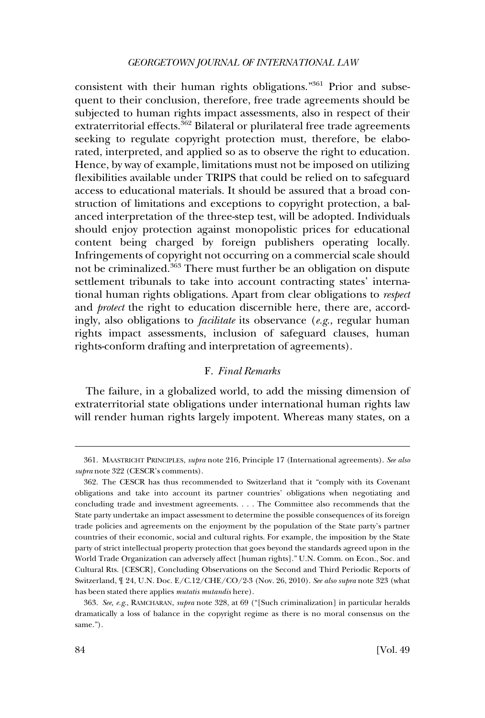## *GEORGETOWN JOURNAL OF INTERNATIONAL LAW*

consistent with their human rights obligations."<sup>361</sup> Prior and subsequent to their conclusion, therefore, free trade agreements should be subjected to human rights impact assessments, also in respect of their extraterritorial effects.<sup>362</sup> Bilateral or plurilateral free trade agreements seeking to regulate copyright protection must, therefore, be elaborated, interpreted, and applied so as to observe the right to education. Hence, by way of example, limitations must not be imposed on utilizing flexibilities available under TRIPS that could be relied on to safeguard access to educational materials. It should be assured that a broad construction of limitations and exceptions to copyright protection, a balanced interpretation of the three-step test, will be adopted. Individuals should enjoy protection against monopolistic prices for educational content being charged by foreign publishers operating locally. Infringements of copyright not occurring on a commercial scale should not be criminalized.363 There must further be an obligation on dispute settlement tribunals to take into account contracting states' international human rights obligations. Apart from clear obligations to *respect*  and *protect* the right to education discernible here, there are, accordingly, also obligations to *facilitate* its observance (*e.g*., regular human rights impact assessments, inclusion of safeguard clauses, human rights-conform drafting and interpretation of agreements).

# F. *Final Remarks*

The failure, in a globalized world, to add the missing dimension of extraterritorial state obligations under international human rights law will render human rights largely impotent. Whereas many states, on a

<sup>361.</sup> MAASTRICHT PRINCIPLES, *supra* note 216, Principle 17 (International agreements). *See also supra* note 322 (CESCR's comments).

<sup>362.</sup> The CESCR has thus recommended to Switzerland that it "comply with its Covenant obligations and take into account its partner countries' obligations when negotiating and concluding trade and investment agreements. . . . The Committee also recommends that the State party undertake an impact assessment to determine the possible consequences of its foreign trade policies and agreements on the enjoyment by the population of the State party's partner countries of their economic, social and cultural rights. For example, the imposition by the State party of strict intellectual property protection that goes beyond the standards agreed upon in the World Trade Organization can adversely affect [human rights]." U.N. Comm. on Econ., Soc. and Cultural Rts. [CESCR], Concluding Observations on the Second and Third Periodic Reports of Switzerland, ¶ 24, U.N. Doc. E/C.12/CHE/CO/2-3 (Nov. 26, 2010). *See also supra* note 323 (what has been stated there applies *mutatis mutandis* here).

<sup>363.</sup> *See, e.g*., RAMCHARAN, *supra* note 328, at 69 ("[Such criminalization] in particular heralds dramatically a loss of balance in the copyright regime as there is no moral consensus on the same.").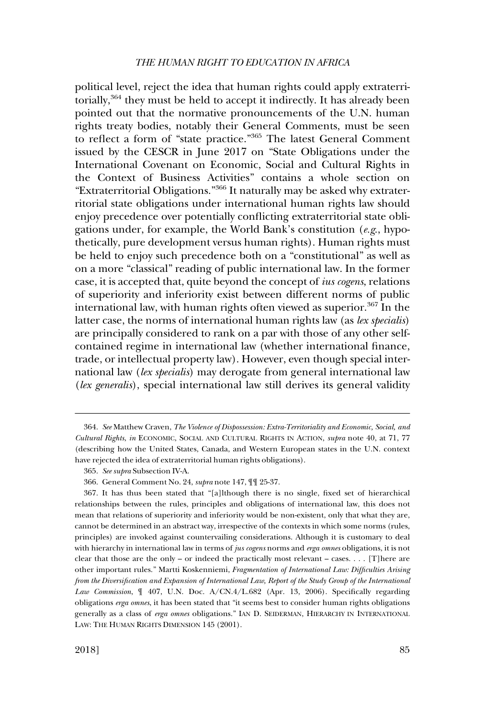### *THE HUMAN RIGHT TO EDUCATION IN AFRICA*

political level, reject the idea that human rights could apply extraterritorially,<sup>364</sup> they must be held to accept it indirectly. It has already been pointed out that the normative pronouncements of the U.N. human rights treaty bodies, notably their General Comments, must be seen to reflect a form of "state practice."365 The latest General Comment issued by the CESCR in June 2017 on "State Obligations under the International Covenant on Economic, Social and Cultural Rights in the Context of Business Activities" contains a whole section on "Extraterritorial Obligations."366 It naturally may be asked why extraterritorial state obligations under international human rights law should enjoy precedence over potentially conflicting extraterritorial state obligations under, for example, the World Bank's constitution (*e.g*., hypothetically, pure development versus human rights). Human rights must be held to enjoy such precedence both on a "constitutional" as well as on a more "classical" reading of public international law. In the former case, it is accepted that, quite beyond the concept of *ius cogens*, relations of superiority and inferiority exist between different norms of public international law, with human rights often viewed as superior.<sup>367</sup> In the latter case, the norms of international human rights law (as *lex specialis*) are principally considered to rank on a par with those of any other selfcontained regime in international law (whether international finance, trade, or intellectual property law). However, even though special international law (*lex specialis*) may derogate from general international law (*lex generalis*), special international law still derives its general validity

<sup>364.</sup> *See* Matthew Craven, *The Violence of Dispossession: Extra-Territoriality and Economic, Social, and Cultural Rights*, *in* ECONOMIC, SOCIAL AND CULTURAL RIGHTS IN ACTION, *supra* note 40, at 71, 77 (describing how the United States, Canada, and Western European states in the U.N. context have rejected the idea of extraterritorial human rights obligations).

<sup>365.</sup> *See supra* Subsection IV-A.

<sup>366.</sup> General Comment No. 24, *supra* note 147, ¶¶ 25-37.

<sup>367.</sup> It has thus been stated that "[a]lthough there is no single, fixed set of hierarchical relationships between the rules, principles and obligations of international law, this does not mean that relations of superiority and inferiority would be non-existent, only that what they are, cannot be determined in an abstract way, irrespective of the contexts in which some norms (rules, principles) are invoked against countervailing considerations. Although it is customary to deal with hierarchy in international law in terms of *jus cogens* norms and *erga omnes* obligations, it is not clear that those are the only – or indeed the practically most relevant – cases.  $\dots$  [T]here are other important rules." Martti Koskenniemi, *Fragmentation of International Law: Difficulties Arising from the Diversification and Expansion of International Law, Report of the Study Group of the International Law Commission*, ¶ 407, U.N. Doc. A/CN.4/L.682 (Apr. 13, 2006). Specifically regarding obligations *erga omnes*, it has been stated that "it seems best to consider human rights obligations generally as a class of *erga omnes* obligations." IAN D. SEIDERMAN, HIERARCHY IN INTERNATIONAL LAW: THE HUMAN RIGHTS DIMENSION 145 (2001).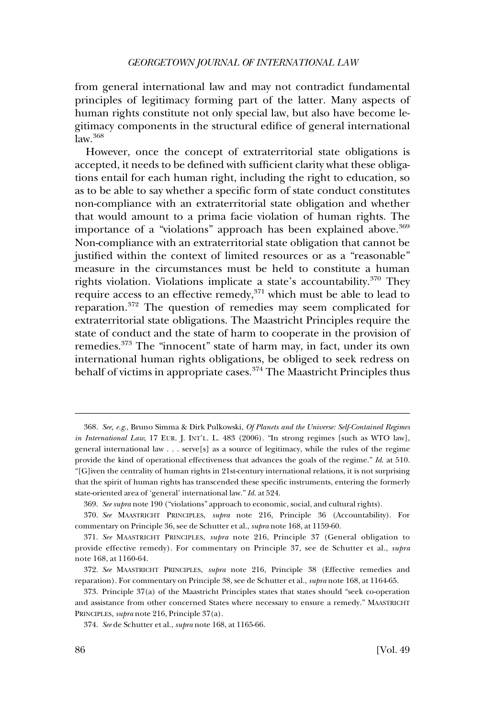from general international law and may not contradict fundamental principles of legitimacy forming part of the latter. Many aspects of human rights constitute not only special law, but also have become legitimacy components in the structural edifice of general international  $law.<sup>368</sup>$ 

However, once the concept of extraterritorial state obligations is accepted, it needs to be defined with sufficient clarity what these obligations entail for each human right, including the right to education, so as to be able to say whether a specific form of state conduct constitutes non-compliance with an extraterritorial state obligation and whether that would amount to a prima facie violation of human rights. The importance of a "violations" approach has been explained above.<sup>369</sup> Non-compliance with an extraterritorial state obligation that cannot be justified within the context of limited resources or as a "reasonable" measure in the circumstances must be held to constitute a human rights violation. Violations implicate a state's accountability.370 They require access to an effective remedy,371 which must be able to lead to reparation.372 The question of remedies may seem complicated for extraterritorial state obligations. The Maastricht Principles require the state of conduct and the state of harm to cooperate in the provision of remedies.<sup>373</sup> The "innocent" state of harm may, in fact, under its own international human rights obligations, be obliged to seek redress on behalf of victims in appropriate cases.<sup>374</sup> The Maastricht Principles thus

<sup>368.</sup> *See, e.g*., Bruno Simma & Dirk Pulkowski, *Of Planets and the Universe: Self-Contained Regimes in International Law*, 17 EUR. J. INT'L. L. 483 (2006). "In strong regimes [such as WTO law], general international law . . . serve[s] as a source of legitimacy, while the rules of the regime provide the kind of operational effectiveness that advances the goals of the regime." *Id*. at 510. "[G]iven the centrality of human rights in 21st-century international relations, it is not surprising that the spirit of human rights has transcended these specific instruments, entering the formerly state-oriented area of 'general' international law." *Id*. at 524.

<sup>369.</sup> *See supra* note 190 ("violations" approach to economic, social, and cultural rights).

<sup>370.</sup> *See* MAASTRICHT PRINCIPLES, *supra* note 216, Principle 36 (Accountability). For commentary on Principle 36, see de Schutter et al., *supra* note 168, at 1159-60.

<sup>371.</sup> *See* MAASTRICHT PRINCIPLES, *supra* note 216, Principle 37 (General obligation to provide effective remedy). For commentary on Principle 37, see de Schutter et al., *supra*  note 168, at 1160-64.

<sup>372.</sup> *See* MAASTRICHT PRINCIPLES, *supra* note 216, Principle 38 (Effective remedies and reparation). For commentary on Principle 38, see de Schutter et al., *supra* note 168, at 1164-65.

<sup>373.</sup> Principle 37(a) of the Maastricht Principles states that states should "seek co-operation and assistance from other concerned States where necessary to ensure a remedy." MAASTRICHT PRINCIPLES, *supra* note 216, Principle 37(a).

<sup>374.</sup> *See* de Schutter et al., *supra* note 168, at 1165-66.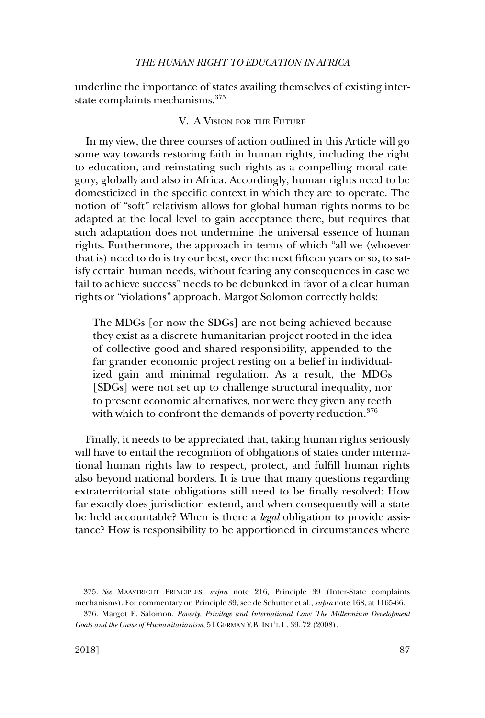## *THE HUMAN RIGHT TO EDUCATION IN AFRICA*

underline the importance of states availing themselves of existing interstate complaints mechanisms.<sup>375</sup>

# V. A VISION FOR THE FUTURE

In my view, the three courses of action outlined in this Article will go some way towards restoring faith in human rights, including the right to education, and reinstating such rights as a compelling moral category, globally and also in Africa. Accordingly, human rights need to be domesticized in the specific context in which they are to operate. The notion of "soft" relativism allows for global human rights norms to be adapted at the local level to gain acceptance there, but requires that such adaptation does not undermine the universal essence of human rights. Furthermore, the approach in terms of which "all we (whoever that is) need to do is try our best, over the next fifteen years or so, to satisfy certain human needs, without fearing any consequences in case we fail to achieve success" needs to be debunked in favor of a clear human rights or "violations" approach. Margot Solomon correctly holds:

The MDGs [or now the SDGs] are not being achieved because they exist as a discrete humanitarian project rooted in the idea of collective good and shared responsibility, appended to the far grander economic project resting on a belief in individualized gain and minimal regulation. As a result, the MDGs [SDGs] were not set up to challenge structural inequality, nor to present economic alternatives, nor were they given any teeth with which to confront the demands of poverty reduction.<sup>376</sup>

Finally, it needs to be appreciated that, taking human rights seriously will have to entail the recognition of obligations of states under international human rights law to respect, protect, and fulfill human rights also beyond national borders. It is true that many questions regarding extraterritorial state obligations still need to be finally resolved: How far exactly does jurisdiction extend, and when consequently will a state be held accountable? When is there a *legal* obligation to provide assistance? How is responsibility to be apportioned in circumstances where

<sup>375.</sup> *See* MAASTRICHT PRINCIPLES, *supra* note 216, Principle 39 (Inter-State complaints mechanisms). For commentary on Principle 39, see de Schutter et al., *supra* note 168, at 1165-66.

<sup>376.</sup> Margot E. Salomon, *Poverty, Privilege and International Law: The Millennium Development Goals and the Guise of Humanitarianism*, 51 GERMAN Y.B. INT'L L. 39, 72 (2008).